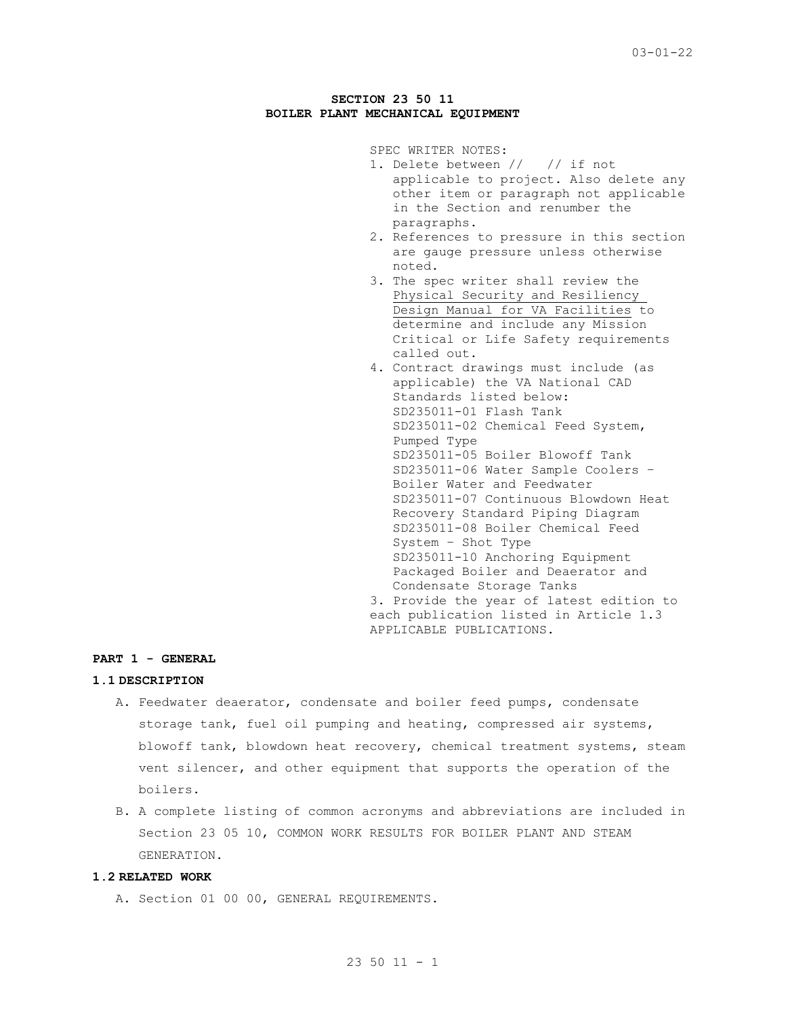### **SECTION 23 50 11 BOILER PLANT MECHANICAL EQUIPMENT**

SPEC WRITER NOTES:

- 1. Delete between // // if not applicable to project. Also delete any other item or paragraph not applicable in the Section and renumber the paragraphs.
- 2. References to pressure in this section are gauge pressure unless otherwise noted.
- 3. The spec writer shall review the Physical Security and Resiliency Design Manual for VA Facilities to determine and include any Mission Critical or Life Safety requirements called out.
- 4. Contract drawings must include (as applicable) the VA National CAD Standards listed below: SD235011-01 Flash Tank SD235011-02 Chemical Feed System, Pumped Type SD235011-05 Boiler Blowoff Tank SD235011-06 Water Sample Coolers – Boiler Water and Feedwater SD235011-07 Continuous Blowdown Heat Recovery Standard Piping Diagram SD235011-08 Boiler Chemical Feed System – Shot Type SD235011-10 Anchoring Equipment Packaged Boiler and Deaerator and Condensate Storage Tanks 3. Provide the year of latest edition to each publication listed in Article 1.3 APPLICABLE PUBLICATIONS.

### **PART 1 - GENERAL**

#### **1.1 DESCRIPTION**

- A. Feedwater deaerator, condensate and boiler feed pumps, condensate storage tank, fuel oil pumping and heating, compressed air systems, blowoff tank, blowdown heat recovery, chemical treatment systems, steam vent silencer, and other equipment that supports the operation of the boilers.
- B. A complete listing of common acronyms and abbreviations are included in Section 23 05 10, COMMON WORK RESULTS FOR BOILER PLANT AND STEAM GENERATION.

#### **1.2 RELATED WORK**

A. Section 01 00 00, GENERAL REQUIREMENTS.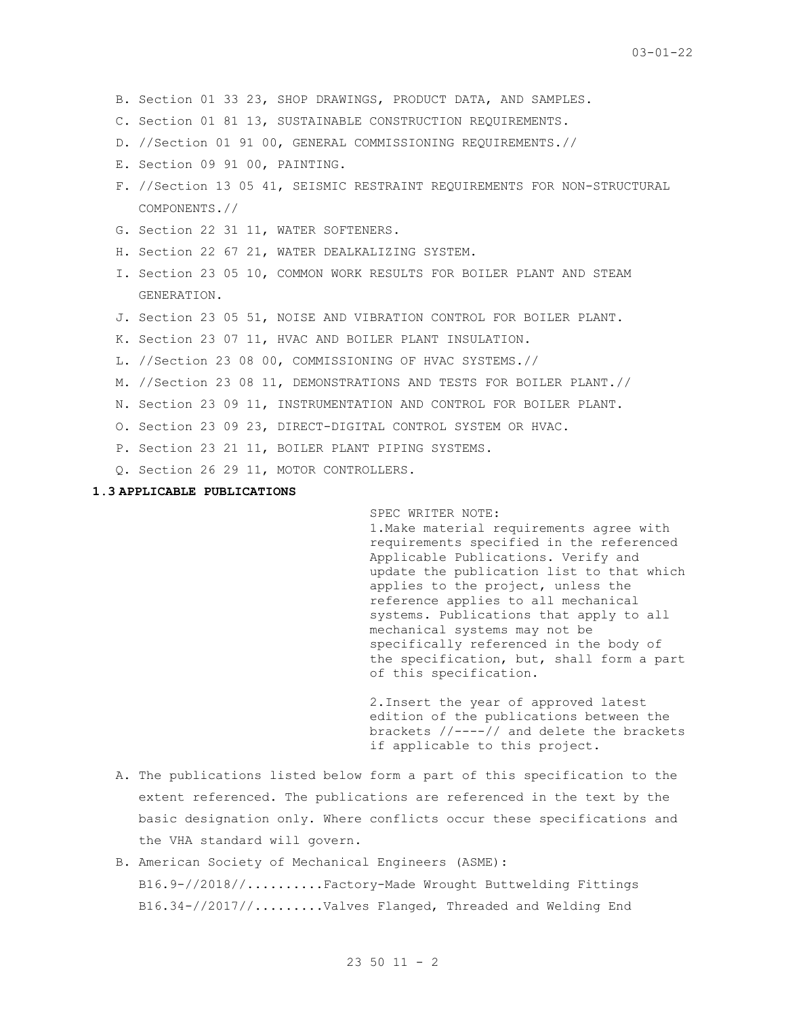B. Section 01 33 23, SHOP DRAWINGS, PRODUCT DATA, AND SAMPLES.

- C. Section 01 81 13, SUSTAINABLE CONSTRUCTION REQUIREMENTS.
- D. //Section 01 91 00, GENERAL COMMISSIONING REQUIREMENTS.//
- E. Section 09 91 00, PAINTING.
- F. //Section 13 05 41, SEISMIC RESTRAINT REQUIREMENTS FOR NON-STRUCTURAL COMPONENTS.//
- G. Section 22 31 11, WATER SOFTENERS.
- H. Section 22 67 21, WATER DEALKALIZING SYSTEM.
- I. Section 23 05 10, COMMON WORK RESULTS FOR BOILER PLANT AND STEAM GENERATION.
- J. Section 23 05 51, NOISE AND VIBRATION CONTROL FOR BOILER PLANT.
- K. Section 23 07 11, HVAC AND BOILER PLANT INSULATION.
- L. //Section 23 08 00, COMMISSIONING OF HVAC SYSTEMS.//
- M. //Section 23 08 11, DEMONSTRATIONS AND TESTS FOR BOILER PLANT.//
- N. Section 23 09 11, INSTRUMENTATION AND CONTROL FOR BOILER PLANT.
- O. Section 23 09 23, DIRECT-DIGITAL CONTROL SYSTEM OR HVAC.
- P. Section 23 21 11, BOILER PLANT PIPING SYSTEMS.
- Q. Section 26 29 11, MOTOR CONTROLLERS.

#### **1.3 APPLICABLE PUBLICATIONS**

SPEC WRITER NOTE: 1.Make material requirements agree with requirements specified in the referenced Applicable Publications. Verify and update the publication list to that which applies to the project, unless the reference applies to all mechanical systems. Publications that apply to all mechanical systems may not be specifically referenced in the body of the specification, but, shall form a part of this specification.

2.Insert the year of approved latest edition of the publications between the brackets //----// and delete the brackets if applicable to this project.

- A. The publications listed below form a part of this specification to the extent referenced. The publications are referenced in the text by the basic designation only. Where conflicts occur these specifications and the VHA standard will govern.
- B. American Society of Mechanical Engineers (ASME): B16.9-//2018//..........Factory-Made Wrought Buttwelding Fittings B16.34-//2017//.........Valves Flanged, Threaded and Welding End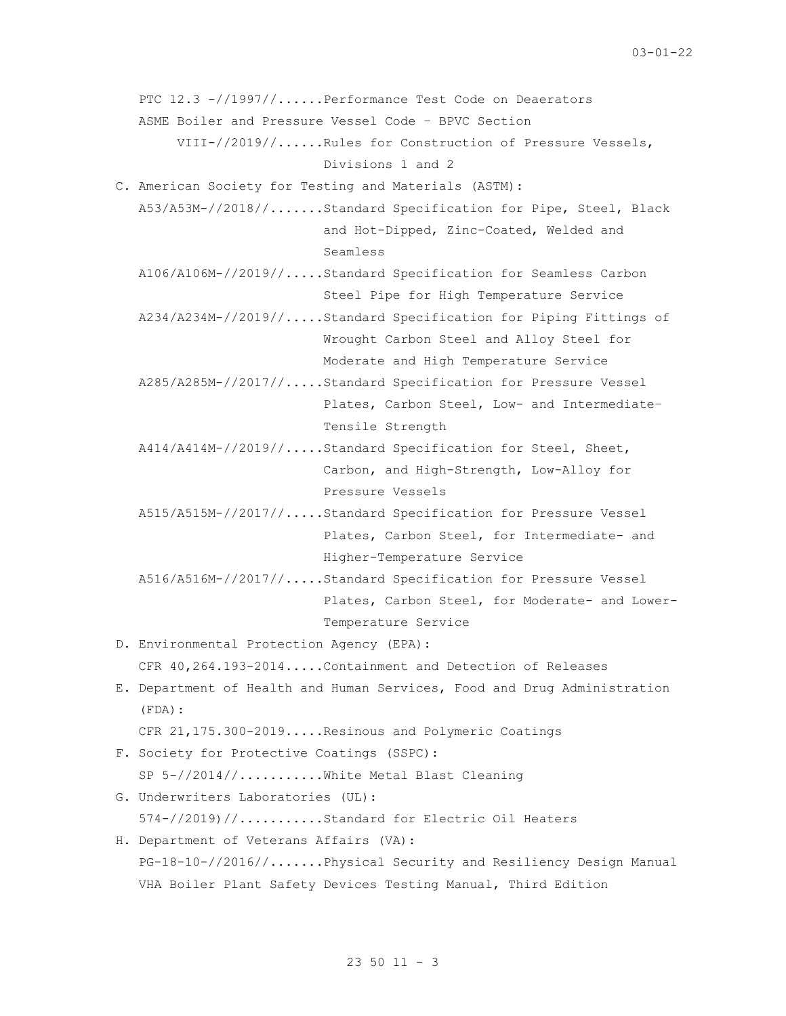PTC 12.3 -//1997//......Performance Test Code on Deaerators ASME Boiler and Pressure Vessel Code – BPVC Section VIII-//2019//......Rules for Construction of Pressure Vessels, Divisions 1 and 2 C. American Society for Testing and Materials (ASTM): A53/A53M-//2018//.......Standard Specification for Pipe, Steel, Black and Hot-Dipped, Zinc-Coated, Welded and Seamless A106/A106M-//2019//.....Standard Specification for Seamless Carbon Steel Pipe for High Temperature Service A234/A234M-//2019//.....Standard Specification for Piping Fittings of Wrought Carbon Steel and Alloy Steel for Moderate and High Temperature Service A285/A285M-//2017//.....Standard Specification for Pressure Vessel Plates, Carbon Steel, Low- and Intermediate– Tensile Strength A414/A414M-//2019//.....Standard Specification for Steel, Sheet, Carbon, and High-Strength, Low-Alloy for Pressure Vessels A515/A515M-//2017//.....Standard Specification for Pressure Vessel Plates, Carbon Steel, for Intermediate- and Higher-Temperature Service A516/A516M-//2017//.....Standard Specification for Pressure Vessel Plates, Carbon Steel, for Moderate- and Lower-Temperature Service D. Environmental Protection Agency (EPA): CFR 40,264.193-2014.....Containment and Detection of Releases E. Department of Health and Human Services, Food and Drug Administration (FDA): CFR 21,175.300-2019.....Resinous and Polymeric Coatings F. Society for Protective Coatings (SSPC): SP 5-//2014//...........White Metal Blast Cleaning

- G. Underwriters Laboratories (UL): 574-//2019)//...........Standard for Electric Oil Heaters
- H. Department of Veterans Affairs (VA): PG-18-10-//2016//.......Physical Security and Resiliency Design Manual VHA Boiler Plant Safety Devices Testing Manual, Third Edition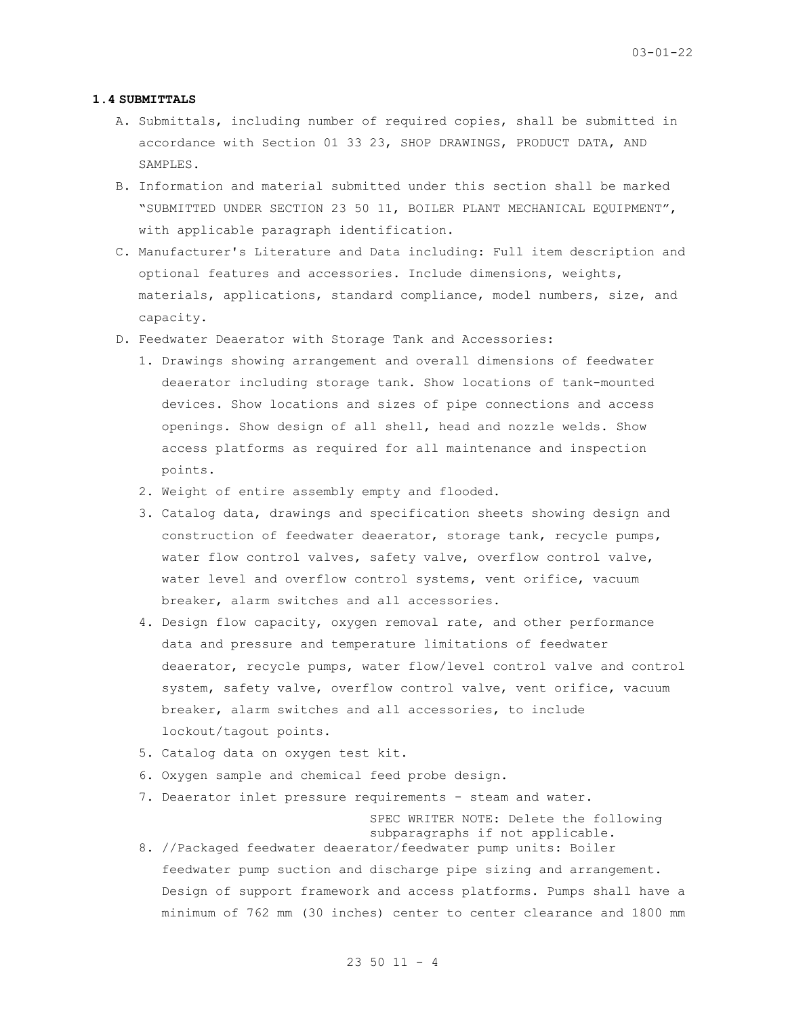### **1.4 SUBMITTALS**

- A. Submittals, including number of required copies, shall be submitted in accordance with Section 01 33 23, SHOP DRAWINGS, PRODUCT DATA, AND SAMPLES.
- B. Information and material submitted under this section shall be marked "SUBMITTED UNDER SECTION 23 50 11, BOILER PLANT MECHANICAL EQUIPMENT", with applicable paragraph identification.
- C. Manufacturer's Literature and Data including: Full item description and optional features and accessories. Include dimensions, weights, materials, applications, standard compliance, model numbers, size, and capacity.
- D. Feedwater Deaerator with Storage Tank and Accessories:
	- 1. Drawings showing arrangement and overall dimensions of feedwater deaerator including storage tank. Show locations of tank-mounted devices. Show locations and sizes of pipe connections and access openings. Show design of all shell, head and nozzle welds. Show access platforms as required for all maintenance and inspection points.
	- 2. Weight of entire assembly empty and flooded.
	- 3. Catalog data, drawings and specification sheets showing design and construction of feedwater deaerator, storage tank, recycle pumps, water flow control valves, safety valve, overflow control valve, water level and overflow control systems, vent orifice, vacuum breaker, alarm switches and all accessories.
	- 4. Design flow capacity, oxygen removal rate, and other performance data and pressure and temperature limitations of feedwater deaerator, recycle pumps, water flow/level control valve and control system, safety valve, overflow control valve, vent orifice, vacuum breaker, alarm switches and all accessories, to include lockout/tagout points.
	- 5. Catalog data on oxygen test kit.
	- 6. Oxygen sample and chemical feed probe design.
	- 7. Deaerator inlet pressure requirements steam and water.

SPEC WRITER NOTE: Delete the following subparagraphs if not applicable.

8. //Packaged feedwater deaerator/feedwater pump units: Boiler feedwater pump suction and discharge pipe sizing and arrangement. Design of support framework and access platforms. Pumps shall have a minimum of 762 mm (30 inches) center to center clearance and 1800 mm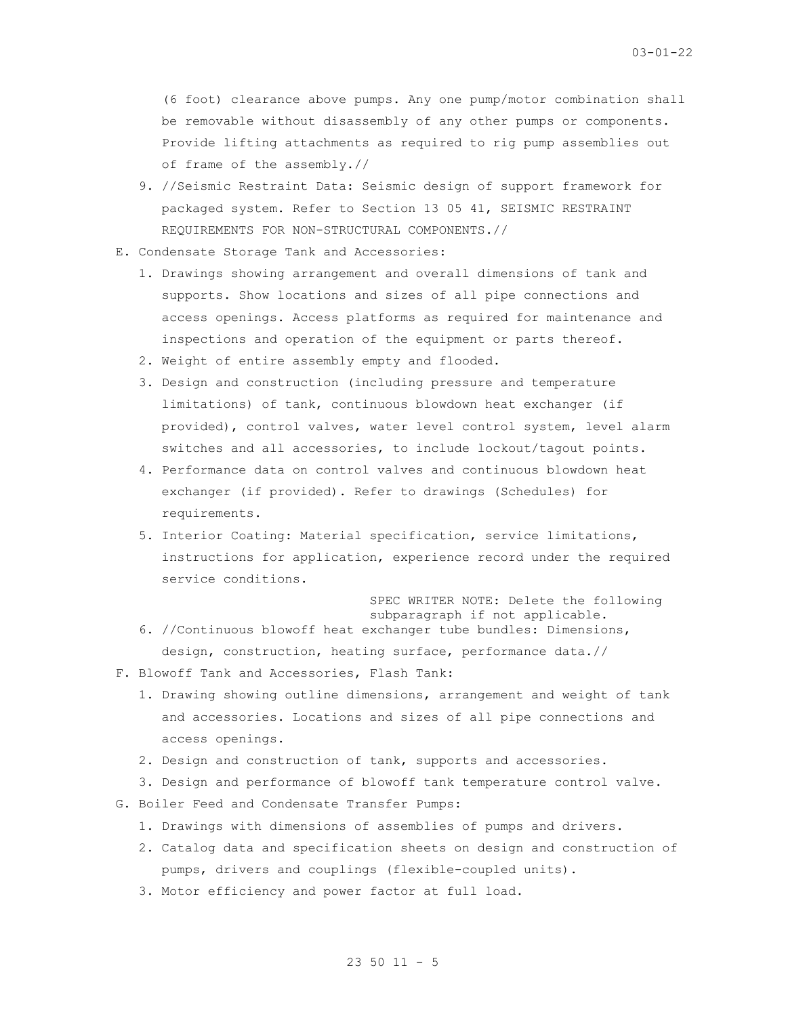(6 foot) clearance above pumps. Any one pump/motor combination shall be removable without disassembly of any other pumps or components. Provide lifting attachments as required to rig pump assemblies out of frame of the assembly.//

- 9. //Seismic Restraint Data: Seismic design of support framework for packaged system. Refer to Section 13 05 41, SEISMIC RESTRAINT REQUIREMENTS FOR NON-STRUCTURAL COMPONENTS.//
- E. Condensate Storage Tank and Accessories:
	- 1. Drawings showing arrangement and overall dimensions of tank and supports. Show locations and sizes of all pipe connections and access openings. Access platforms as required for maintenance and inspections and operation of the equipment or parts thereof.
	- 2. Weight of entire assembly empty and flooded.
	- 3. Design and construction (including pressure and temperature limitations) of tank, continuous blowdown heat exchanger (if provided), control valves, water level control system, level alarm switches and all accessories, to include lockout/tagout points.
	- 4. Performance data on control valves and continuous blowdown heat exchanger (if provided). Refer to drawings (Schedules) for requirements.
	- 5. Interior Coating: Material specification, service limitations, instructions for application, experience record under the required service conditions.

SPEC WRITER NOTE: Delete the following subparagraph if not applicable.

- 6. //Continuous blowoff heat exchanger tube bundles: Dimensions, design, construction, heating surface, performance data.//
- F. Blowoff Tank and Accessories, Flash Tank:
	- 1. Drawing showing outline dimensions, arrangement and weight of tank and accessories. Locations and sizes of all pipe connections and access openings.
	- 2. Design and construction of tank, supports and accessories.
	- 3. Design and performance of blowoff tank temperature control valve.
- G. Boiler Feed and Condensate Transfer Pumps:
	- 1. Drawings with dimensions of assemblies of pumps and drivers.
	- 2. Catalog data and specification sheets on design and construction of pumps, drivers and couplings (flexible-coupled units).
	- 3. Motor efficiency and power factor at full load.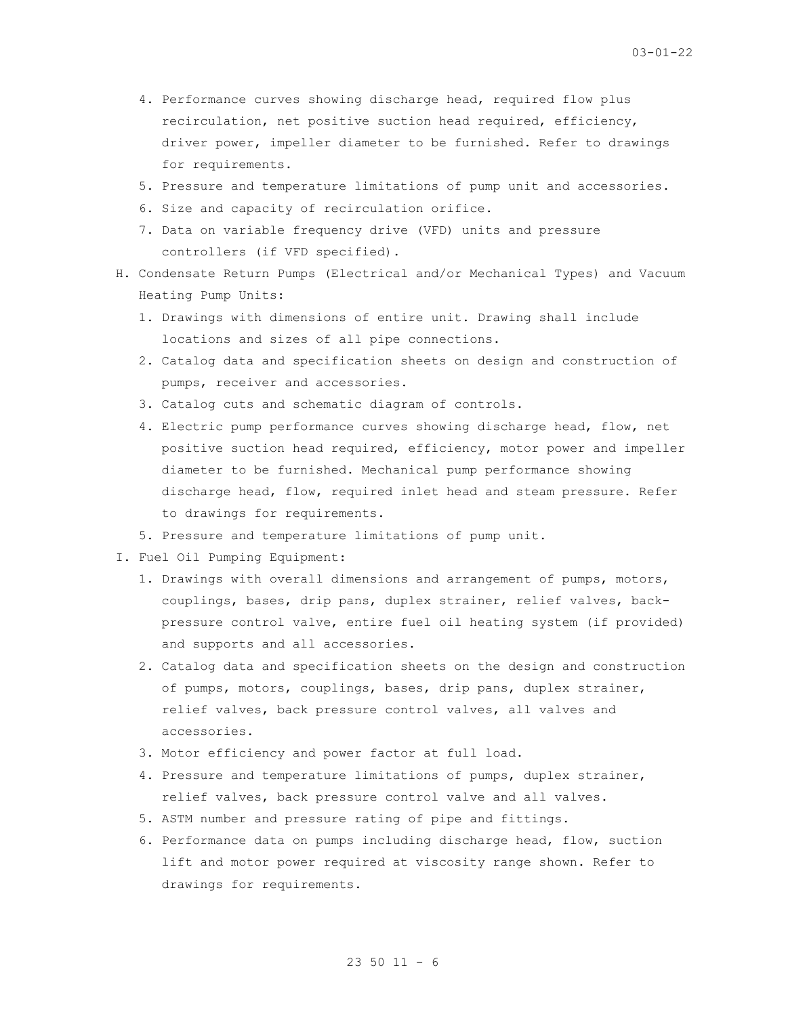- 4. Performance curves showing discharge head, required flow plus recirculation, net positive suction head required, efficiency, driver power, impeller diameter to be furnished. Refer to drawings for requirements.
- 5. Pressure and temperature limitations of pump unit and accessories.
- 6. Size and capacity of recirculation orifice.
- 7. Data on variable frequency drive (VFD) units and pressure controllers (if VFD specified).
- H. Condensate Return Pumps (Electrical and/or Mechanical Types) and Vacuum Heating Pump Units:
	- 1. Drawings with dimensions of entire unit. Drawing shall include locations and sizes of all pipe connections.
	- 2. Catalog data and specification sheets on design and construction of pumps, receiver and accessories.
	- 3. Catalog cuts and schematic diagram of controls.
	- 4. Electric pump performance curves showing discharge head, flow, net positive suction head required, efficiency, motor power and impeller diameter to be furnished. Mechanical pump performance showing discharge head, flow, required inlet head and steam pressure. Refer to drawings for requirements.
	- 5. Pressure and temperature limitations of pump unit.
- I. Fuel Oil Pumping Equipment:
	- 1. Drawings with overall dimensions and arrangement of pumps, motors, couplings, bases, drip pans, duplex strainer, relief valves, backpressure control valve, entire fuel oil heating system (if provided) and supports and all accessories.
	- 2. Catalog data and specification sheets on the design and construction of pumps, motors, couplings, bases, drip pans, duplex strainer, relief valves, back pressure control valves, all valves and accessories.
	- 3. Motor efficiency and power factor at full load.
	- 4. Pressure and temperature limitations of pumps, duplex strainer, relief valves, back pressure control valve and all valves.
	- 5. ASTM number and pressure rating of pipe and fittings.
	- 6. Performance data on pumps including discharge head, flow, suction lift and motor power required at viscosity range shown. Refer to drawings for requirements.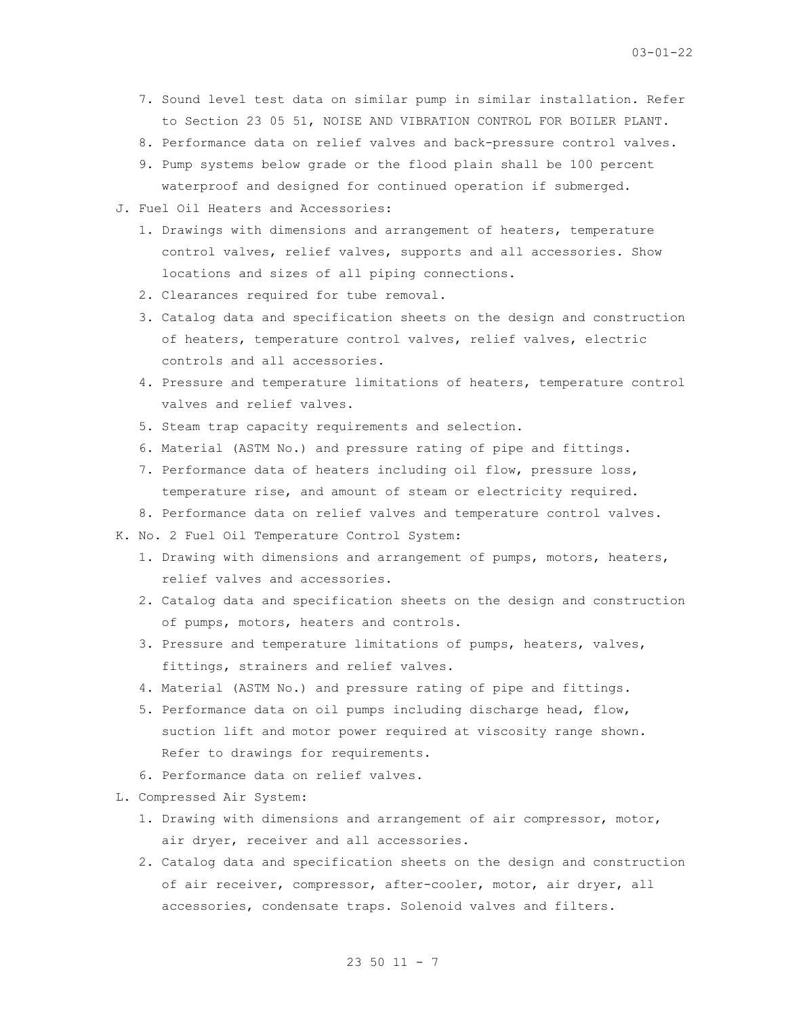- 7. Sound level test data on similar pump in similar installation. Refer to Section 23 05 51, NOISE AND VIBRATION CONTROL FOR BOILER PLANT.
- 8. Performance data on relief valves and back-pressure control valves.
- 9. Pump systems below grade or the flood plain shall be 100 percent waterproof and designed for continued operation if submerged.
- J. Fuel Oil Heaters and Accessories:
	- 1. Drawings with dimensions and arrangement of heaters, temperature control valves, relief valves, supports and all accessories. Show locations and sizes of all piping connections.
	- 2. Clearances required for tube removal.
	- 3. Catalog data and specification sheets on the design and construction of heaters, temperature control valves, relief valves, electric controls and all accessories.
	- 4. Pressure and temperature limitations of heaters, temperature control valves and relief valves.
	- 5. Steam trap capacity requirements and selection.
	- 6. Material (ASTM No.) and pressure rating of pipe and fittings.
	- 7. Performance data of heaters including oil flow, pressure loss, temperature rise, and amount of steam or electricity required.
	- 8. Performance data on relief valves and temperature control valves.
- K. No. 2 Fuel Oil Temperature Control System:
	- 1. Drawing with dimensions and arrangement of pumps, motors, heaters, relief valves and accessories.
	- 2. Catalog data and specification sheets on the design and construction of pumps, motors, heaters and controls.
	- 3. Pressure and temperature limitations of pumps, heaters, valves, fittings, strainers and relief valves.
	- 4. Material (ASTM No.) and pressure rating of pipe and fittings.
	- 5. Performance data on oil pumps including discharge head, flow, suction lift and motor power required at viscosity range shown. Refer to drawings for requirements.
	- 6. Performance data on relief valves.
- L. Compressed Air System:
	- 1. Drawing with dimensions and arrangement of air compressor, motor, air dryer, receiver and all accessories.
	- 2. Catalog data and specification sheets on the design and construction of air receiver, compressor, after-cooler, motor, air dryer, all accessories, condensate traps. Solenoid valves and filters.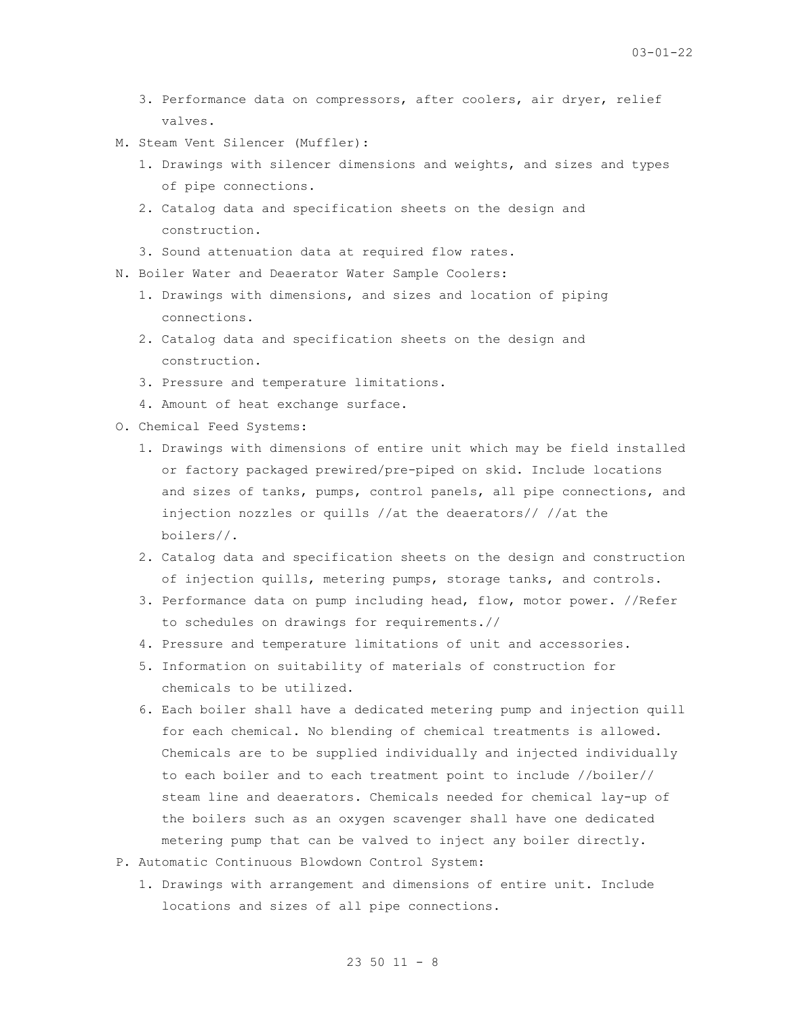- 3. Performance data on compressors, after coolers, air dryer, relief valves.
- M. Steam Vent Silencer (Muffler):
	- 1. Drawings with silencer dimensions and weights, and sizes and types of pipe connections.
	- 2. Catalog data and specification sheets on the design and construction.
	- 3. Sound attenuation data at required flow rates.
- N. Boiler Water and Deaerator Water Sample Coolers:
	- 1. Drawings with dimensions, and sizes and location of piping connections.
	- 2. Catalog data and specification sheets on the design and construction.
	- 3. Pressure and temperature limitations.
	- 4. Amount of heat exchange surface.
- O. Chemical Feed Systems:
	- 1. Drawings with dimensions of entire unit which may be field installed or factory packaged prewired/pre-piped on skid. Include locations and sizes of tanks, pumps, control panels, all pipe connections, and injection nozzles or quills //at the deaerators// //at the boilers//.
	- 2. Catalog data and specification sheets on the design and construction of injection quills, metering pumps, storage tanks, and controls.
	- 3. Performance data on pump including head, flow, motor power. //Refer to schedules on drawings for requirements.//
	- 4. Pressure and temperature limitations of unit and accessories.
	- 5. Information on suitability of materials of construction for chemicals to be utilized.
	- 6. Each boiler shall have a dedicated metering pump and injection quill for each chemical. No blending of chemical treatments is allowed. Chemicals are to be supplied individually and injected individually to each boiler and to each treatment point to include //boiler// steam line and deaerators. Chemicals needed for chemical lay-up of the boilers such as an oxygen scavenger shall have one dedicated metering pump that can be valved to inject any boiler directly.
- P. Automatic Continuous Blowdown Control System:
	- 1. Drawings with arrangement and dimensions of entire unit. Include locations and sizes of all pipe connections.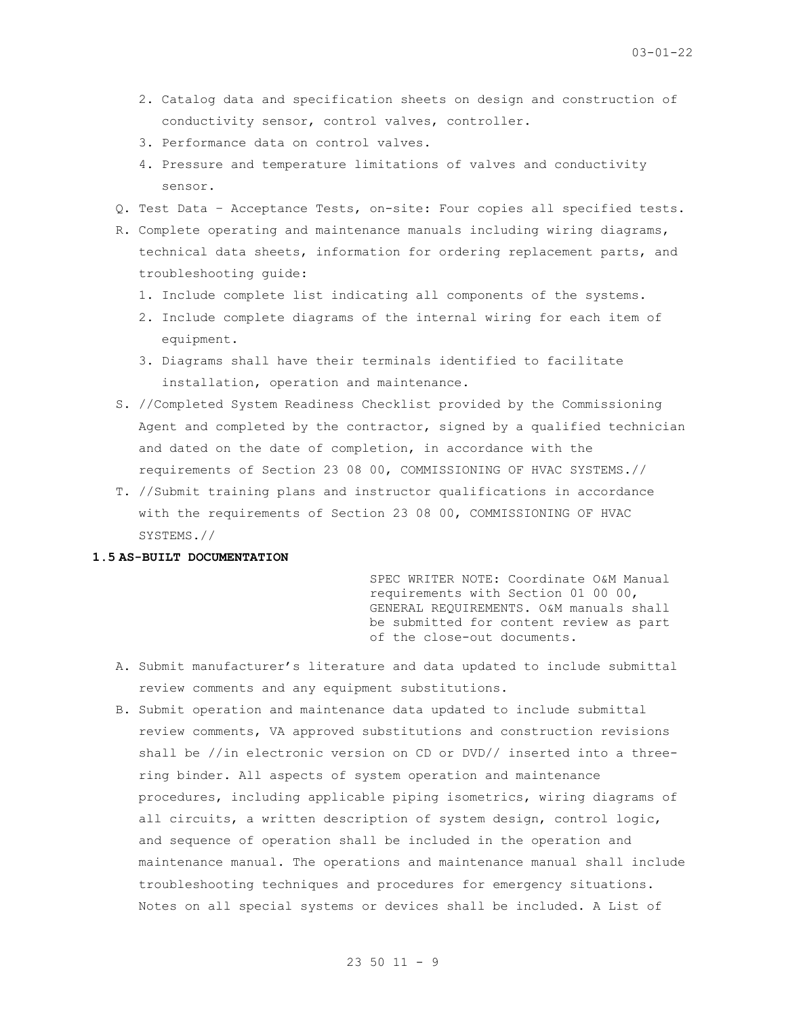- 2. Catalog data and specification sheets on design and construction of conductivity sensor, control valves, controller.
- 3. Performance data on control valves.
- 4. Pressure and temperature limitations of valves and conductivity sensor.
- Q. Test Data Acceptance Tests, on-site: Four copies all specified tests.
- R. Complete operating and maintenance manuals including wiring diagrams, technical data sheets, information for ordering replacement parts, and troubleshooting guide:
	- 1. Include complete list indicating all components of the systems.
	- 2. Include complete diagrams of the internal wiring for each item of equipment.
	- 3. Diagrams shall have their terminals identified to facilitate installation, operation and maintenance.
- S. //Completed System Readiness Checklist provided by the Commissioning Agent and completed by the contractor, signed by a qualified technician and dated on the date of completion, in accordance with the requirements of Section 23 08 00, COMMISSIONING OF HVAC SYSTEMS.//
- T. //Submit training plans and instructor qualifications in accordance with the requirements of Section 23 08 00, COMMISSIONING OF HVAC SYSTEMS.//

### **1.5 AS-BUILT DOCUMENTATION**

SPEC WRITER NOTE: Coordinate O&M Manual requirements with Section 01 00 00, GENERAL REQUIREMENTS. O&M manuals shall be submitted for content review as part of the close-out documents.

- A. Submit manufacturer's literature and data updated to include submittal review comments and any equipment substitutions.
- B. Submit operation and maintenance data updated to include submittal review comments, VA approved substitutions and construction revisions shall be //in electronic version on CD or DVD// inserted into a threering binder. All aspects of system operation and maintenance procedures, including applicable piping isometrics, wiring diagrams of all circuits, a written description of system design, control logic, and sequence of operation shall be included in the operation and maintenance manual. The operations and maintenance manual shall include troubleshooting techniques and procedures for emergency situations. Notes on all special systems or devices shall be included. A List of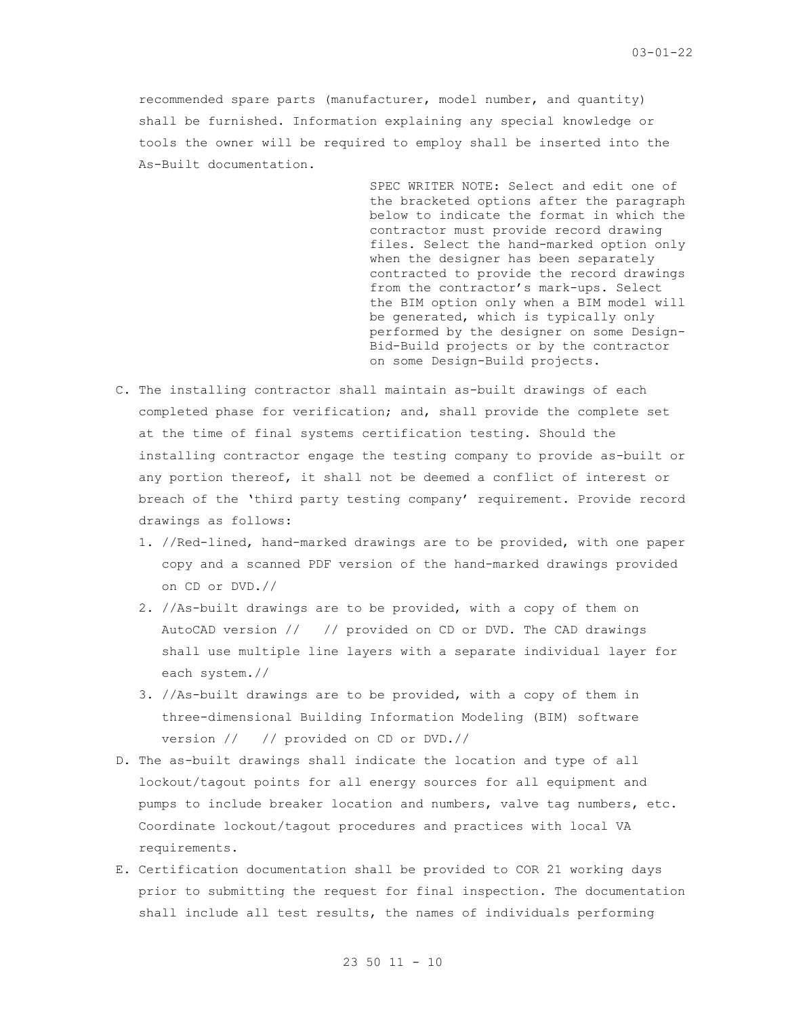recommended spare parts (manufacturer, model number, and quantity) shall be furnished. Information explaining any special knowledge or tools the owner will be required to employ shall be inserted into the As-Built documentation.

> SPEC WRITER NOTE: Select and edit one of the bracketed options after the paragraph below to indicate the format in which the contractor must provide record drawing files. Select the hand-marked option only when the designer has been separately contracted to provide the record drawings from the contractor's mark-ups. Select the BIM option only when a BIM model will be generated, which is typically only performed by the designer on some Design-Bid-Build projects or by the contractor on some Design-Build projects.

- C. The installing contractor shall maintain as-built drawings of each completed phase for verification; and, shall provide the complete set at the time of final systems certification testing. Should the installing contractor engage the testing company to provide as-built or any portion thereof, it shall not be deemed a conflict of interest or breach of the 'third party testing company' requirement. Provide record drawings as follows:
	- 1. //Red-lined, hand-marked drawings are to be provided, with one paper copy and a scanned PDF version of the hand-marked drawings provided on CD or DVD.//
	- 2. //As-built drawings are to be provided, with a copy of them on AutoCAD version // // provided on CD or DVD. The CAD drawings shall use multiple line layers with a separate individual layer for each system.//
	- 3. //As-built drawings are to be provided, with a copy of them in three-dimensional Building Information Modeling (BIM) software version // // provided on CD or DVD.//
- D. The as-built drawings shall indicate the location and type of all lockout/tagout points for all energy sources for all equipment and pumps to include breaker location and numbers, valve tag numbers, etc. Coordinate lockout/tagout procedures and practices with local VA requirements.
- E. Certification documentation shall be provided to COR 21 working days prior to submitting the request for final inspection. The documentation shall include all test results, the names of individuals performing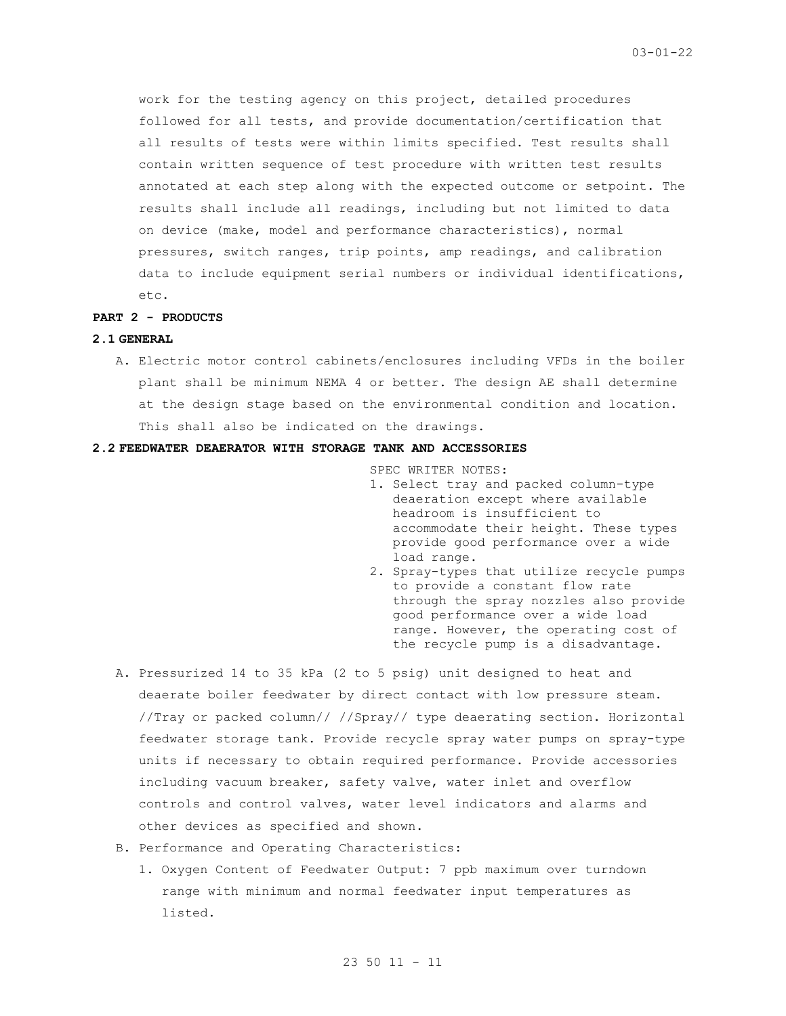work for the testing agency on this project, detailed procedures followed for all tests, and provide documentation/certification that all results of tests were within limits specified. Test results shall contain written sequence of test procedure with written test results annotated at each step along with the expected outcome or setpoint. The results shall include all readings, including but not limited to data on device (make, model and performance characteristics), normal pressures, switch ranges, trip points, amp readings, and calibration data to include equipment serial numbers or individual identifications, etc.

# **PART 2 - PRODUCTS**

### **2.1 GENERAL**

A. Electric motor control cabinets/enclosures including VFDs in the boiler plant shall be minimum NEMA 4 or better. The design AE shall determine at the design stage based on the environmental condition and location. This shall also be indicated on the drawings.

### **2.2 FEEDWATER DEAERATOR WITH STORAGE TANK AND ACCESSORIES**

SPEC WRITER NOTES:

- 1. Select tray and packed column-type deaeration except where available headroom is insufficient to accommodate their height. These types provide good performance over a wide load range.
- 2. Spray-types that utilize recycle pumps to provide a constant flow rate through the spray nozzles also provide good performance over a wide load range. However, the operating cost of the recycle pump is a disadvantage.
- A. Pressurized 14 to 35 kPa (2 to 5 psig) unit designed to heat and deaerate boiler feedwater by direct contact with low pressure steam. //Tray or packed column// //Spray// type deaerating section. Horizontal feedwater storage tank. Provide recycle spray water pumps on spray-type units if necessary to obtain required performance. Provide accessories including vacuum breaker, safety valve, water inlet and overflow controls and control valves, water level indicators and alarms and other devices as specified and shown.
- B. Performance and Operating Characteristics:
	- 1. Oxygen Content of Feedwater Output: 7 ppb maximum over turndown range with minimum and normal feedwater input temperatures as listed.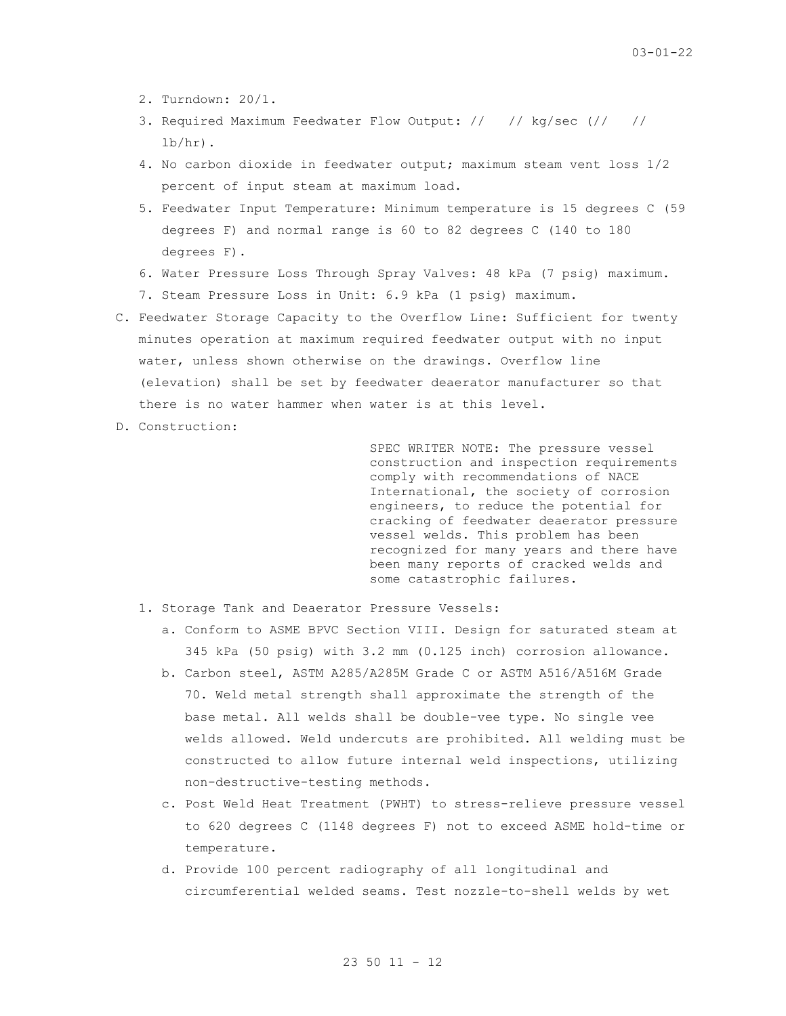- 2. Turndown: 20/1.
- 3. Required Maximum Feedwater Flow Output: // // kg/sec (// //  $lb/hr$ ).
- 4. No carbon dioxide in feedwater output; maximum steam vent loss 1/2 percent of input steam at maximum load.
- 5. Feedwater Input Temperature: Minimum temperature is 15 degrees C (59 degrees F) and normal range is 60 to 82 degrees C (140 to 180 degrees F).
- 6. Water Pressure Loss Through Spray Valves: 48 kPa (7 psig) maximum.
- 7. Steam Pressure Loss in Unit: 6.9 kPa (1 psig) maximum.
- C. Feedwater Storage Capacity to the Overflow Line: Sufficient for twenty minutes operation at maximum required feedwater output with no input water, unless shown otherwise on the drawings. Overflow line (elevation) shall be set by feedwater deaerator manufacturer so that there is no water hammer when water is at this level.
- D. Construction:

SPEC WRITER NOTE: The pressure vessel construction and inspection requirements comply with recommendations of NACE International, the society of corrosion engineers, to reduce the potential for cracking of feedwater deaerator pressure vessel welds. This problem has been recognized for many years and there have been many reports of cracked welds and some catastrophic failures.

- 1. Storage Tank and Deaerator Pressure Vessels:
	- a. Conform to ASME BPVC Section VIII. Design for saturated steam at 345 kPa (50 psig) with 3.2 mm (0.125 inch) corrosion allowance.
	- b. Carbon steel, ASTM A285/A285M Grade C or ASTM A516/A516M Grade 70. Weld metal strength shall approximate the strength of the base metal. All welds shall be double-vee type. No single vee welds allowed. Weld undercuts are prohibited. All welding must be constructed to allow future internal weld inspections, utilizing non-destructive-testing methods.
	- c. Post Weld Heat Treatment (PWHT) to stress-relieve pressure vessel to 620 degrees C (1148 degrees F) not to exceed ASME hold-time or temperature.
	- d. Provide 100 percent radiography of all longitudinal and circumferential welded seams. Test nozzle-to-shell welds by wet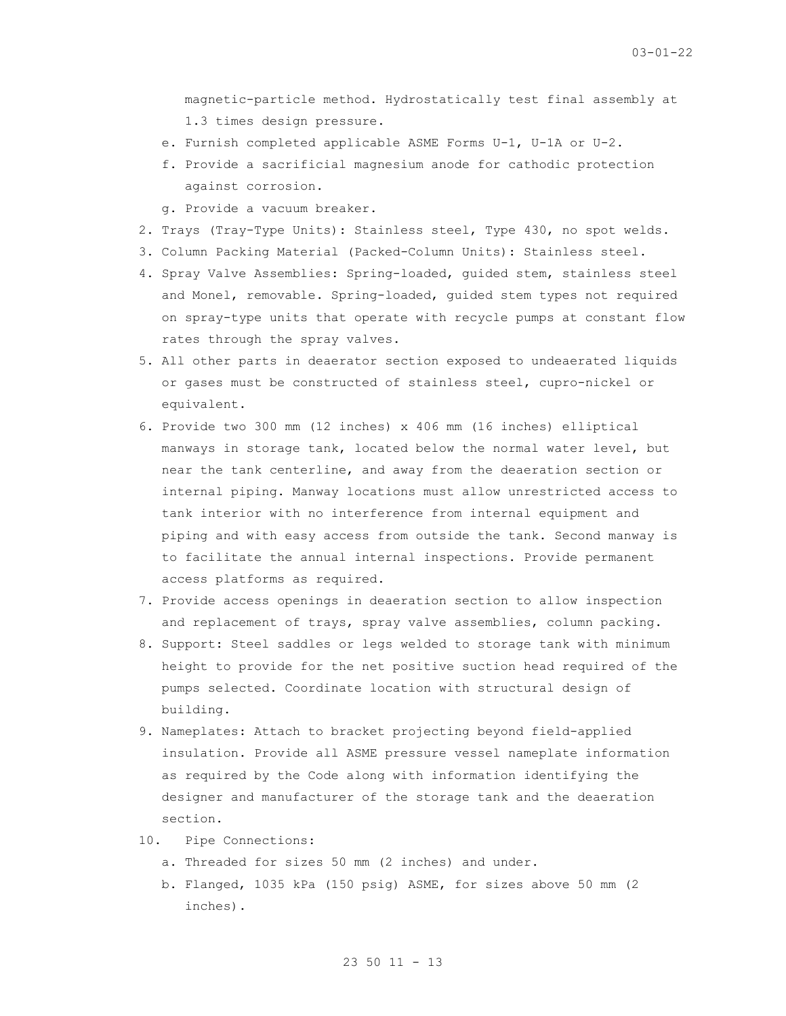magnetic-particle method. Hydrostatically test final assembly at 1.3 times design pressure.

- e. Furnish completed applicable ASME Forms U-1, U-1A or U-2.
- f. Provide a sacrificial magnesium anode for cathodic protection against corrosion.
- g. Provide a vacuum breaker.
- 2. Trays (Tray-Type Units): Stainless steel, Type 430, no spot welds.
- 3. Column Packing Material (Packed-Column Units): Stainless steel.
- 4. Spray Valve Assemblies: Spring-loaded, guided stem, stainless steel and Monel, removable. Spring-loaded, guided stem types not required on spray-type units that operate with recycle pumps at constant flow rates through the spray valves.
- 5. All other parts in deaerator section exposed to undeaerated liquids or gases must be constructed of stainless steel, cupro-nickel or equivalent.
- 6. Provide two 300 mm (12 inches) x 406 mm (16 inches) elliptical manways in storage tank, located below the normal water level, but near the tank centerline, and away from the deaeration section or internal piping. Manway locations must allow unrestricted access to tank interior with no interference from internal equipment and piping and with easy access from outside the tank. Second manway is to facilitate the annual internal inspections. Provide permanent access platforms as required.
- 7. Provide access openings in deaeration section to allow inspection and replacement of trays, spray valve assemblies, column packing.
- 8. Support: Steel saddles or legs welded to storage tank with minimum height to provide for the net positive suction head required of the pumps selected. Coordinate location with structural design of building.
- 9. Nameplates: Attach to bracket projecting beyond field-applied insulation. Provide all ASME pressure vessel nameplate information as required by the Code along with information identifying the designer and manufacturer of the storage tank and the deaeration section.
- 10. Pipe Connections:
	- a. Threaded for sizes 50 mm (2 inches) and under.
	- b. Flanged, 1035 kPa (150 psig) ASME, for sizes above 50 mm (2 inches).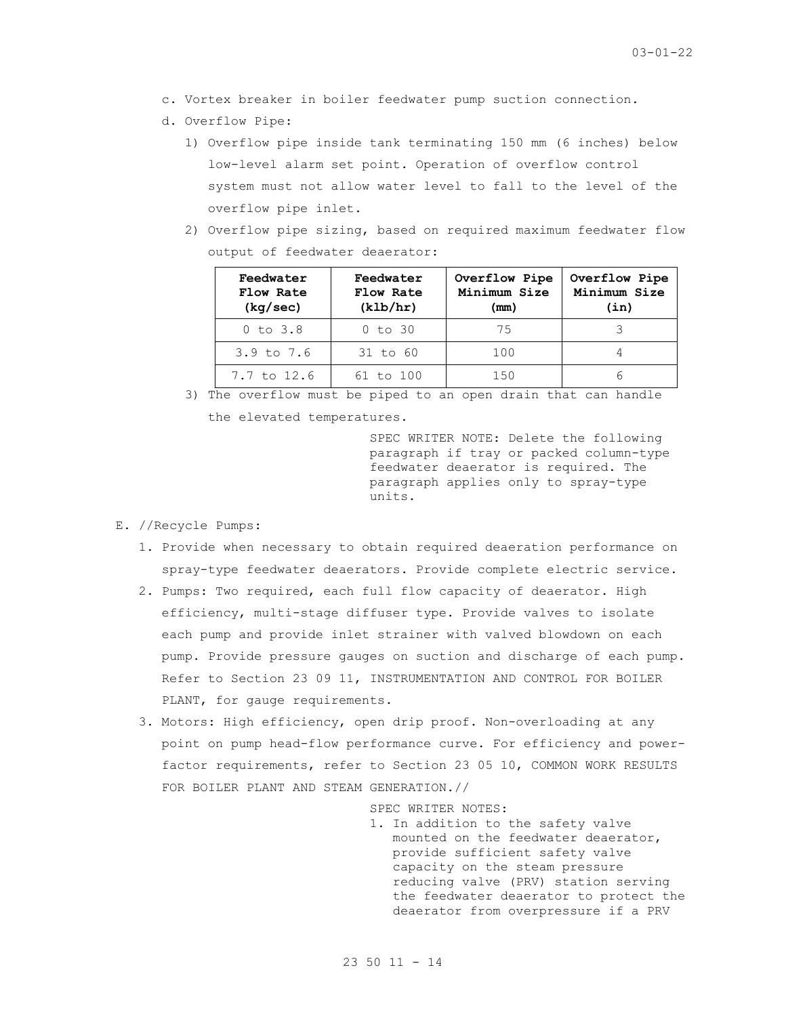- c. Vortex breaker in boiler feedwater pump suction connection.
- d. Overflow Pipe:
	- 1) Overflow pipe inside tank terminating 150 mm (6 inches) below low-level alarm set point. Operation of overflow control system must not allow water level to fall to the level of the overflow pipe inlet.
	- 2) Overflow pipe sizing, based on required maximum feedwater flow output of feedwater deaerator:

| Feedwater<br>Flow Rate<br>(kg/sec) | Feedwater<br>Flow Rate<br>(klb/hr) | Overflow Pipe<br>Minimum Size<br>(mm) | Overflow Pipe<br>Minimum Size<br>(in) |
|------------------------------------|------------------------------------|---------------------------------------|---------------------------------------|
| $0$ to $3.8$                       | $0$ to $30$                        | 75                                    |                                       |
| 3.9 to 7.6                         | 31 to 60                           | 100                                   |                                       |
| 7.7 to 12.6                        | 61 to 100                          | 150                                   |                                       |

3) The overflow must be piped to an open drain that can handle the elevated temperatures.

> SPEC WRITER NOTE: Delete the following paragraph if tray or packed column-type feedwater deaerator is required. The paragraph applies only to spray-type units.

- E. //Recycle Pumps:
	- 1. Provide when necessary to obtain required deaeration performance on spray-type feedwater deaerators. Provide complete electric service.
	- 2. Pumps: Two required, each full flow capacity of deaerator. High efficiency, multi-stage diffuser type. Provide valves to isolate each pump and provide inlet strainer with valved blowdown on each pump. Provide pressure gauges on suction and discharge of each pump. Refer to Section 23 09 11, INSTRUMENTATION AND CONTROL FOR BOILER PLANT, for gauge requirements.
	- 3. Motors: High efficiency, open drip proof. Non-overloading at any point on pump head-flow performance curve. For efficiency and powerfactor requirements, refer to Section 23 05 10, COMMON WORK RESULTS FOR BOILER PLANT AND STEAM GENERATION.//

SPEC WRITER NOTES:

1. In addition to the safety valve mounted on the feedwater deaerator, provide sufficient safety valve capacity on the steam pressure reducing valve (PRV) station serving the feedwater deaerator to protect the deaerator from overpressure if a PRV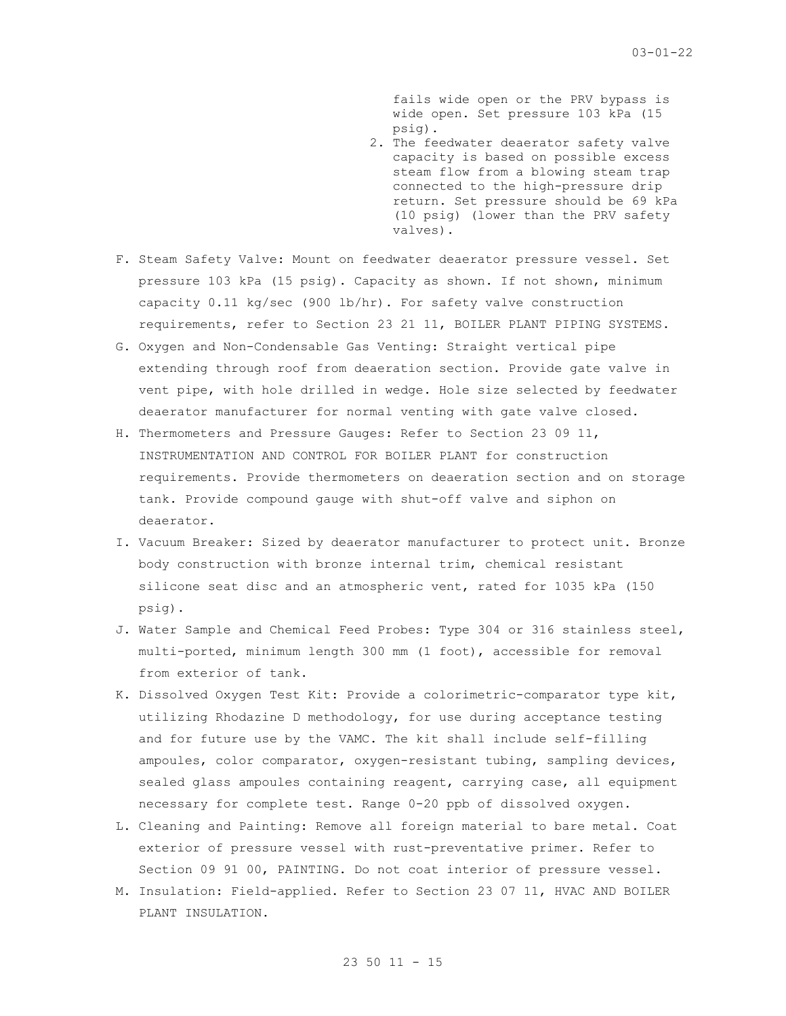fails wide open or the PRV bypass is wide open. Set pressure 103 kPa (15 psig).

- 2. The feedwater deaerator safety valve capacity is based on possible excess steam flow from a blowing steam trap connected to the high-pressure drip return. Set pressure should be 69 kPa (10 psig) (lower than the PRV safety valves).
- F. Steam Safety Valve: Mount on feedwater deaerator pressure vessel. Set pressure 103 kPa (15 psig). Capacity as shown. If not shown, minimum capacity 0.11 kg/sec (900 lb/hr). For safety valve construction requirements, refer to Section 23 21 11, BOILER PLANT PIPING SYSTEMS.
- G. Oxygen and Non-Condensable Gas Venting: Straight vertical pipe extending through roof from deaeration section. Provide gate valve in vent pipe, with hole drilled in wedge. Hole size selected by feedwater deaerator manufacturer for normal venting with gate valve closed.
- H. Thermometers and Pressure Gauges: Refer to Section 23 09 11, INSTRUMENTATION AND CONTROL FOR BOILER PLANT for construction requirements. Provide thermometers on deaeration section and on storage tank. Provide compound gauge with shut-off valve and siphon on deaerator.
- I. Vacuum Breaker: Sized by deaerator manufacturer to protect unit. Bronze body construction with bronze internal trim, chemical resistant silicone seat disc and an atmospheric vent, rated for 1035 kPa (150 psig).
- J. Water Sample and Chemical Feed Probes: Type 304 or 316 stainless steel, multi-ported, minimum length 300 mm (1 foot), accessible for removal from exterior of tank.
- K. Dissolved Oxygen Test Kit: Provide a colorimetric-comparator type kit, utilizing Rhodazine D methodology, for use during acceptance testing and for future use by the VAMC. The kit shall include self-filling ampoules, color comparator, oxygen-resistant tubing, sampling devices, sealed glass ampoules containing reagent, carrying case, all equipment necessary for complete test. Range 0-20 ppb of dissolved oxygen.
- L. Cleaning and Painting: Remove all foreign material to bare metal. Coat exterior of pressure vessel with rust-preventative primer. Refer to Section 09 91 00, PAINTING. Do not coat interior of pressure vessel.
- M. Insulation: Field-applied. Refer to Section 23 07 11, HVAC AND BOILER PLANT INSULATION.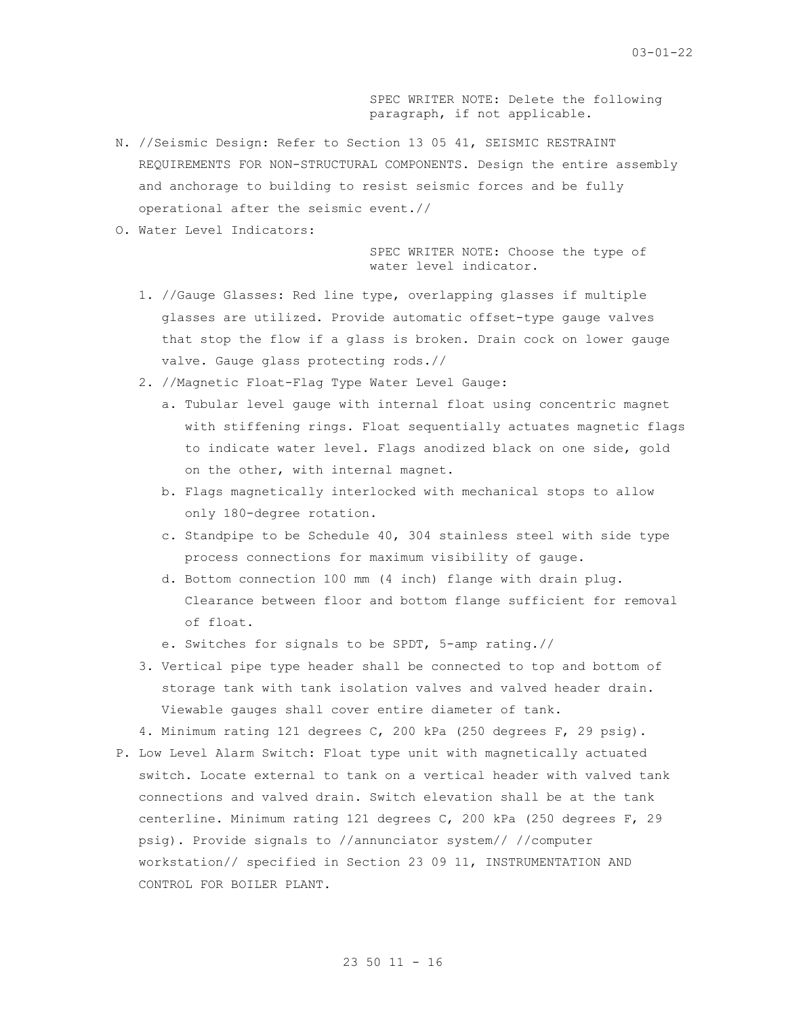SPEC WRITER NOTE: Delete the following paragraph, if not applicable.

- N. //Seismic Design: Refer to Section 13 05 41, SEISMIC RESTRAINT REQUIREMENTS FOR NON-STRUCTURAL COMPONENTS. Design the entire assembly and anchorage to building to resist seismic forces and be fully operational after the seismic event.//
- O. Water Level Indicators:

SPEC WRITER NOTE: Choose the type of water level indicator.

- 1. //Gauge Glasses: Red line type, overlapping glasses if multiple glasses are utilized. Provide automatic offset-type gauge valves that stop the flow if a glass is broken. Drain cock on lower gauge valve. Gauge glass protecting rods.//
- 2. //Magnetic Float-Flag Type Water Level Gauge:
	- a. Tubular level gauge with internal float using concentric magnet with stiffening rings. Float sequentially actuates magnetic flags to indicate water level. Flags anodized black on one side, gold on the other, with internal magnet.
	- b. Flags magnetically interlocked with mechanical stops to allow only 180-degree rotation.
	- c. Standpipe to be Schedule 40, 304 stainless steel with side type process connections for maximum visibility of gauge.
	- d. Bottom connection 100 mm (4 inch) flange with drain plug. Clearance between floor and bottom flange sufficient for removal of float.
	- e. Switches for signals to be SPDT, 5-amp rating.//
- 3. Vertical pipe type header shall be connected to top and bottom of storage tank with tank isolation valves and valved header drain. Viewable gauges shall cover entire diameter of tank.
- 4. Minimum rating 121 degrees C, 200 kPa (250 degrees F, 29 psig).
- P. Low Level Alarm Switch: Float type unit with magnetically actuated switch. Locate external to tank on a vertical header with valved tank connections and valved drain. Switch elevation shall be at the tank centerline. Minimum rating 121 degrees C, 200 kPa (250 degrees F, 29 psig). Provide signals to //annunciator system// //computer workstation// specified in Section 23 09 11, INSTRUMENTATION AND CONTROL FOR BOILER PLANT.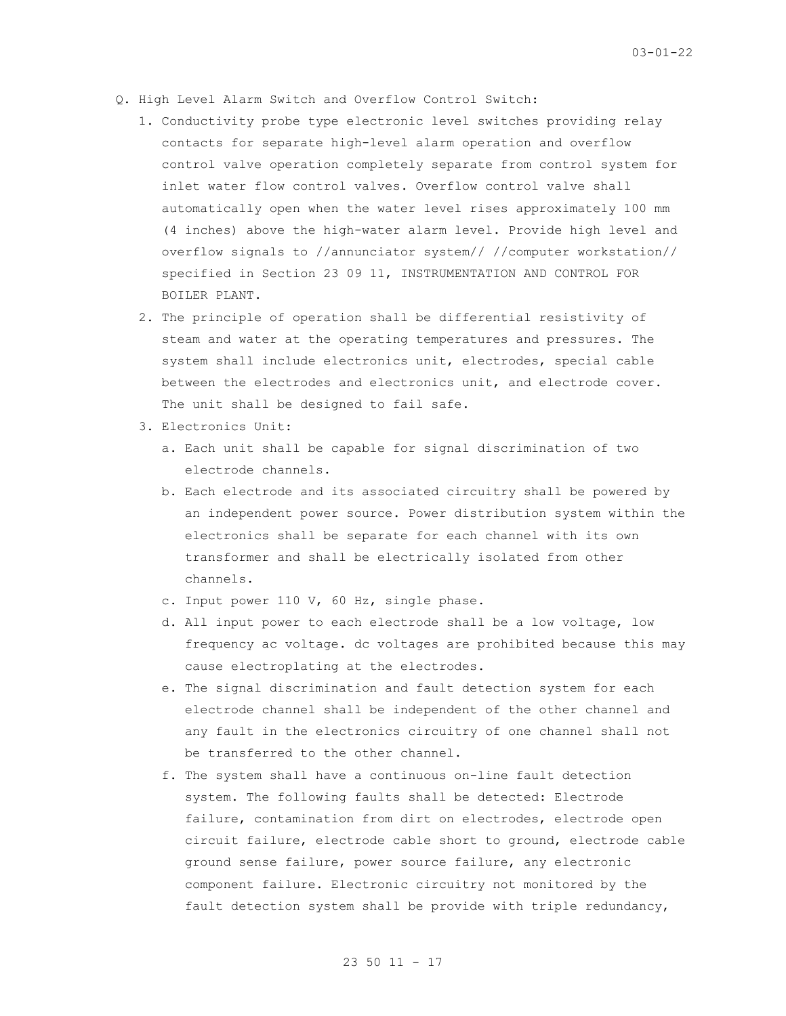- Q. High Level Alarm Switch and Overflow Control Switch:
	- 1. Conductivity probe type electronic level switches providing relay contacts for separate high-level alarm operation and overflow control valve operation completely separate from control system for inlet water flow control valves. Overflow control valve shall automatically open when the water level rises approximately 100 mm (4 inches) above the high-water alarm level. Provide high level and overflow signals to //annunciator system// //computer workstation// specified in Section 23 09 11, INSTRUMENTATION AND CONTROL FOR BOILER PLANT.
	- 2. The principle of operation shall be differential resistivity of steam and water at the operating temperatures and pressures. The system shall include electronics unit, electrodes, special cable between the electrodes and electronics unit, and electrode cover. The unit shall be designed to fail safe.
	- 3. Electronics Unit:
		- a. Each unit shall be capable for signal discrimination of two electrode channels.
		- b. Each electrode and its associated circuitry shall be powered by an independent power source. Power distribution system within the electronics shall be separate for each channel with its own transformer and shall be electrically isolated from other channels.
		- c. Input power 110 V, 60 Hz, single phase.
		- d. All input power to each electrode shall be a low voltage, low frequency ac voltage. dc voltages are prohibited because this may cause electroplating at the electrodes.
		- e. The signal discrimination and fault detection system for each electrode channel shall be independent of the other channel and any fault in the electronics circuitry of one channel shall not be transferred to the other channel.
		- f. The system shall have a continuous on-line fault detection system. The following faults shall be detected: Electrode failure, contamination from dirt on electrodes, electrode open circuit failure, electrode cable short to ground, electrode cable ground sense failure, power source failure, any electronic component failure. Electronic circuitry not monitored by the fault detection system shall be provide with triple redundancy,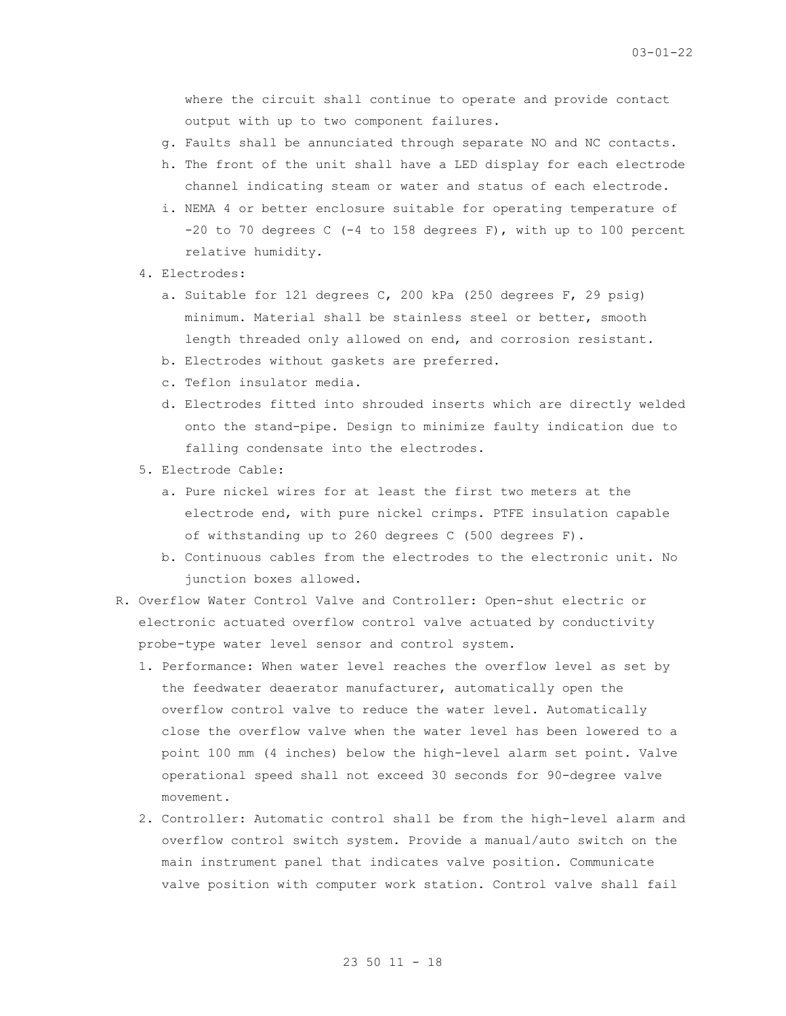where the circuit shall continue to operate and provide contact output with up to two component failures.

- g. Faults shall be annunciated through separate NO and NC contacts.
- h. The front of the unit shall have a LED display for each electrode channel indicating steam or water and status of each electrode.
- i. NEMA 4 or better enclosure suitable for operating temperature of -20 to 70 degrees C (-4 to 158 degrees F), with up to 100 percent relative humidity.
- 4. Electrodes:
	- a. Suitable for 121 degrees C, 200 kPa (250 degrees F, 29 psig) minimum. Material shall be stainless steel or better, smooth length threaded only allowed on end, and corrosion resistant.
	- b. Electrodes without gaskets are preferred.
	- c. Teflon insulator media.
	- d. Electrodes fitted into shrouded inserts which are directly welded onto the stand-pipe. Design to minimize faulty indication due to falling condensate into the electrodes.
- 5. Electrode Cable:
	- a. Pure nickel wires for at least the first two meters at the electrode end, with pure nickel crimps. PTFE insulation capable of withstanding up to 260 degrees C (500 degrees F).
	- b. Continuous cables from the electrodes to the electronic unit. No junction boxes allowed.
- R. Overflow Water Control Valve and Controller: Open-shut electric or electronic actuated overflow control valve actuated by conductivity probe-type water level sensor and control system.
	- 1. Performance: When water level reaches the overflow level as set by the feedwater deaerator manufacturer, automatically open the overflow control valve to reduce the water level. Automatically close the overflow valve when the water level has been lowered to a point 100 mm (4 inches) below the high-level alarm set point. Valve operational speed shall not exceed 30 seconds for 90-degree valve movement.
	- 2. Controller: Automatic control shall be from the high-level alarm and overflow control switch system. Provide a manual/auto switch on the main instrument panel that indicates valve position. Communicate valve position with computer work station. Control valve shall fail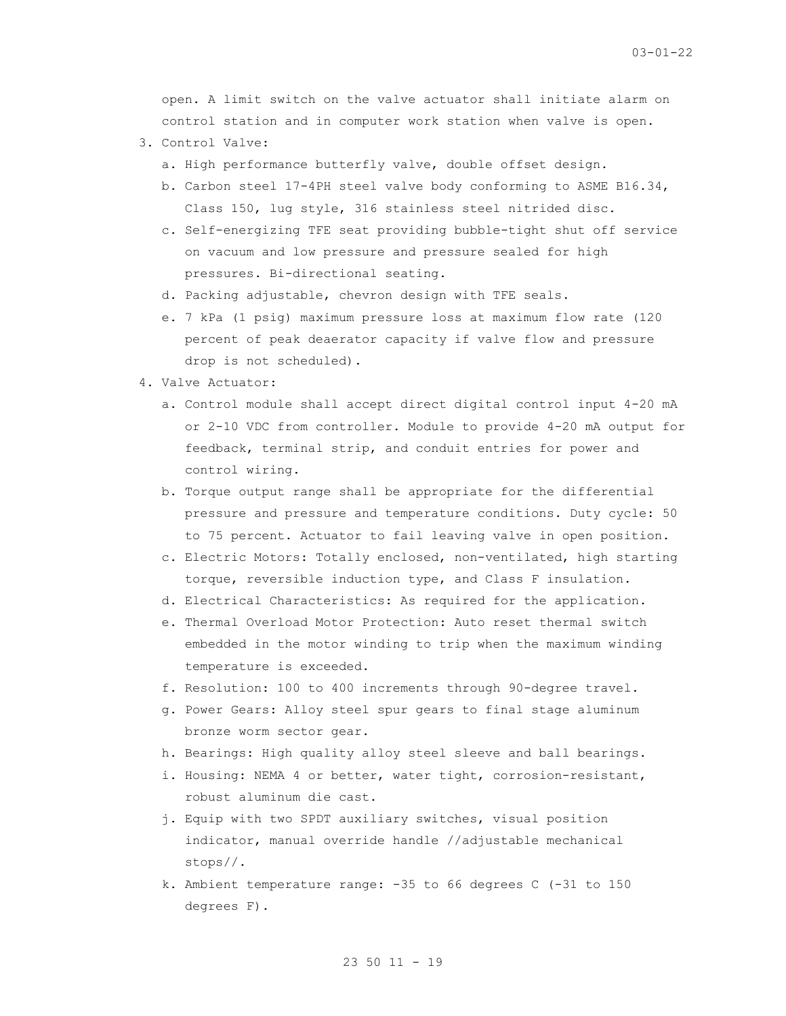open. A limit switch on the valve actuator shall initiate alarm on control station and in computer work station when valve is open.

- 3. Control Valve:
	- a. High performance butterfly valve, double offset design.
	- b. Carbon steel 17-4PH steel valve body conforming to ASME B16.34, Class 150, lug style, 316 stainless steel nitrided disc.
	- c. Self-energizing TFE seat providing bubble-tight shut off service on vacuum and low pressure and pressure sealed for high pressures. Bi-directional seating.
	- d. Packing adjustable, chevron design with TFE seals.
	- e. 7 kPa (1 psig) maximum pressure loss at maximum flow rate (120 percent of peak deaerator capacity if valve flow and pressure drop is not scheduled).
- 4. Valve Actuator:
	- a. Control module shall accept direct digital control input 4-20 mA or 2-10 VDC from controller. Module to provide 4-20 mA output for feedback, terminal strip, and conduit entries for power and control wiring.
	- b. Torque output range shall be appropriate for the differential pressure and pressure and temperature conditions. Duty cycle: 50 to 75 percent. Actuator to fail leaving valve in open position.
	- c. Electric Motors: Totally enclosed, non-ventilated, high starting torque, reversible induction type, and Class F insulation.
	- d. Electrical Characteristics: As required for the application.
	- e. Thermal Overload Motor Protection: Auto reset thermal switch embedded in the motor winding to trip when the maximum winding temperature is exceeded.
	- f. Resolution: 100 to 400 increments through 90-degree travel.
	- g. Power Gears: Alloy steel spur gears to final stage aluminum bronze worm sector gear.
	- h. Bearings: High quality alloy steel sleeve and ball bearings.
	- i. Housing: NEMA 4 or better, water tight, corrosion-resistant, robust aluminum die cast.
	- j. Equip with two SPDT auxiliary switches, visual position indicator, manual override handle //adjustable mechanical stops//.
	- k. Ambient temperature range: -35 to 66 degrees C (-31 to 150 degrees F).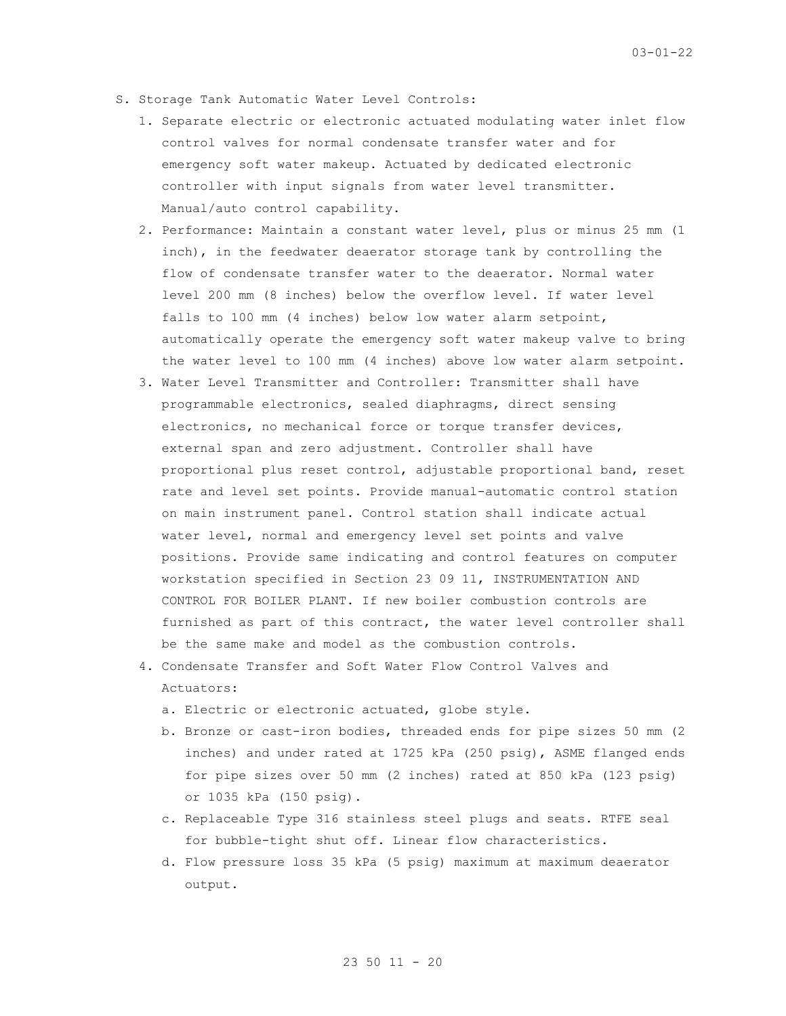- S. Storage Tank Automatic Water Level Controls:
	- 1. Separate electric or electronic actuated modulating water inlet flow control valves for normal condensate transfer water and for emergency soft water makeup. Actuated by dedicated electronic controller with input signals from water level transmitter. Manual/auto control capability.
	- 2. Performance: Maintain a constant water level, plus or minus 25 mm (1 inch), in the feedwater deaerator storage tank by controlling the flow of condensate transfer water to the deaerator. Normal water level 200 mm (8 inches) below the overflow level. If water level falls to 100 mm (4 inches) below low water alarm setpoint, automatically operate the emergency soft water makeup valve to bring the water level to 100 mm (4 inches) above low water alarm setpoint.
	- 3. Water Level Transmitter and Controller: Transmitter shall have programmable electronics, sealed diaphragms, direct sensing electronics, no mechanical force or torque transfer devices, external span and zero adjustment. Controller shall have proportional plus reset control, adjustable proportional band, reset rate and level set points. Provide manual-automatic control station on main instrument panel. Control station shall indicate actual water level, normal and emergency level set points and valve positions. Provide same indicating and control features on computer workstation specified in Section 23 09 11, INSTRUMENTATION AND CONTROL FOR BOILER PLANT. If new boiler combustion controls are furnished as part of this contract, the water level controller shall be the same make and model as the combustion controls.
	- 4. Condensate Transfer and Soft Water Flow Control Valves and Actuators:
		- a. Electric or electronic actuated, globe style.
		- b. Bronze or cast-iron bodies, threaded ends for pipe sizes 50 mm (2 inches) and under rated at 1725 kPa (250 psig), ASME flanged ends for pipe sizes over 50 mm (2 inches) rated at 850 kPa (123 psig) or 1035 kPa (150 psig).
		- c. Replaceable Type 316 stainless steel plugs and seats. RTFE seal for bubble-tight shut off. Linear flow characteristics.
		- d. Flow pressure loss 35 kPa (5 psig) maximum at maximum deaerator output.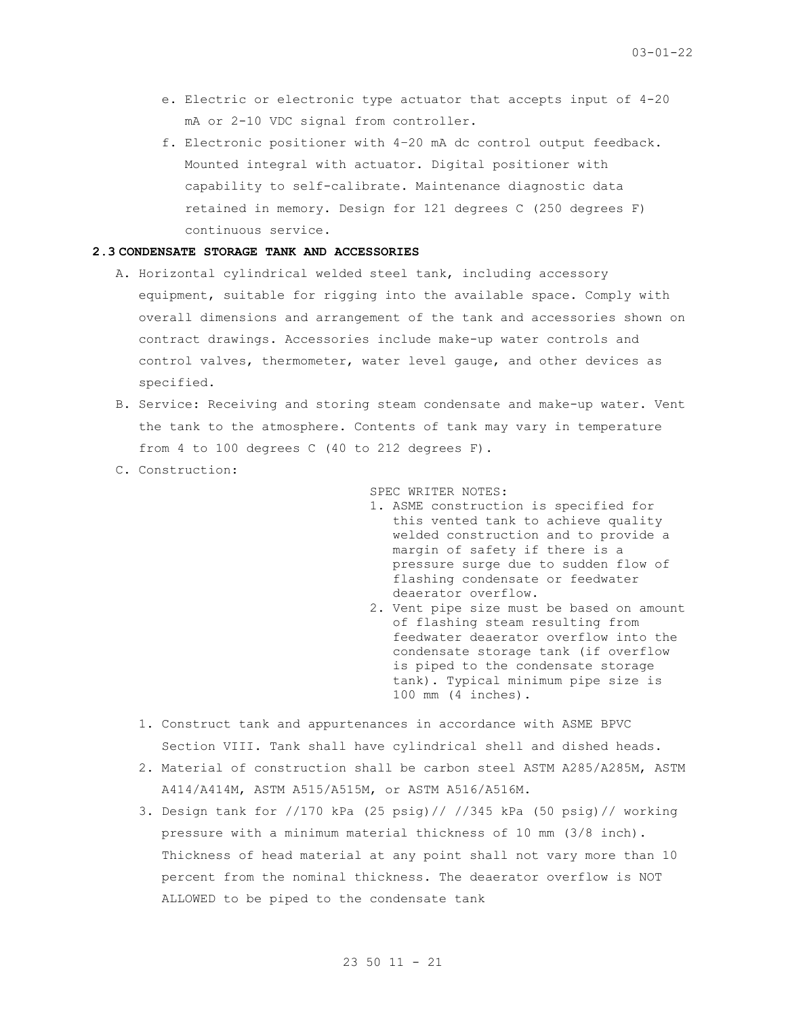- e. Electric or electronic type actuator that accepts input of 4-20 mA or 2-10 VDC signal from controller.
- f. Electronic positioner with 4–20 mA dc control output feedback. Mounted integral with actuator. Digital positioner with capability to self-calibrate. Maintenance diagnostic data retained in memory. Design for 121 degrees C (250 degrees F) continuous service.

### **2.3 CONDENSATE STORAGE TANK AND ACCESSORIES**

- A. Horizontal cylindrical welded steel tank, including accessory equipment, suitable for rigging into the available space. Comply with overall dimensions and arrangement of the tank and accessories shown on contract drawings. Accessories include make-up water controls and control valves, thermometer, water level gauge, and other devices as specified.
- B. Service: Receiving and storing steam condensate and make-up water. Vent the tank to the atmosphere. Contents of tank may vary in temperature from 4 to 100 degrees C (40 to 212 degrees F).
- C. Construction:

SPEC WRITER NOTES:

- 1. ASME construction is specified for this vented tank to achieve quality welded construction and to provide a margin of safety if there is a pressure surge due to sudden flow of flashing condensate or feedwater deaerator overflow.
- 2. Vent pipe size must be based on amount of flashing steam resulting from feedwater deaerator overflow into the condensate storage tank (if overflow is piped to the condensate storage tank). Typical minimum pipe size is 100 mm (4 inches).
- 1. Construct tank and appurtenances in accordance with ASME BPVC Section VIII. Tank shall have cylindrical shell and dished heads.
- 2. Material of construction shall be carbon steel ASTM A285/A285M, ASTM A414/A414M, ASTM A515/A515M, or ASTM A516/A516M.
- 3. Design tank for //170 kPa (25 psig)// //345 kPa (50 psig)// working pressure with a minimum material thickness of 10 mm (3/8 inch). Thickness of head material at any point shall not vary more than 10 percent from the nominal thickness. The deaerator overflow is NOT ALLOWED to be piped to the condensate tank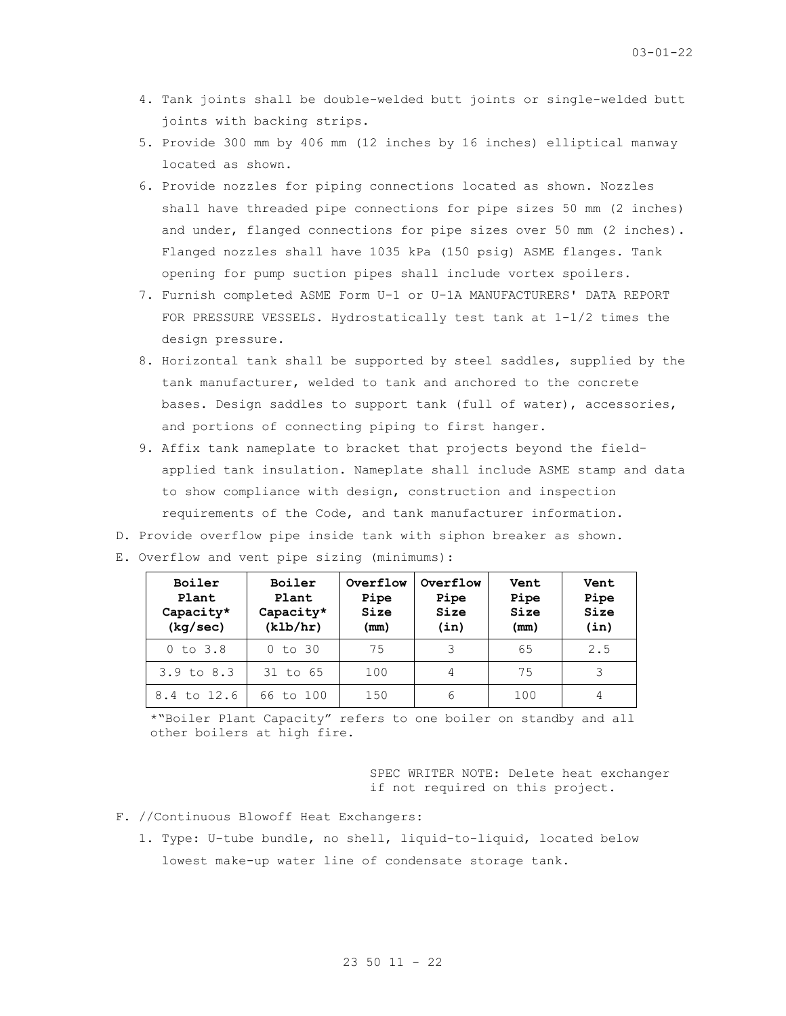- 4. Tank joints shall be double-welded butt joints or single-welded butt joints with backing strips.
- 5. Provide 300 mm by 406 mm (12 inches by 16 inches) elliptical manway located as shown.
- 6. Provide nozzles for piping connections located as shown. Nozzles shall have threaded pipe connections for pipe sizes 50 mm (2 inches) and under, flanged connections for pipe sizes over 50 mm (2 inches). Flanged nozzles shall have 1035 kPa (150 psig) ASME flanges. Tank opening for pump suction pipes shall include vortex spoilers.
- 7. Furnish completed ASME Form U-1 or U-1A MANUFACTURERS' DATA REPORT FOR PRESSURE VESSELS. Hydrostatically test tank at 1-1/2 times the design pressure.
- 8. Horizontal tank shall be supported by steel saddles, supplied by the tank manufacturer, welded to tank and anchored to the concrete bases. Design saddles to support tank (full of water), accessories, and portions of connecting piping to first hanger.
- 9. Affix tank nameplate to bracket that projects beyond the fieldapplied tank insulation. Nameplate shall include ASME stamp and data to show compliance with design, construction and inspection requirements of the Code, and tank manufacturer information.
- D. Provide overflow pipe inside tank with siphon breaker as shown.

| Boiler<br>Plant<br>Capacity*<br>(kq/sec) | Boiler<br>Plant<br>Capacity*<br>(klb/hr) | Overflow<br>Pipe<br>Size<br>(mm) | Overflow<br>Pipe<br>Size<br>(in) | Vent<br>Pipe<br>Size<br>(mm) | Vent<br>Pipe<br>Size<br>(in) |
|------------------------------------------|------------------------------------------|----------------------------------|----------------------------------|------------------------------|------------------------------|
| 0 to 3.8                                 | $0$ to $30$                              | 75                               |                                  | 65                           | 2.5                          |
| $3.9 \text{ to } 8.3$                    | 31 to 65                                 | 100                              | 4                                | 75                           |                              |
| 8.4 to 12.6                              | 66 to 100                                | 150                              | 6                                | 100                          |                              |

E. Overflow and vent pipe sizing (minimums):

\*"Boiler Plant Capacity" refers to one boiler on standby and all other boilers at high fire.

> SPEC WRITER NOTE: Delete heat exchanger if not required on this project.

- F. //Continuous Blowoff Heat Exchangers:
	- 1. Type: U-tube bundle, no shell, liquid-to-liquid, located below lowest make-up water line of condensate storage tank.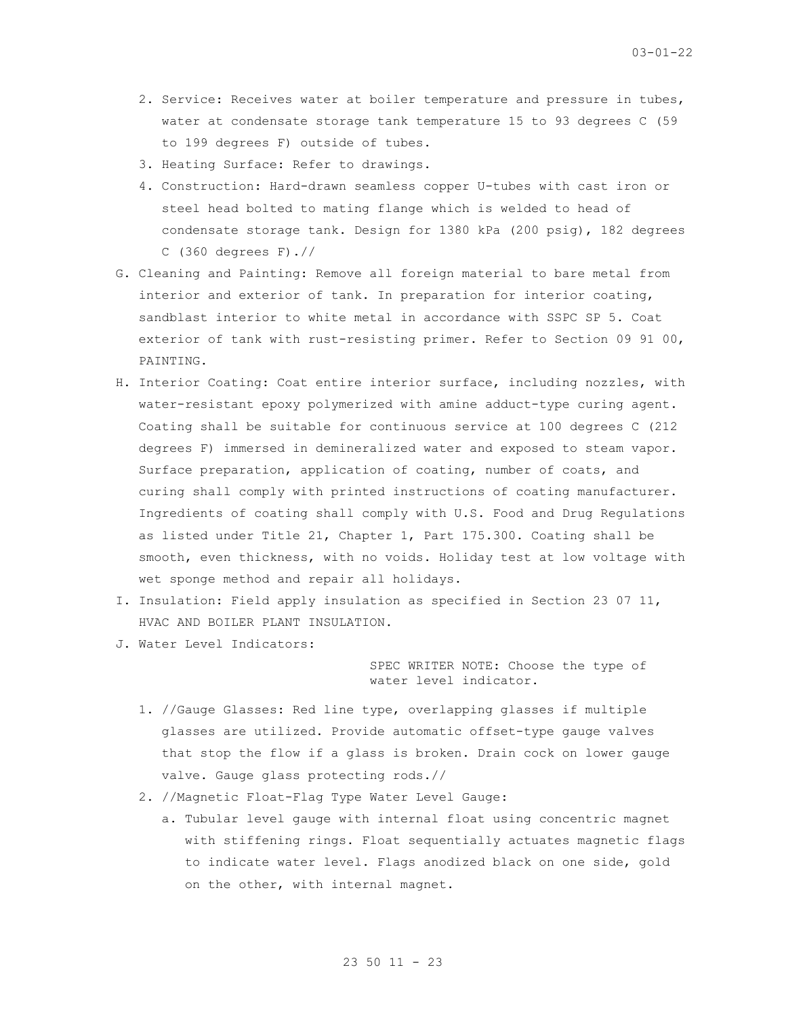- 2. Service: Receives water at boiler temperature and pressure in tubes, water at condensate storage tank temperature 15 to 93 degrees C (59 to 199 degrees F) outside of tubes.
- 3. Heating Surface: Refer to drawings.
- 4. Construction: Hard-drawn seamless copper U-tubes with cast iron or steel head bolted to mating flange which is welded to head of condensate storage tank. Design for 1380 kPa (200 psig), 182 degrees C (360 degrees F).//
- G. Cleaning and Painting: Remove all foreign material to bare metal from interior and exterior of tank. In preparation for interior coating, sandblast interior to white metal in accordance with SSPC SP 5. Coat exterior of tank with rust-resisting primer. Refer to Section 09 91 00, PAINTING.
- H. Interior Coating: Coat entire interior surface, including nozzles, with water-resistant epoxy polymerized with amine adduct-type curing agent. Coating shall be suitable for continuous service at 100 degrees C (212 degrees F) immersed in demineralized water and exposed to steam vapor. Surface preparation, application of coating, number of coats, and curing shall comply with printed instructions of coating manufacturer. Ingredients of coating shall comply with U.S. Food and Drug Regulations as listed under Title 21, Chapter 1, Part 175.300. Coating shall be smooth, even thickness, with no voids. Holiday test at low voltage with wet sponge method and repair all holidays.
- I. Insulation: Field apply insulation as specified in Section 23 07 11, HVAC AND BOILER PLANT INSULATION.
- J. Water Level Indicators:

SPEC WRITER NOTE: Choose the type of water level indicator.

- 1. //Gauge Glasses: Red line type, overlapping glasses if multiple glasses are utilized. Provide automatic offset-type gauge valves that stop the flow if a glass is broken. Drain cock on lower gauge valve. Gauge glass protecting rods.//
- 2. //Magnetic Float-Flag Type Water Level Gauge:
	- a. Tubular level gauge with internal float using concentric magnet with stiffening rings. Float sequentially actuates magnetic flags to indicate water level. Flags anodized black on one side, gold on the other, with internal magnet.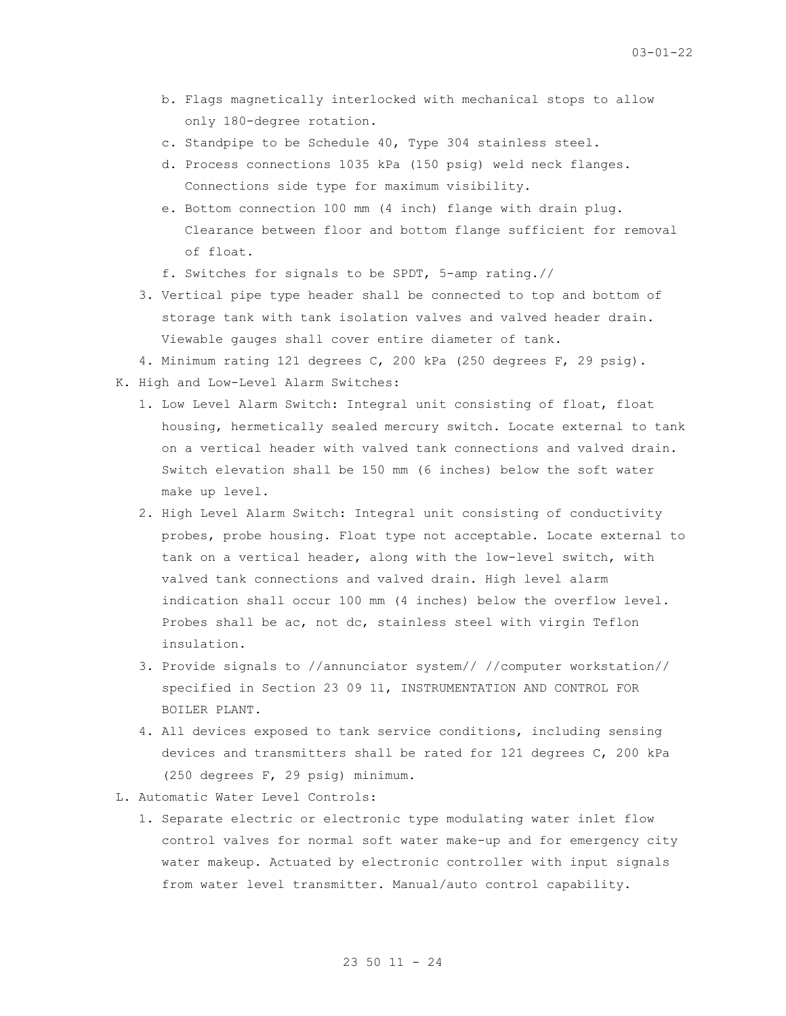- b. Flags magnetically interlocked with mechanical stops to allow only 180-degree rotation.
- c. Standpipe to be Schedule 40, Type 304 stainless steel.
- d. Process connections 1035 kPa (150 psig) weld neck flanges. Connections side type for maximum visibility.
- e. Bottom connection 100 mm (4 inch) flange with drain plug. Clearance between floor and bottom flange sufficient for removal of float.
- f. Switches for signals to be SPDT, 5-amp rating.//
- 3. Vertical pipe type header shall be connected to top and bottom of storage tank with tank isolation valves and valved header drain. Viewable gauges shall cover entire diameter of tank.
- 4. Minimum rating 121 degrees C, 200 kPa (250 degrees F, 29 psig).
- K. High and Low-Level Alarm Switches:
	- 1. Low Level Alarm Switch: Integral unit consisting of float, float housing, hermetically sealed mercury switch. Locate external to tank on a vertical header with valved tank connections and valved drain. Switch elevation shall be 150 mm (6 inches) below the soft water make up level.
	- 2. High Level Alarm Switch: Integral unit consisting of conductivity probes, probe housing. Float type not acceptable. Locate external to tank on a vertical header, along with the low-level switch, with valved tank connections and valved drain. High level alarm indication shall occur 100 mm (4 inches) below the overflow level. Probes shall be ac, not dc, stainless steel with virgin Teflon insulation.
	- 3. Provide signals to //annunciator system// //computer workstation// specified in Section 23 09 11, INSTRUMENTATION AND CONTROL FOR BOILER PLANT.
	- 4. All devices exposed to tank service conditions, including sensing devices and transmitters shall be rated for 121 degrees C, 200 kPa (250 degrees F, 29 psig) minimum.
- L. Automatic Water Level Controls:
	- 1. Separate electric or electronic type modulating water inlet flow control valves for normal soft water make-up and for emergency city water makeup. Actuated by electronic controller with input signals from water level transmitter. Manual/auto control capability.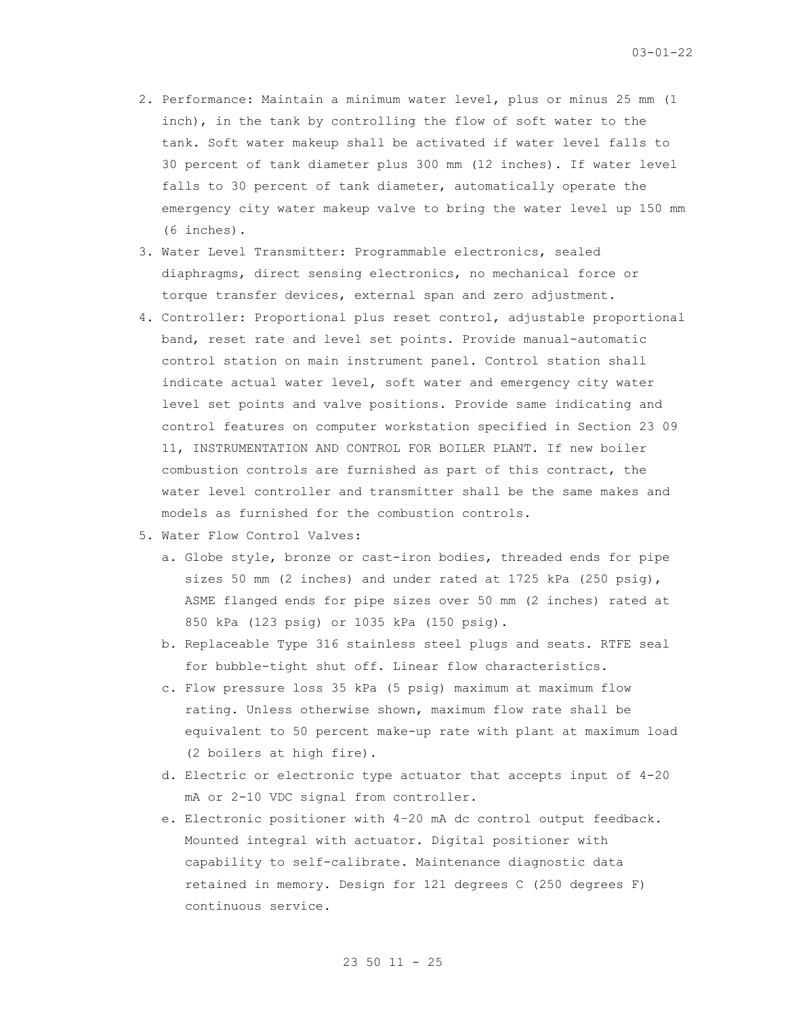- 2. Performance: Maintain a minimum water level, plus or minus 25 mm (1 inch), in the tank by controlling the flow of soft water to the tank. Soft water makeup shall be activated if water level falls to 30 percent of tank diameter plus 300 mm (12 inches). If water level falls to 30 percent of tank diameter, automatically operate the emergency city water makeup valve to bring the water level up 150 mm (6 inches).
- 3. Water Level Transmitter: Programmable electronics, sealed diaphragms, direct sensing electronics, no mechanical force or torque transfer devices, external span and zero adjustment.
- 4. Controller: Proportional plus reset control, adjustable proportional band, reset rate and level set points. Provide manual-automatic control station on main instrument panel. Control station shall indicate actual water level, soft water and emergency city water level set points and valve positions. Provide same indicating and control features on computer workstation specified in Section 23 09 11, INSTRUMENTATION AND CONTROL FOR BOILER PLANT. If new boiler combustion controls are furnished as part of this contract, the water level controller and transmitter shall be the same makes and models as furnished for the combustion controls.
- 5. Water Flow Control Valves:
	- a. Globe style, bronze or cast-iron bodies, threaded ends for pipe sizes 50 mm (2 inches) and under rated at 1725 kPa (250 psig), ASME flanged ends for pipe sizes over 50 mm (2 inches) rated at 850 kPa (123 psig) or 1035 kPa (150 psig).
	- b. Replaceable Type 316 stainless steel plugs and seats. RTFE seal for bubble-tight shut off. Linear flow characteristics.
	- c. Flow pressure loss 35 kPa (5 psig) maximum at maximum flow rating. Unless otherwise shown, maximum flow rate shall be equivalent to 50 percent make-up rate with plant at maximum load (2 boilers at high fire).
	- d. Electric or electronic type actuator that accepts input of 4-20 mA or 2-10 VDC signal from controller.
	- e. Electronic positioner with 4–20 mA dc control output feedback. Mounted integral with actuator. Digital positioner with capability to self-calibrate. Maintenance diagnostic data retained in memory. Design for 121 degrees C (250 degrees F) continuous service.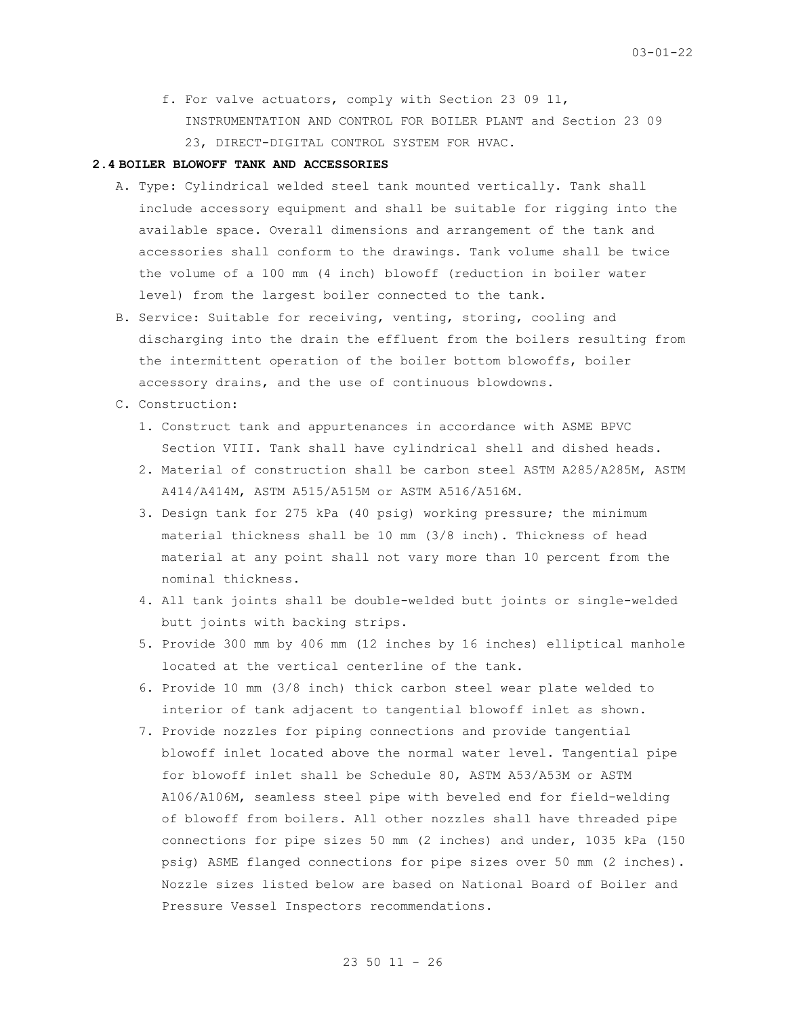f. For valve actuators, comply with Section 23 09 11, INSTRUMENTATION AND CONTROL FOR BOILER PLANT and Section 23 09 23, DIRECT-DIGITAL CONTROL SYSTEM FOR HVAC.

# **2.4 BOILER BLOWOFF TANK AND ACCESSORIES**

- A. Type: Cylindrical welded steel tank mounted vertically. Tank shall include accessory equipment and shall be suitable for rigging into the available space. Overall dimensions and arrangement of the tank and accessories shall conform to the drawings. Tank volume shall be twice the volume of a 100 mm (4 inch) blowoff (reduction in boiler water level) from the largest boiler connected to the tank.
- B. Service: Suitable for receiving, venting, storing, cooling and discharging into the drain the effluent from the boilers resulting from the intermittent operation of the boiler bottom blowoffs, boiler accessory drains, and the use of continuous blowdowns.
- C. Construction:
	- 1. Construct tank and appurtenances in accordance with ASME BPVC Section VIII. Tank shall have cylindrical shell and dished heads.
	- 2. Material of construction shall be carbon steel ASTM A285/A285M, ASTM A414/A414M, ASTM A515/A515M or ASTM A516/A516M.
	- 3. Design tank for 275 kPa (40 psig) working pressure; the minimum material thickness shall be 10 mm (3/8 inch). Thickness of head material at any point shall not vary more than 10 percent from the nominal thickness.
	- 4. All tank joints shall be double-welded butt joints or single-welded butt joints with backing strips.
	- 5. Provide 300 mm by 406 mm (12 inches by 16 inches) elliptical manhole located at the vertical centerline of the tank.
	- 6. Provide 10 mm (3/8 inch) thick carbon steel wear plate welded to interior of tank adjacent to tangential blowoff inlet as shown.
	- 7. Provide nozzles for piping connections and provide tangential blowoff inlet located above the normal water level. Tangential pipe for blowoff inlet shall be Schedule 80, ASTM A53/A53M or ASTM A106/A106M, seamless steel pipe with beveled end for field-welding of blowoff from boilers. All other nozzles shall have threaded pipe connections for pipe sizes 50 mm (2 inches) and under, 1035 kPa (150 psig) ASME flanged connections for pipe sizes over 50 mm (2 inches). Nozzle sizes listed below are based on National Board of Boiler and Pressure Vessel Inspectors recommendations.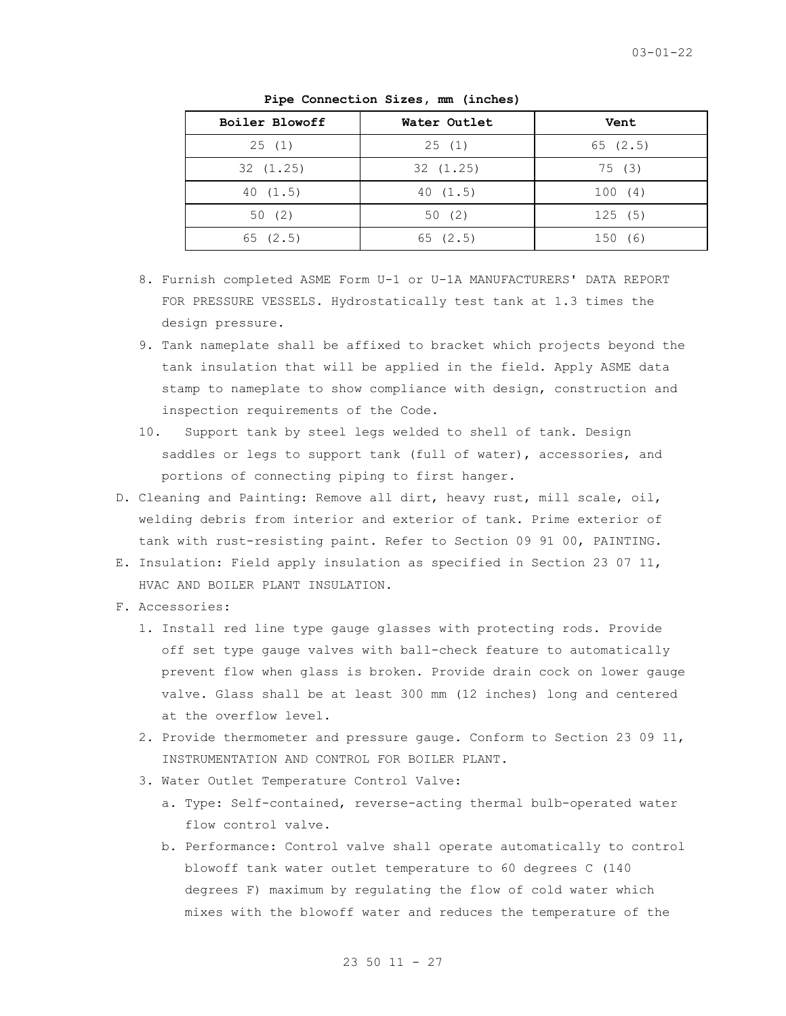| Boiler Blowoff | Water Outlet | Vent    |  |
|----------------|--------------|---------|--|
| 25(1)          | 25(1)        | 65(2.5) |  |
| 32 (1.25)      | 32(1.25)     | 75 (3)  |  |
| 40(1.5)        | 40(1.5)      | 100(4)  |  |
| 50(2)          | 50 (2)       | 125(5)  |  |
| 65(2.5)        | 65(2.5)      | 150 (6) |  |

**Pipe Connection Sizes, mm (inches)**

- 8. Furnish completed ASME Form U-1 or U-1A MANUFACTURERS' DATA REPORT FOR PRESSURE VESSELS. Hydrostatically test tank at 1.3 times the design pressure.
- 9. Tank nameplate shall be affixed to bracket which projects beyond the tank insulation that will be applied in the field. Apply ASME data stamp to nameplate to show compliance with design, construction and inspection requirements of the Code.
- 10. Support tank by steel legs welded to shell of tank. Design saddles or legs to support tank (full of water), accessories, and portions of connecting piping to first hanger.
- D. Cleaning and Painting: Remove all dirt, heavy rust, mill scale, oil, welding debris from interior and exterior of tank. Prime exterior of tank with rust-resisting paint. Refer to Section 09 91 00, PAINTING.
- E. Insulation: Field apply insulation as specified in Section 23 07 11, HVAC AND BOILER PLANT INSULATION.
- F. Accessories:
	- 1. Install red line type gauge glasses with protecting rods. Provide off set type gauge valves with ball-check feature to automatically prevent flow when glass is broken. Provide drain cock on lower gauge valve. Glass shall be at least 300 mm (12 inches) long and centered at the overflow level.
	- 2. Provide thermometer and pressure gauge. Conform to Section 23 09 11, INSTRUMENTATION AND CONTROL FOR BOILER PLANT.
	- 3. Water Outlet Temperature Control Valve:
		- a. Type: Self-contained, reverse-acting thermal bulb-operated water flow control valve.
		- b. Performance: Control valve shall operate automatically to control blowoff tank water outlet temperature to 60 degrees C (140 degrees F) maximum by regulating the flow of cold water which mixes with the blowoff water and reduces the temperature of the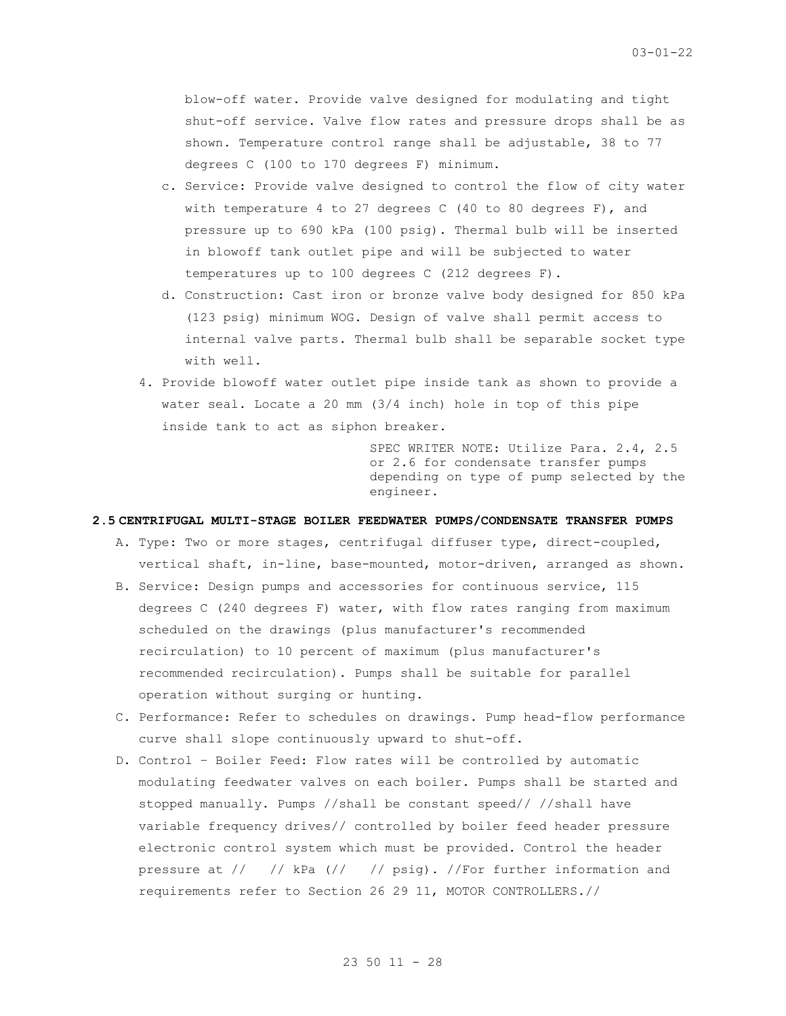blow-off water. Provide valve designed for modulating and tight shut-off service. Valve flow rates and pressure drops shall be as shown. Temperature control range shall be adjustable, 38 to 77 degrees C (100 to 170 degrees F) minimum.

- c. Service: Provide valve designed to control the flow of city water with temperature 4 to 27 degrees C (40 to 80 degrees F), and pressure up to 690 kPa (100 psig). Thermal bulb will be inserted in blowoff tank outlet pipe and will be subjected to water temperatures up to 100 degrees C (212 degrees F).
- d. Construction: Cast iron or bronze valve body designed for 850 kPa (123 psig) minimum WOG. Design of valve shall permit access to internal valve parts. Thermal bulb shall be separable socket type with well.
- 4. Provide blowoff water outlet pipe inside tank as shown to provide a water seal. Locate a 20 mm (3/4 inch) hole in top of this pipe inside tank to act as siphon breaker.

SPEC WRITER NOTE: Utilize Para. 2.4, 2.5 or 2.6 for condensate transfer pumps depending on type of pump selected by the engineer.

### **2.5 CENTRIFUGAL MULTI-STAGE BOILER FEEDWATER PUMPS/CONDENSATE TRANSFER PUMPS**

- A. Type: Two or more stages, centrifugal diffuser type, direct-coupled, vertical shaft, in-line, base-mounted, motor-driven, arranged as shown.
- B. Service: Design pumps and accessories for continuous service, 115 degrees C (240 degrees F) water, with flow rates ranging from maximum scheduled on the drawings (plus manufacturer's recommended recirculation) to 10 percent of maximum (plus manufacturer's recommended recirculation). Pumps shall be suitable for parallel operation without surging or hunting.
- C. Performance: Refer to schedules on drawings. Pump head-flow performance curve shall slope continuously upward to shut-off.
- D. Control Boiler Feed: Flow rates will be controlled by automatic modulating feedwater valves on each boiler. Pumps shall be started and stopped manually. Pumps //shall be constant speed// //shall have variable frequency drives// controlled by boiler feed header pressure electronic control system which must be provided. Control the header pressure at // // kPa (// // psig). //For further information and requirements refer to Section 26 29 11, MOTOR CONTROLLERS.//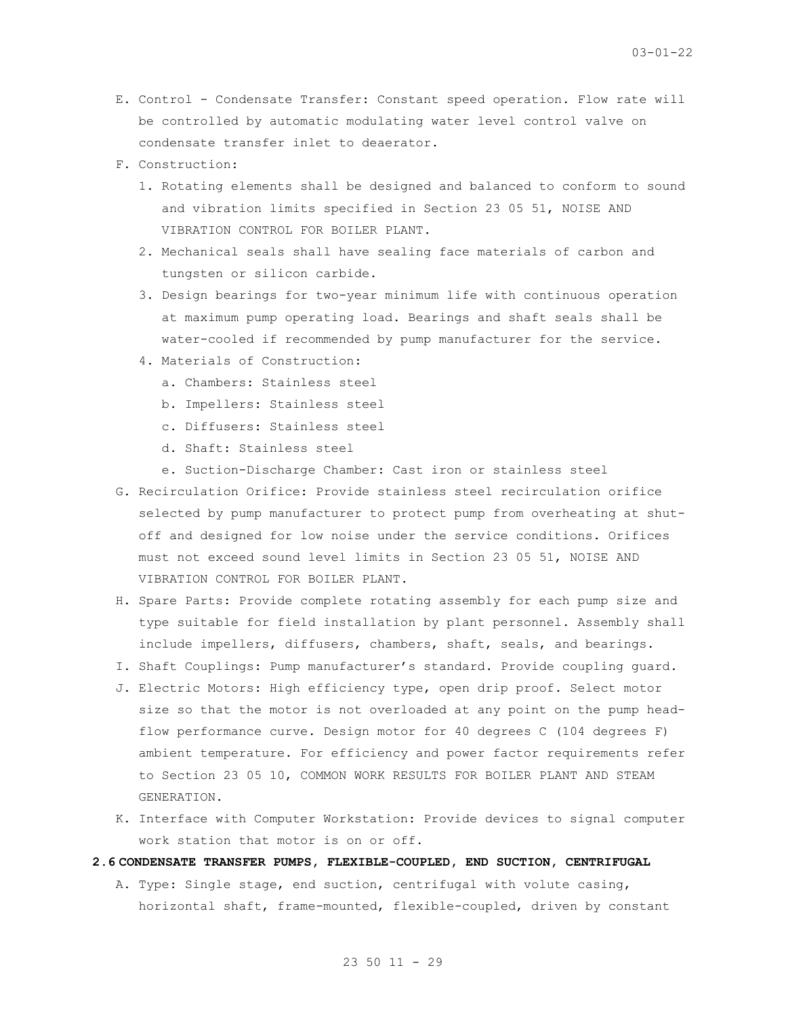- E. Control Condensate Transfer: Constant speed operation. Flow rate will be controlled by automatic modulating water level control valve on condensate transfer inlet to deaerator.
- F. Construction:
	- 1. Rotating elements shall be designed and balanced to conform to sound and vibration limits specified in Section 23 05 51, NOISE AND VIBRATION CONTROL FOR BOILER PLANT.
	- 2. Mechanical seals shall have sealing face materials of carbon and tungsten or silicon carbide.
	- 3. Design bearings for two-year minimum life with continuous operation at maximum pump operating load. Bearings and shaft seals shall be water-cooled if recommended by pump manufacturer for the service.
	- 4. Materials of Construction:
		- a. Chambers: Stainless steel
		- b. Impellers: Stainless steel
		- c. Diffusers: Stainless steel
		- d. Shaft: Stainless steel
		- e. Suction-Discharge Chamber: Cast iron or stainless steel
- G. Recirculation Orifice: Provide stainless steel recirculation orifice selected by pump manufacturer to protect pump from overheating at shutoff and designed for low noise under the service conditions. Orifices must not exceed sound level limits in Section 23 05 51, NOISE AND VIBRATION CONTROL FOR BOILER PLANT.
- H. Spare Parts: Provide complete rotating assembly for each pump size and type suitable for field installation by plant personnel. Assembly shall include impellers, diffusers, chambers, shaft, seals, and bearings.
- I. Shaft Couplings: Pump manufacturer's standard. Provide coupling guard.
- J. Electric Motors: High efficiency type, open drip proof. Select motor size so that the motor is not overloaded at any point on the pump headflow performance curve. Design motor for 40 degrees C (104 degrees F) ambient temperature. For efficiency and power factor requirements refer to Section 23 05 10, COMMON WORK RESULTS FOR BOILER PLANT AND STEAM GENERATION.
- K. Interface with Computer Workstation: Provide devices to signal computer work station that motor is on or off.

# **2.6 CONDENSATE TRANSFER PUMPS, FLEXIBLE-COUPLED, END SUCTION, CENTRIFUGAL**

A. Type: Single stage, end suction, centrifugal with volute casing, horizontal shaft, frame-mounted, flexible-coupled, driven by constant

### 23 50 11 - 29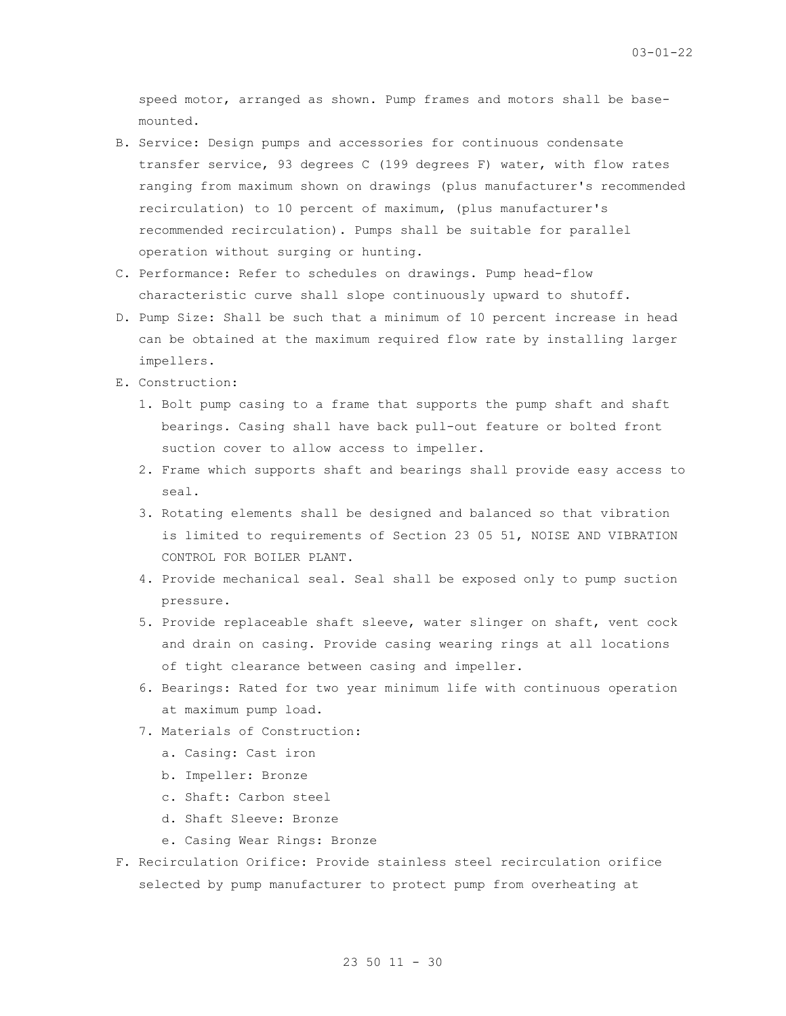speed motor, arranged as shown. Pump frames and motors shall be basemounted.

- B. Service: Design pumps and accessories for continuous condensate transfer service, 93 degrees C (199 degrees F) water, with flow rates ranging from maximum shown on drawings (plus manufacturer's recommended recirculation) to 10 percent of maximum, (plus manufacturer's recommended recirculation). Pumps shall be suitable for parallel operation without surging or hunting.
- C. Performance: Refer to schedules on drawings. Pump head-flow characteristic curve shall slope continuously upward to shutoff.
- D. Pump Size: Shall be such that a minimum of 10 percent increase in head can be obtained at the maximum required flow rate by installing larger impellers.
- E. Construction:
	- 1. Bolt pump casing to a frame that supports the pump shaft and shaft bearings. Casing shall have back pull-out feature or bolted front suction cover to allow access to impeller.
	- 2. Frame which supports shaft and bearings shall provide easy access to seal.
	- 3. Rotating elements shall be designed and balanced so that vibration is limited to requirements of Section 23 05 51, NOISE AND VIBRATION CONTROL FOR BOILER PLANT.
	- 4. Provide mechanical seal. Seal shall be exposed only to pump suction pressure.
	- 5. Provide replaceable shaft sleeve, water slinger on shaft, vent cock and drain on casing. Provide casing wearing rings at all locations of tight clearance between casing and impeller.
	- 6. Bearings: Rated for two year minimum life with continuous operation at maximum pump load.
	- 7. Materials of Construction:
		- a. Casing: Cast iron
		- b. Impeller: Bronze
		- c. Shaft: Carbon steel
		- d. Shaft Sleeve: Bronze
		- e. Casing Wear Rings: Bronze
- F. Recirculation Orifice: Provide stainless steel recirculation orifice selected by pump manufacturer to protect pump from overheating at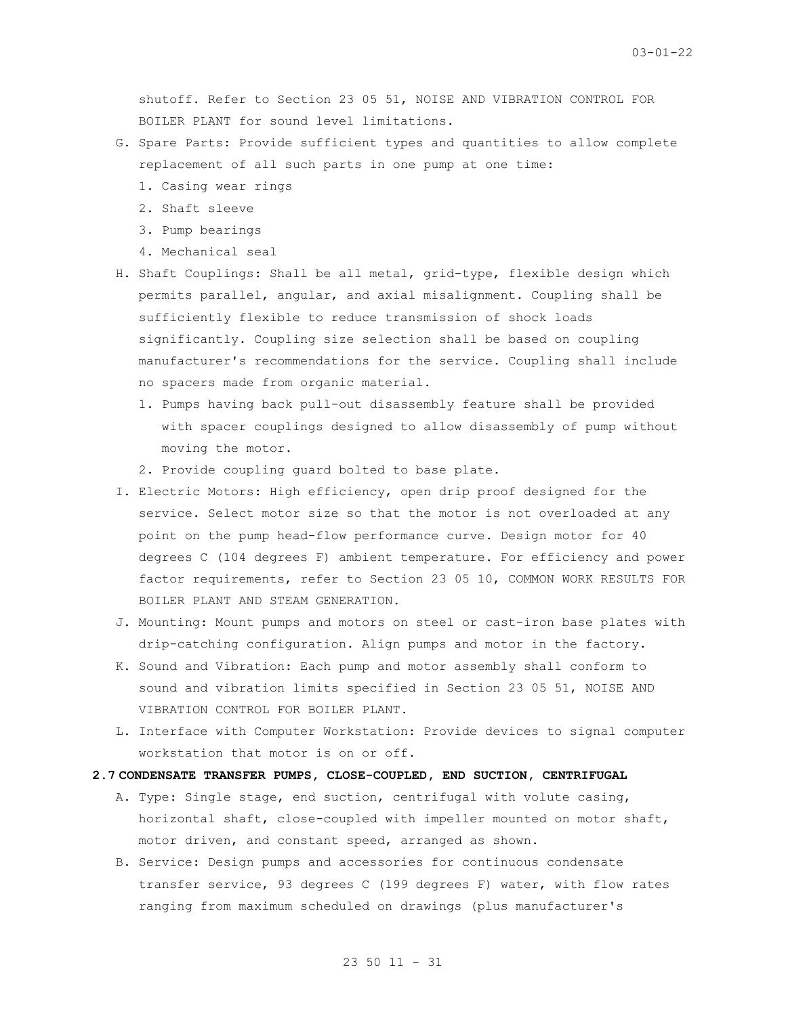shutoff. Refer to Section 23 05 51, NOISE AND VIBRATION CONTROL FOR BOILER PLANT for sound level limitations.

- G. Spare Parts: Provide sufficient types and quantities to allow complete replacement of all such parts in one pump at one time:
	- 1. Casing wear rings
	- 2. Shaft sleeve
	- 3. Pump bearings
	- 4. Mechanical seal
- H. Shaft Couplings: Shall be all metal, grid-type, flexible design which permits parallel, angular, and axial misalignment. Coupling shall be sufficiently flexible to reduce transmission of shock loads significantly. Coupling size selection shall be based on coupling manufacturer's recommendations for the service. Coupling shall include no spacers made from organic material.
	- 1. Pumps having back pull-out disassembly feature shall be provided with spacer couplings designed to allow disassembly of pump without moving the motor.
	- 2. Provide coupling guard bolted to base plate.
- I. Electric Motors: High efficiency, open drip proof designed for the service. Select motor size so that the motor is not overloaded at any point on the pump head-flow performance curve. Design motor for 40 degrees C (104 degrees F) ambient temperature. For efficiency and power factor requirements, refer to Section 23 05 10, COMMON WORK RESULTS FOR BOILER PLANT AND STEAM GENERATION.
- J. Mounting: Mount pumps and motors on steel or cast-iron base plates with drip-catching configuration. Align pumps and motor in the factory.
- K. Sound and Vibration: Each pump and motor assembly shall conform to sound and vibration limits specified in Section 23 05 51, NOISE AND VIBRATION CONTROL FOR BOILER PLANT.
- L. Interface with Computer Workstation: Provide devices to signal computer workstation that motor is on or off.
- **2.7 CONDENSATE TRANSFER PUMPS, CLOSE-COUPLED, END SUCTION, CENTRIFUGAL**
	- A. Type: Single stage, end suction, centrifugal with volute casing, horizontal shaft, close-coupled with impeller mounted on motor shaft, motor driven, and constant speed, arranged as shown.
	- B. Service: Design pumps and accessories for continuous condensate transfer service, 93 degrees C (199 degrees F) water, with flow rates ranging from maximum scheduled on drawings (plus manufacturer's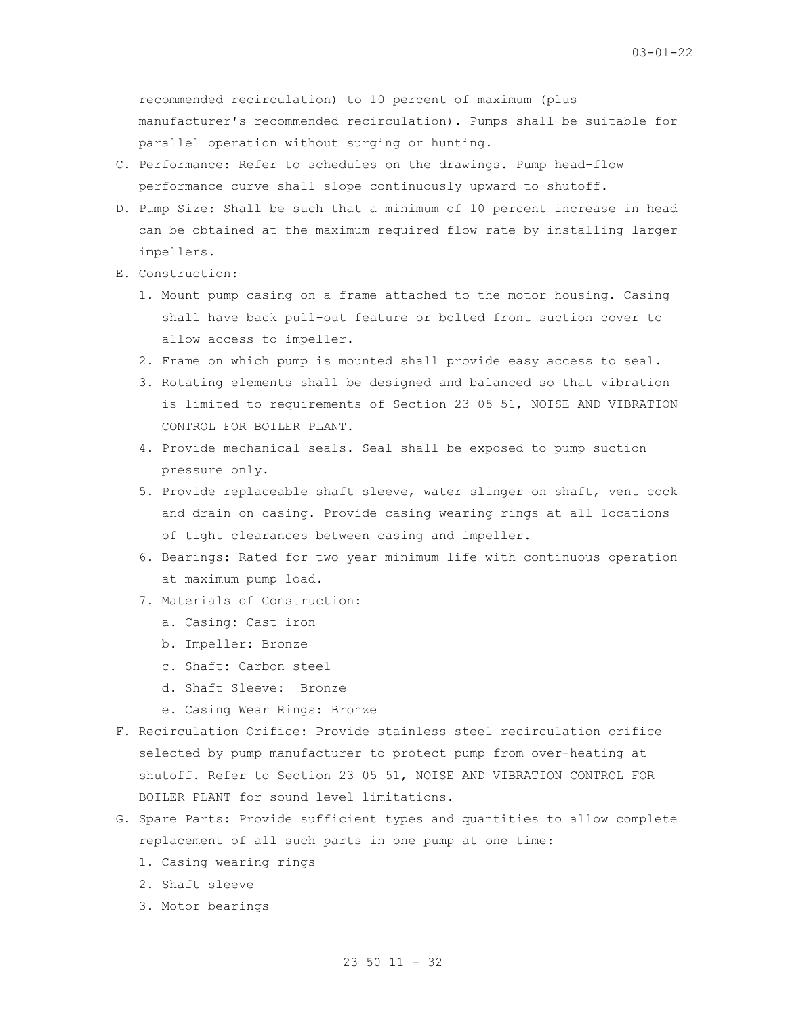recommended recirculation) to 10 percent of maximum (plus manufacturer's recommended recirculation). Pumps shall be suitable for parallel operation without surging or hunting.

- C. Performance: Refer to schedules on the drawings. Pump head-flow performance curve shall slope continuously upward to shutoff.
- D. Pump Size: Shall be such that a minimum of 10 percent increase in head can be obtained at the maximum required flow rate by installing larger impellers.
- E. Construction:
	- 1. Mount pump casing on a frame attached to the motor housing. Casing shall have back pull-out feature or bolted front suction cover to allow access to impeller.
	- 2. Frame on which pump is mounted shall provide easy access to seal.
	- 3. Rotating elements shall be designed and balanced so that vibration is limited to requirements of Section 23 05 51, NOISE AND VIBRATION CONTROL FOR BOILER PLANT.
	- 4. Provide mechanical seals. Seal shall be exposed to pump suction pressure only.
	- 5. Provide replaceable shaft sleeve, water slinger on shaft, vent cock and drain on casing. Provide casing wearing rings at all locations of tight clearances between casing and impeller.
	- 6. Bearings: Rated for two year minimum life with continuous operation at maximum pump load.
	- 7. Materials of Construction:
		- a. Casing: Cast iron
		- b. Impeller: Bronze
		- c. Shaft: Carbon steel
		- d. Shaft Sleeve: Bronze
		- e. Casing Wear Rings: Bronze
- F. Recirculation Orifice: Provide stainless steel recirculation orifice selected by pump manufacturer to protect pump from over-heating at shutoff. Refer to Section 23 05 51, NOISE AND VIBRATION CONTROL FOR BOILER PLANT for sound level limitations.
- G. Spare Parts: Provide sufficient types and quantities to allow complete replacement of all such parts in one pump at one time:
	- 1. Casing wearing rings
	- 2. Shaft sleeve
	- 3. Motor bearings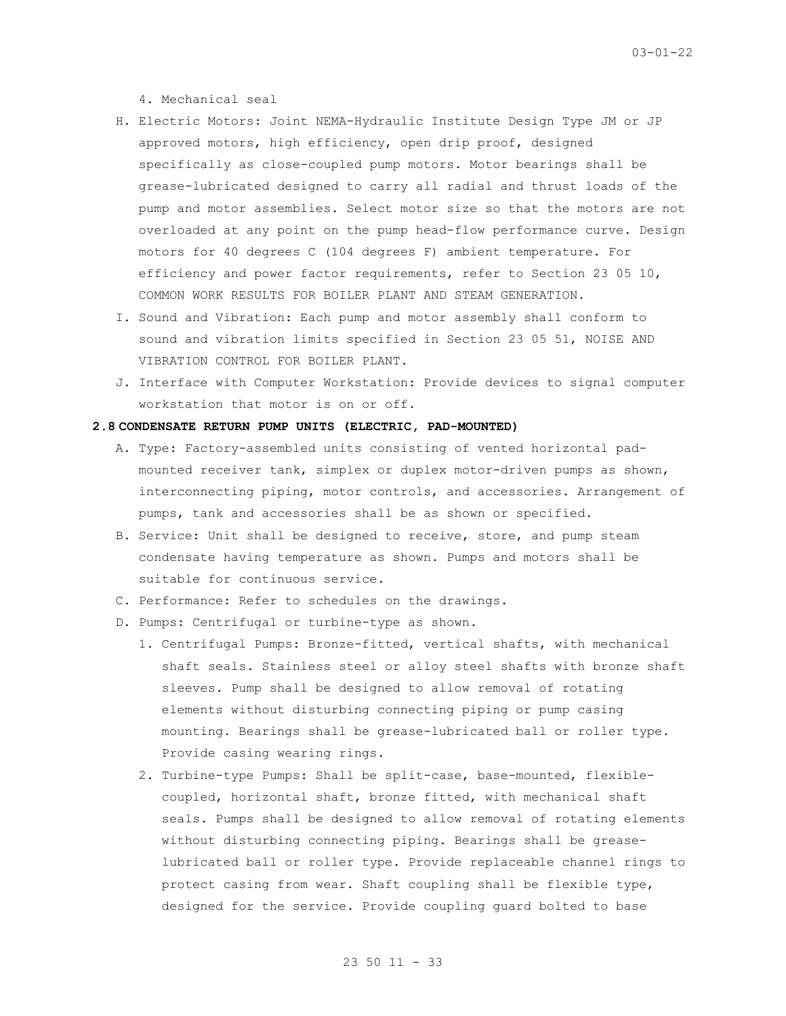4. Mechanical seal

- H. Electric Motors: Joint NEMA-Hydraulic Institute Design Type JM or JP approved motors, high efficiency, open drip proof, designed specifically as close-coupled pump motors. Motor bearings shall be grease-lubricated designed to carry all radial and thrust loads of the pump and motor assemblies. Select motor size so that the motors are not overloaded at any point on the pump head-flow performance curve. Design motors for 40 degrees C (104 degrees F) ambient temperature. For efficiency and power factor requirements, refer to Section 23 05 10, COMMON WORK RESULTS FOR BOILER PLANT AND STEAM GENERATION.
- I. Sound and Vibration: Each pump and motor assembly shall conform to sound and vibration limits specified in Section 23 05 51, NOISE AND VIBRATION CONTROL FOR BOILER PLANT.
- J. Interface with Computer Workstation: Provide devices to signal computer workstation that motor is on or off.

### **2.8 CONDENSATE RETURN PUMP UNITS (ELECTRIC, PAD-MOUNTED)**

- A. Type: Factory-assembled units consisting of vented horizontal padmounted receiver tank, simplex or duplex motor-driven pumps as shown, interconnecting piping, motor controls, and accessories. Arrangement of pumps, tank and accessories shall be as shown or specified.
- B. Service: Unit shall be designed to receive, store, and pump steam condensate having temperature as shown. Pumps and motors shall be suitable for continuous service.
- C. Performance: Refer to schedules on the drawings.
- D. Pumps: Centrifugal or turbine-type as shown.
	- 1. Centrifugal Pumps: Bronze-fitted, vertical shafts, with mechanical shaft seals. Stainless steel or alloy steel shafts with bronze shaft sleeves. Pump shall be designed to allow removal of rotating elements without disturbing connecting piping or pump casing mounting. Bearings shall be grease-lubricated ball or roller type. Provide casing wearing rings.
	- 2. Turbine-type Pumps: Shall be split-case, base-mounted, flexiblecoupled, horizontal shaft, bronze fitted, with mechanical shaft seals. Pumps shall be designed to allow removal of rotating elements without disturbing connecting piping. Bearings shall be greaselubricated ball or roller type. Provide replaceable channel rings to protect casing from wear. Shaft coupling shall be flexible type, designed for the service. Provide coupling guard bolted to base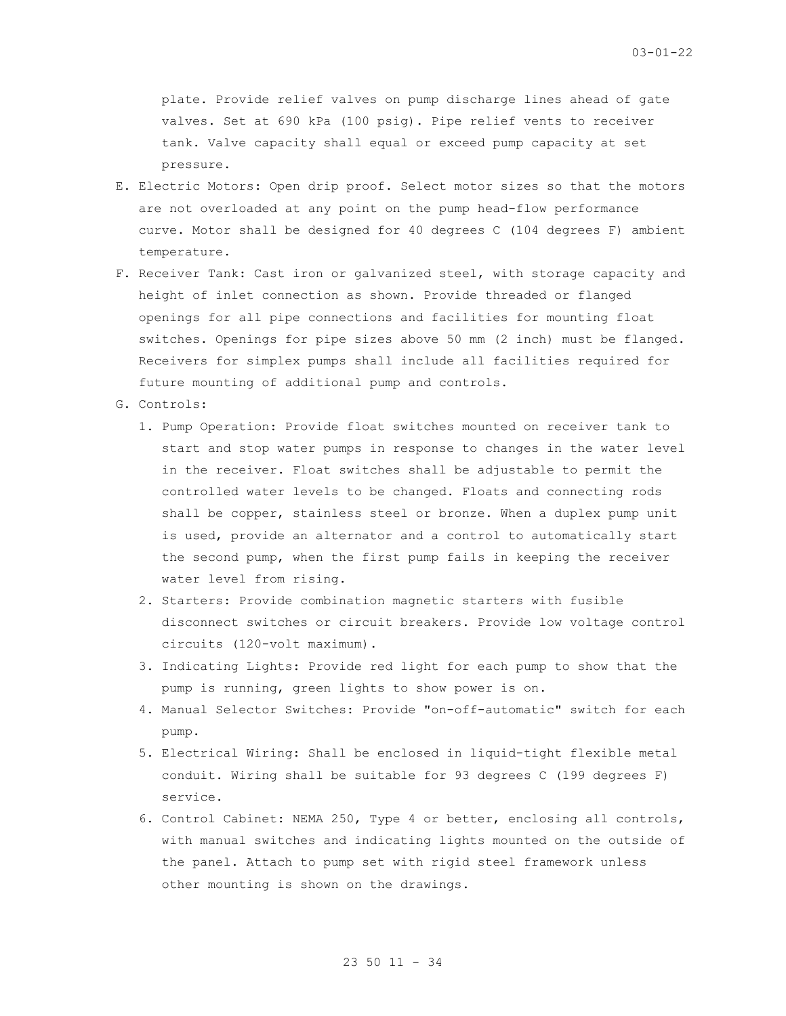plate. Provide relief valves on pump discharge lines ahead of gate valves. Set at 690 kPa (100 psig). Pipe relief vents to receiver tank. Valve capacity shall equal or exceed pump capacity at set pressure.

- E. Electric Motors: Open drip proof. Select motor sizes so that the motors are not overloaded at any point on the pump head-flow performance curve. Motor shall be designed for 40 degrees C (104 degrees F) ambient temperature.
- F. Receiver Tank: Cast iron or galvanized steel, with storage capacity and height of inlet connection as shown. Provide threaded or flanged openings for all pipe connections and facilities for mounting float switches. Openings for pipe sizes above 50 mm (2 inch) must be flanged. Receivers for simplex pumps shall include all facilities required for future mounting of additional pump and controls.
- G. Controls:
	- 1. Pump Operation: Provide float switches mounted on receiver tank to start and stop water pumps in response to changes in the water level in the receiver. Float switches shall be adjustable to permit the controlled water levels to be changed. Floats and connecting rods shall be copper, stainless steel or bronze. When a duplex pump unit is used, provide an alternator and a control to automatically start the second pump, when the first pump fails in keeping the receiver water level from rising.
	- 2. Starters: Provide combination magnetic starters with fusible disconnect switches or circuit breakers. Provide low voltage control circuits (120-volt maximum).
	- 3. Indicating Lights: Provide red light for each pump to show that the pump is running, green lights to show power is on.
	- 4. Manual Selector Switches: Provide "on-off-automatic" switch for each pump.
	- 5. Electrical Wiring: Shall be enclosed in liquid-tight flexible metal conduit. Wiring shall be suitable for 93 degrees C (199 degrees F) service.
	- 6. Control Cabinet: NEMA 250, Type 4 or better, enclosing all controls, with manual switches and indicating lights mounted on the outside of the panel. Attach to pump set with rigid steel framework unless other mounting is shown on the drawings.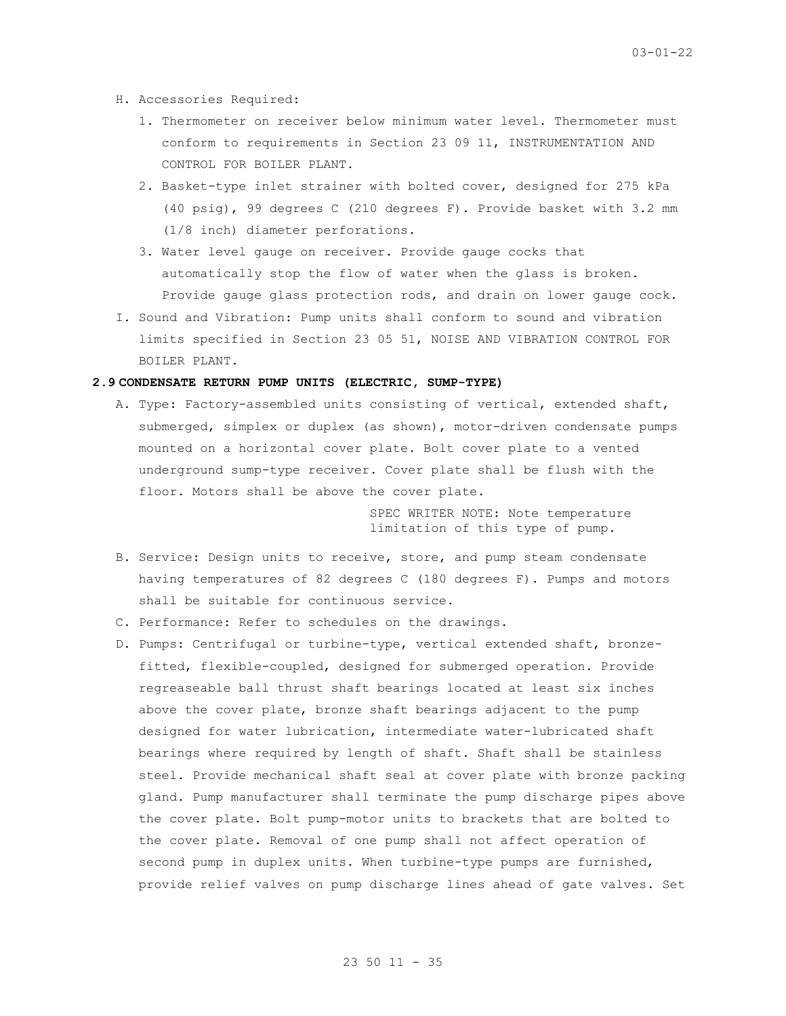- H. Accessories Required:
	- 1. Thermometer on receiver below minimum water level. Thermometer must conform to requirements in Section 23 09 11, INSTRUMENTATION AND CONTROL FOR BOILER PLANT.
	- 2. Basket-type inlet strainer with bolted cover, designed for 275 kPa (40 psig), 99 degrees C (210 degrees F). Provide basket with 3.2 mm (1/8 inch) diameter perforations.
	- 3. Water level gauge on receiver. Provide gauge cocks that automatically stop the flow of water when the glass is broken. Provide gauge glass protection rods, and drain on lower gauge cock.
- I. Sound and Vibration: Pump units shall conform to sound and vibration limits specified in Section 23 05 51, NOISE AND VIBRATION CONTROL FOR BOILER PLANT.

#### **2.9 CONDENSATE RETURN PUMP UNITS (ELECTRIC, SUMP-TYPE)**

A. Type: Factory-assembled units consisting of vertical, extended shaft, submerged, simplex or duplex (as shown), motor-driven condensate pumps mounted on a horizontal cover plate. Bolt cover plate to a vented underground sump-type receiver. Cover plate shall be flush with the floor. Motors shall be above the cover plate.

> SPEC WRITER NOTE: Note temperature limitation of this type of pump.

- B. Service: Design units to receive, store, and pump steam condensate having temperatures of 82 degrees C (180 degrees F). Pumps and motors shall be suitable for continuous service.
- C. Performance: Refer to schedules on the drawings.
- D. Pumps: Centrifugal or turbine-type, vertical extended shaft, bronzefitted, flexible-coupled, designed for submerged operation. Provide regreaseable ball thrust shaft bearings located at least six inches above the cover plate, bronze shaft bearings adjacent to the pump designed for water lubrication, intermediate water-lubricated shaft bearings where required by length of shaft. Shaft shall be stainless steel. Provide mechanical shaft seal at cover plate with bronze packing gland. Pump manufacturer shall terminate the pump discharge pipes above the cover plate. Bolt pump-motor units to brackets that are bolted to the cover plate. Removal of one pump shall not affect operation of second pump in duplex units. When turbine-type pumps are furnished, provide relief valves on pump discharge lines ahead of gate valves. Set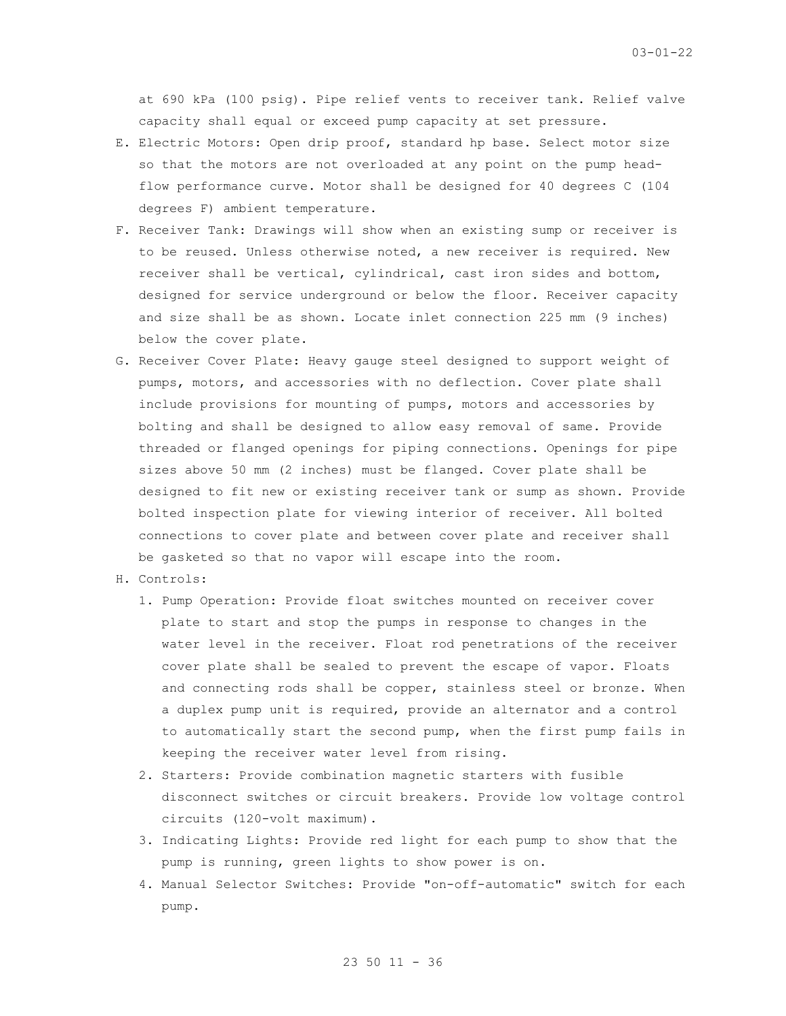at 690 kPa (100 psig). Pipe relief vents to receiver tank. Relief valve capacity shall equal or exceed pump capacity at set pressure.

- E. Electric Motors: Open drip proof, standard hp base. Select motor size so that the motors are not overloaded at any point on the pump headflow performance curve. Motor shall be designed for 40 degrees C (104 degrees F) ambient temperature.
- F. Receiver Tank: Drawings will show when an existing sump or receiver is to be reused. Unless otherwise noted, a new receiver is required. New receiver shall be vertical, cylindrical, cast iron sides and bottom, designed for service underground or below the floor. Receiver capacity and size shall be as shown. Locate inlet connection 225 mm (9 inches) below the cover plate.
- G. Receiver Cover Plate: Heavy gauge steel designed to support weight of pumps, motors, and accessories with no deflection. Cover plate shall include provisions for mounting of pumps, motors and accessories by bolting and shall be designed to allow easy removal of same. Provide threaded or flanged openings for piping connections. Openings for pipe sizes above 50 mm (2 inches) must be flanged. Cover plate shall be designed to fit new or existing receiver tank or sump as shown. Provide bolted inspection plate for viewing interior of receiver. All bolted connections to cover plate and between cover plate and receiver shall be gasketed so that no vapor will escape into the room.
- H. Controls:
	- 1. Pump Operation: Provide float switches mounted on receiver cover plate to start and stop the pumps in response to changes in the water level in the receiver. Float rod penetrations of the receiver cover plate shall be sealed to prevent the escape of vapor. Floats and connecting rods shall be copper, stainless steel or bronze. When a duplex pump unit is required, provide an alternator and a control to automatically start the second pump, when the first pump fails in keeping the receiver water level from rising.
	- 2. Starters: Provide combination magnetic starters with fusible disconnect switches or circuit breakers. Provide low voltage control circuits (120-volt maximum).
	- 3. Indicating Lights: Provide red light for each pump to show that the pump is running, green lights to show power is on.
	- 4. Manual Selector Switches: Provide "on-off-automatic" switch for each pump.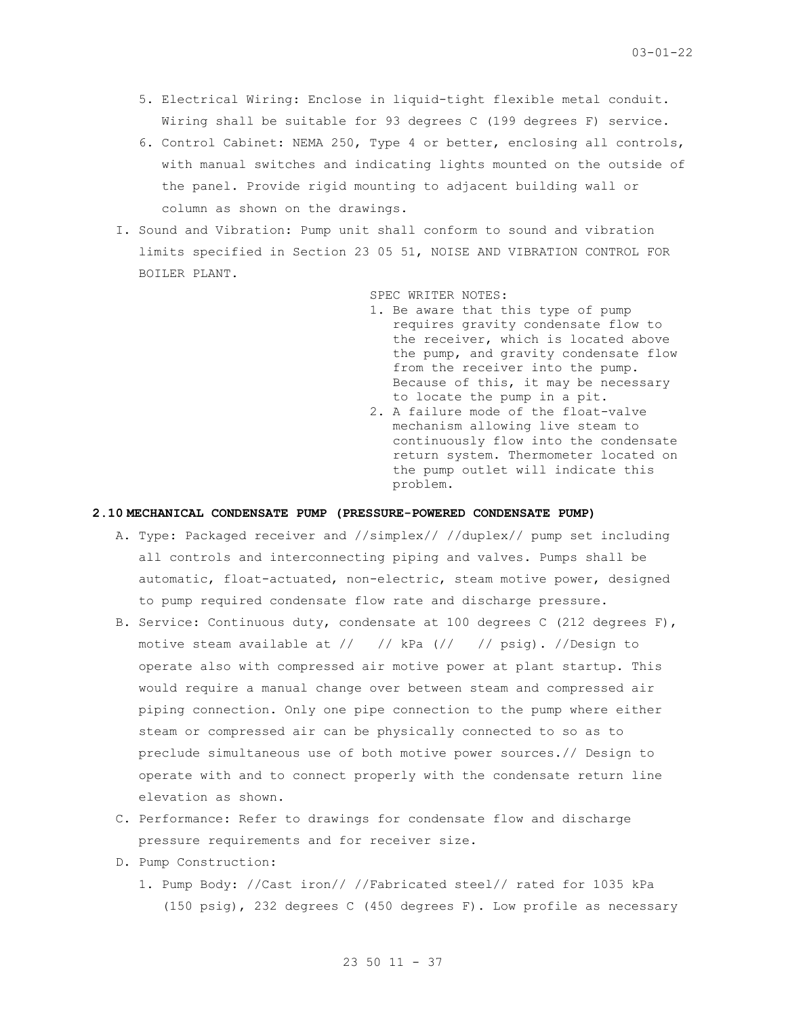- 5. Electrical Wiring: Enclose in liquid-tight flexible metal conduit. Wiring shall be suitable for 93 degrees C (199 degrees F) service.
- 6. Control Cabinet: NEMA 250, Type 4 or better, enclosing all controls, with manual switches and indicating lights mounted on the outside of the panel. Provide rigid mounting to adjacent building wall or column as shown on the drawings.
- I. Sound and Vibration: Pump unit shall conform to sound and vibration limits specified in Section 23 05 51, NOISE AND VIBRATION CONTROL FOR BOILER PLANT.

SPEC WRITER NOTES:

- 1. Be aware that this type of pump requires gravity condensate flow to the receiver, which is located above the pump, and gravity condensate flow from the receiver into the pump. Because of this, it may be necessary to locate the pump in a pit.
- 2. A failure mode of the float-valve mechanism allowing live steam to continuously flow into the condensate return system. Thermometer located on the pump outlet will indicate this problem.

#### **2.10 MECHANICAL CONDENSATE PUMP (PRESSURE-POWERED CONDENSATE PUMP)**

- A. Type: Packaged receiver and //simplex// //duplex// pump set including all controls and interconnecting piping and valves. Pumps shall be automatic, float-actuated, non-electric, steam motive power, designed to pump required condensate flow rate and discharge pressure.
- B. Service: Continuous duty, condensate at 100 degrees C (212 degrees F), motive steam available at // // kPa (// // psig). //Design to operate also with compressed air motive power at plant startup. This would require a manual change over between steam and compressed air piping connection. Only one pipe connection to the pump where either steam or compressed air can be physically connected to so as to preclude simultaneous use of both motive power sources.// Design to operate with and to connect properly with the condensate return line elevation as shown.
- C. Performance: Refer to drawings for condensate flow and discharge pressure requirements and for receiver size.
- D. Pump Construction:
	- 1. Pump Body: //Cast iron// //Fabricated steel// rated for 1035 kPa (150 psig), 232 degrees C (450 degrees F). Low profile as necessary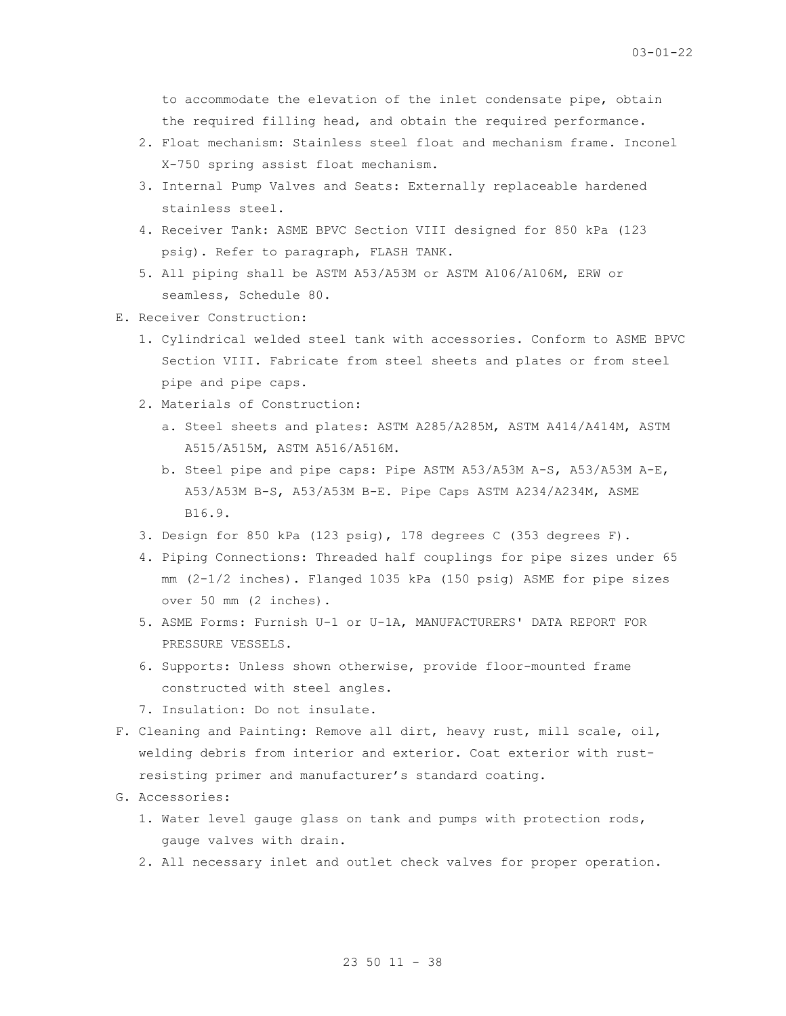to accommodate the elevation of the inlet condensate pipe, obtain the required filling head, and obtain the required performance.

- 2. Float mechanism: Stainless steel float and mechanism frame. Inconel X-750 spring assist float mechanism.
- 3. Internal Pump Valves and Seats: Externally replaceable hardened stainless steel.
- 4. Receiver Tank: ASME BPVC Section VIII designed for 850 kPa (123 psig). Refer to paragraph, FLASH TANK.
- 5. All piping shall be ASTM A53/A53M or ASTM A106/A106M, ERW or seamless, Schedule 80.
- E. Receiver Construction:
	- 1. Cylindrical welded steel tank with accessories. Conform to ASME BPVC Section VIII. Fabricate from steel sheets and plates or from steel pipe and pipe caps.
	- 2. Materials of Construction:
		- a. Steel sheets and plates: ASTM A285/A285M, ASTM A414/A414M, ASTM A515/A515M, ASTM A516/A516M.
		- b. Steel pipe and pipe caps: Pipe ASTM A53/A53M A-S, A53/A53M A-E, A53/A53M B-S, A53/A53M B-E. Pipe Caps ASTM A234/A234M, ASME B16.9.
	- 3. Design for 850 kPa (123 psig), 178 degrees C (353 degrees F).
	- 4. Piping Connections: Threaded half couplings for pipe sizes under 65 mm (2-1/2 inches). Flanged 1035 kPa (150 psig) ASME for pipe sizes over 50 mm (2 inches).
	- 5. ASME Forms: Furnish U-1 or U-1A, MANUFACTURERS' DATA REPORT FOR PRESSURE VESSELS.
	- 6. Supports: Unless shown otherwise, provide floor-mounted frame constructed with steel angles.
	- 7. Insulation: Do not insulate.
- F. Cleaning and Painting: Remove all dirt, heavy rust, mill scale, oil, welding debris from interior and exterior. Coat exterior with rustresisting primer and manufacturer's standard coating.
- G. Accessories:
	- 1. Water level gauge glass on tank and pumps with protection rods, gauge valves with drain.
	- 2. All necessary inlet and outlet check valves for proper operation.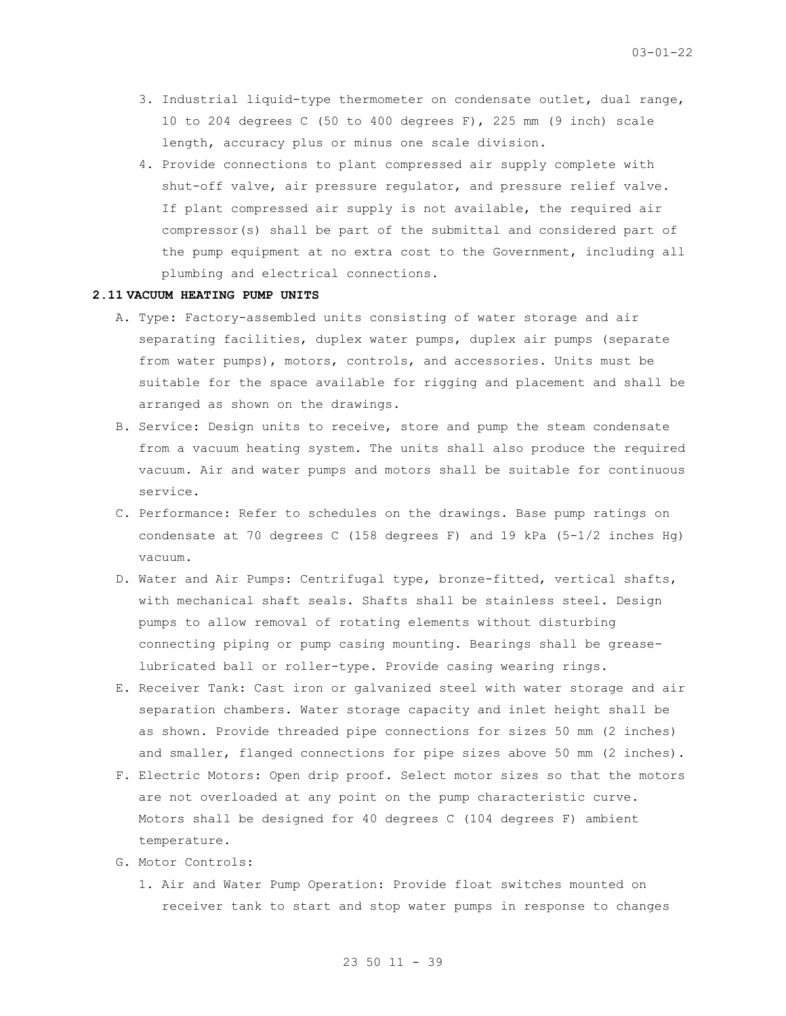- 3. Industrial liquid-type thermometer on condensate outlet, dual range, 10 to 204 degrees C (50 to 400 degrees F), 225 mm (9 inch) scale length, accuracy plus or minus one scale division.
- 4. Provide connections to plant compressed air supply complete with shut-off valve, air pressure regulator, and pressure relief valve. If plant compressed air supply is not available, the required air compressor(s) shall be part of the submittal and considered part of the pump equipment at no extra cost to the Government, including all plumbing and electrical connections.

#### **2.11 VACUUM HEATING PUMP UNITS**

- A. Type: Factory-assembled units consisting of water storage and air separating facilities, duplex water pumps, duplex air pumps (separate from water pumps), motors, controls, and accessories. Units must be suitable for the space available for rigging and placement and shall be arranged as shown on the drawings.
- B. Service: Design units to receive, store and pump the steam condensate from a vacuum heating system. The units shall also produce the required vacuum. Air and water pumps and motors shall be suitable for continuous service.
- C. Performance: Refer to schedules on the drawings. Base pump ratings on condensate at 70 degrees C (158 degrees F) and 19 kPa (5-1/2 inches Hg) vacuum.
- D. Water and Air Pumps: Centrifugal type, bronze-fitted, vertical shafts, with mechanical shaft seals. Shafts shall be stainless steel. Design pumps to allow removal of rotating elements without disturbing connecting piping or pump casing mounting. Bearings shall be greaselubricated ball or roller-type. Provide casing wearing rings.
- E. Receiver Tank: Cast iron or galvanized steel with water storage and air separation chambers. Water storage capacity and inlet height shall be as shown. Provide threaded pipe connections for sizes 50 mm (2 inches) and smaller, flanged connections for pipe sizes above 50 mm (2 inches).
- F. Electric Motors: Open drip proof. Select motor sizes so that the motors are not overloaded at any point on the pump characteristic curve. Motors shall be designed for 40 degrees C (104 degrees F) ambient temperature.
- G. Motor Controls:
	- 1. Air and Water Pump Operation: Provide float switches mounted on receiver tank to start and stop water pumps in response to changes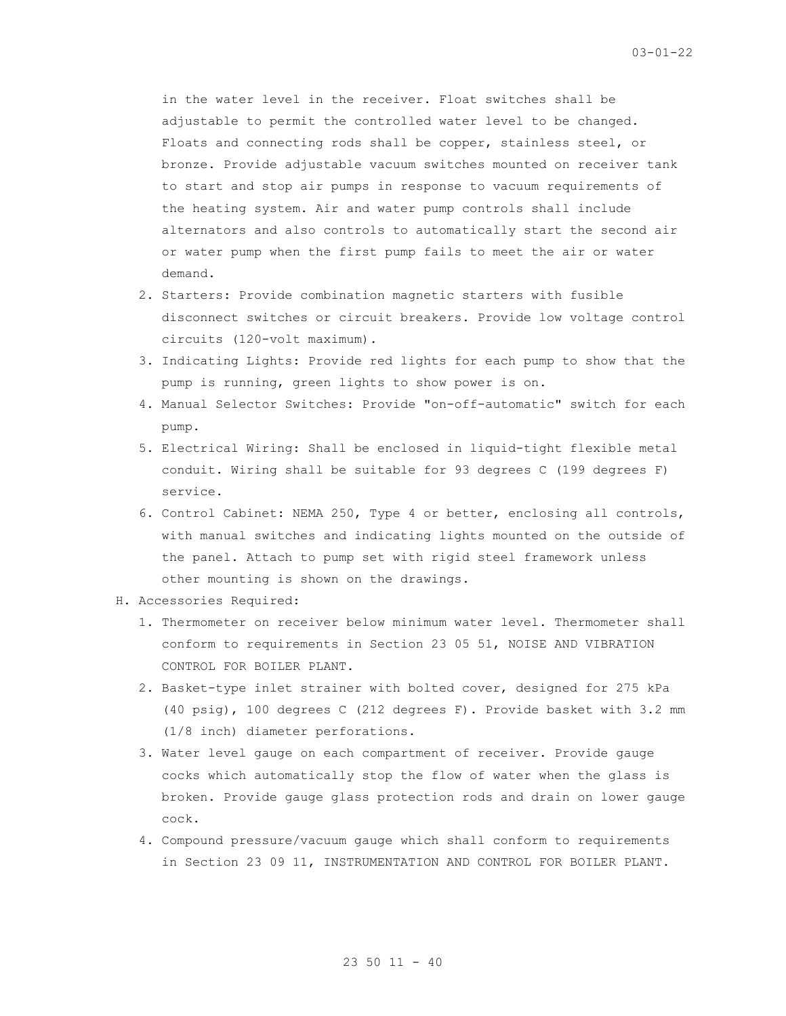in the water level in the receiver. Float switches shall be adjustable to permit the controlled water level to be changed. Floats and connecting rods shall be copper, stainless steel, or bronze. Provide adjustable vacuum switches mounted on receiver tank to start and stop air pumps in response to vacuum requirements of the heating system. Air and water pump controls shall include alternators and also controls to automatically start the second air or water pump when the first pump fails to meet the air or water demand.

- 2. Starters: Provide combination magnetic starters with fusible disconnect switches or circuit breakers. Provide low voltage control circuits (120-volt maximum).
- 3. Indicating Lights: Provide red lights for each pump to show that the pump is running, green lights to show power is on.
- 4. Manual Selector Switches: Provide "on-off-automatic" switch for each pump.
- 5. Electrical Wiring: Shall be enclosed in liquid-tight flexible metal conduit. Wiring shall be suitable for 93 degrees C (199 degrees F) service.
- 6. Control Cabinet: NEMA 250, Type 4 or better, enclosing all controls, with manual switches and indicating lights mounted on the outside of the panel. Attach to pump set with rigid steel framework unless other mounting is shown on the drawings.
- H. Accessories Required:
	- 1. Thermometer on receiver below minimum water level. Thermometer shall conform to requirements in Section 23 05 51, NOISE AND VIBRATION CONTROL FOR BOILER PLANT.
	- 2. Basket-type inlet strainer with bolted cover, designed for 275 kPa (40 psig), 100 degrees C (212 degrees F). Provide basket with 3.2 mm (1/8 inch) diameter perforations.
	- 3. Water level gauge on each compartment of receiver. Provide gauge cocks which automatically stop the flow of water when the glass is broken. Provide gauge glass protection rods and drain on lower gauge cock.
	- 4. Compound pressure/vacuum gauge which shall conform to requirements in Section 23 09 11, INSTRUMENTATION AND CONTROL FOR BOILER PLANT.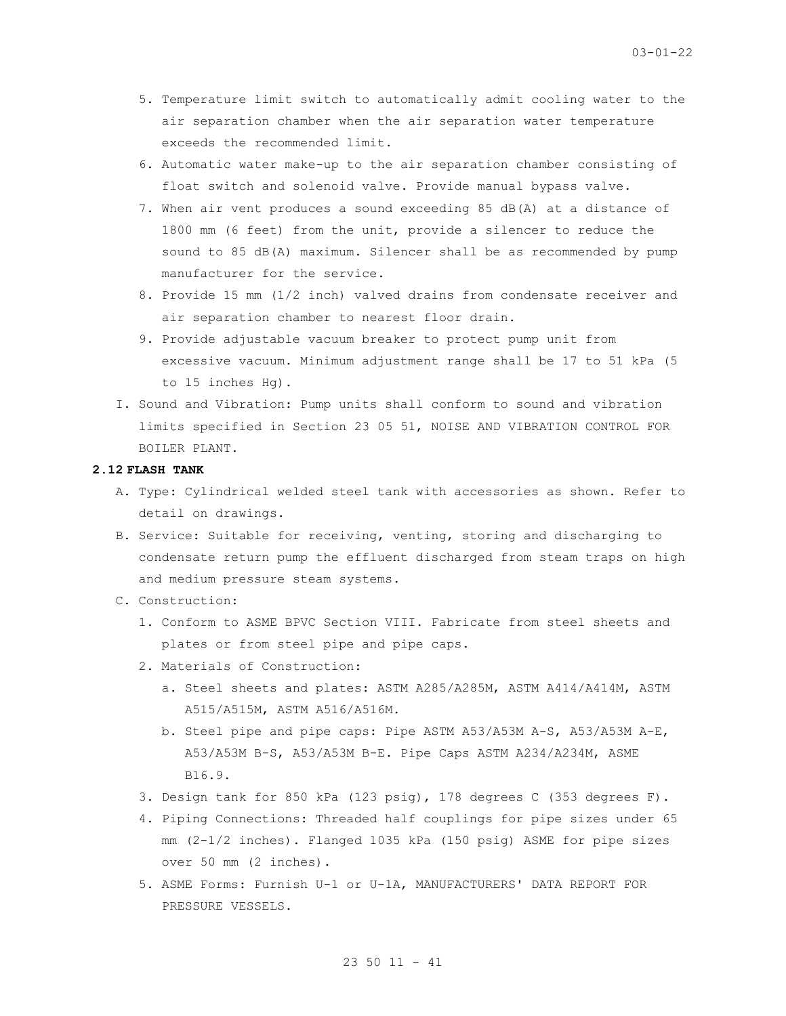- 5. Temperature limit switch to automatically admit cooling water to the air separation chamber when the air separation water temperature exceeds the recommended limit.
- 6. Automatic water make-up to the air separation chamber consisting of float switch and solenoid valve. Provide manual bypass valve.
- 7. When air vent produces a sound exceeding 85 dB(A) at a distance of 1800 mm (6 feet) from the unit, provide a silencer to reduce the sound to 85 dB(A) maximum. Silencer shall be as recommended by pump manufacturer for the service.
- 8. Provide 15 mm (1/2 inch) valved drains from condensate receiver and air separation chamber to nearest floor drain.
- 9. Provide adjustable vacuum breaker to protect pump unit from excessive vacuum. Minimum adjustment range shall be 17 to 51 kPa (5 to 15 inches Hg).
- I. Sound and Vibration: Pump units shall conform to sound and vibration limits specified in Section 23 05 51, NOISE AND VIBRATION CONTROL FOR BOILER PLANT.

## **2.12 FLASH TANK**

- A. Type: Cylindrical welded steel tank with accessories as shown. Refer to detail on drawings.
- B. Service: Suitable for receiving, venting, storing and discharging to condensate return pump the effluent discharged from steam traps on high and medium pressure steam systems.
- C. Construction:
	- 1. Conform to ASME BPVC Section VIII. Fabricate from steel sheets and plates or from steel pipe and pipe caps.
	- 2. Materials of Construction:
		- a. Steel sheets and plates: ASTM A285/A285M, ASTM A414/A414M, ASTM A515/A515M, ASTM A516/A516M.
		- b. Steel pipe and pipe caps: Pipe ASTM A53/A53M A-S, A53/A53M A-E, A53/A53M B-S, A53/A53M B-E. Pipe Caps ASTM A234/A234M, ASME B16.9.
	- 3. Design tank for 850 kPa (123 psig), 178 degrees C (353 degrees F).
	- 4. Piping Connections: Threaded half couplings for pipe sizes under 65 mm (2-1/2 inches). Flanged 1035 kPa (150 psig) ASME for pipe sizes over 50 mm (2 inches).
	- 5. ASME Forms: Furnish U-1 or U-1A, MANUFACTURERS' DATA REPORT FOR PRESSURE VESSELS.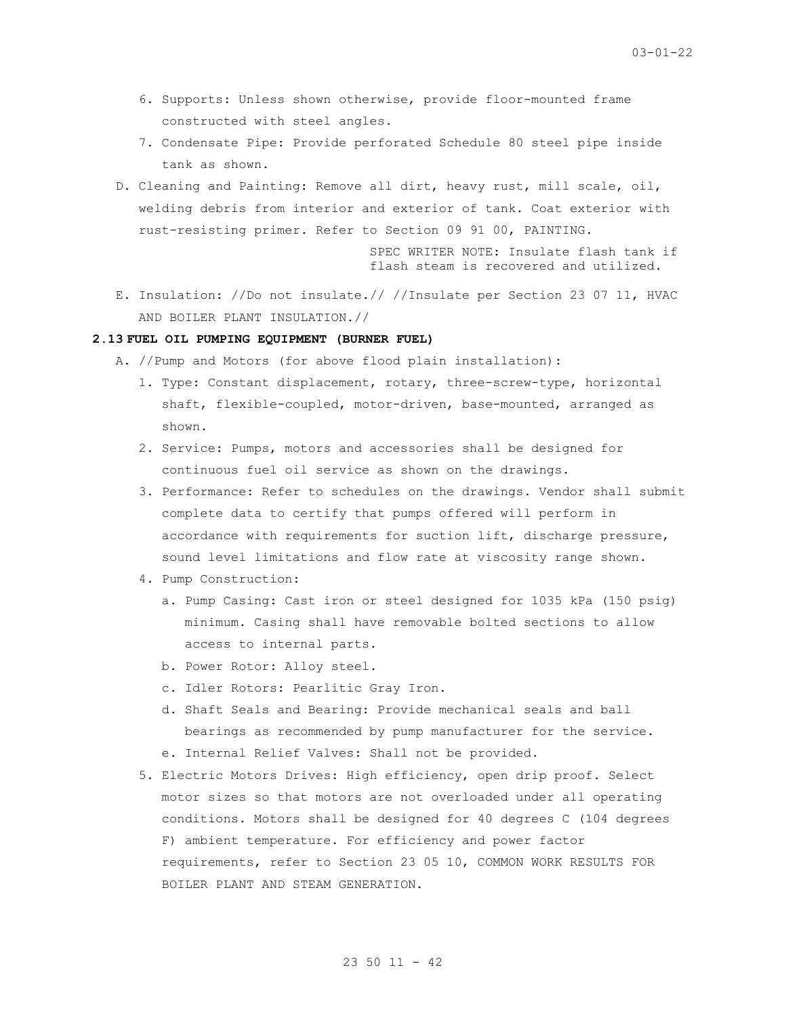- 6. Supports: Unless shown otherwise, provide floor-mounted frame constructed with steel angles.
- 7. Condensate Pipe: Provide perforated Schedule 80 steel pipe inside tank as shown.
- D. Cleaning and Painting: Remove all dirt, heavy rust, mill scale, oil, welding debris from interior and exterior of tank. Coat exterior with rust-resisting primer. Refer to Section 09 91 00, PAINTING.

SPEC WRITER NOTE: Insulate flash tank if flash steam is recovered and utilized.

E. Insulation: //Do not insulate.// //Insulate per Section 23 07 11, HVAC AND BOILER PLANT INSULATION.//

### **2.13 FUEL OIL PUMPING EQUIPMENT (BURNER FUEL)**

- A. //Pump and Motors (for above flood plain installation):
	- 1. Type: Constant displacement, rotary, three-screw-type, horizontal shaft, flexible-coupled, motor-driven, base-mounted, arranged as shown.
	- 2. Service: Pumps, motors and accessories shall be designed for continuous fuel oil service as shown on the drawings.
	- 3. Performance: Refer to schedules on the drawings. Vendor shall submit complete data to certify that pumps offered will perform in accordance with requirements for suction lift, discharge pressure, sound level limitations and flow rate at viscosity range shown.
	- 4. Pump Construction:
		- a. Pump Casing: Cast iron or steel designed for 1035 kPa (150 psig) minimum. Casing shall have removable bolted sections to allow access to internal parts.
		- b. Power Rotor: Alloy steel.
		- c. Idler Rotors: Pearlitic Gray Iron.
		- d. Shaft Seals and Bearing: Provide mechanical seals and ball bearings as recommended by pump manufacturer for the service.
		- e. Internal Relief Valves: Shall not be provided.
	- 5. Electric Motors Drives: High efficiency, open drip proof. Select motor sizes so that motors are not overloaded under all operating conditions. Motors shall be designed for 40 degrees C (104 degrees F) ambient temperature. For efficiency and power factor requirements, refer to Section 23 05 10, COMMON WORK RESULTS FOR BOILER PLANT AND STEAM GENERATION.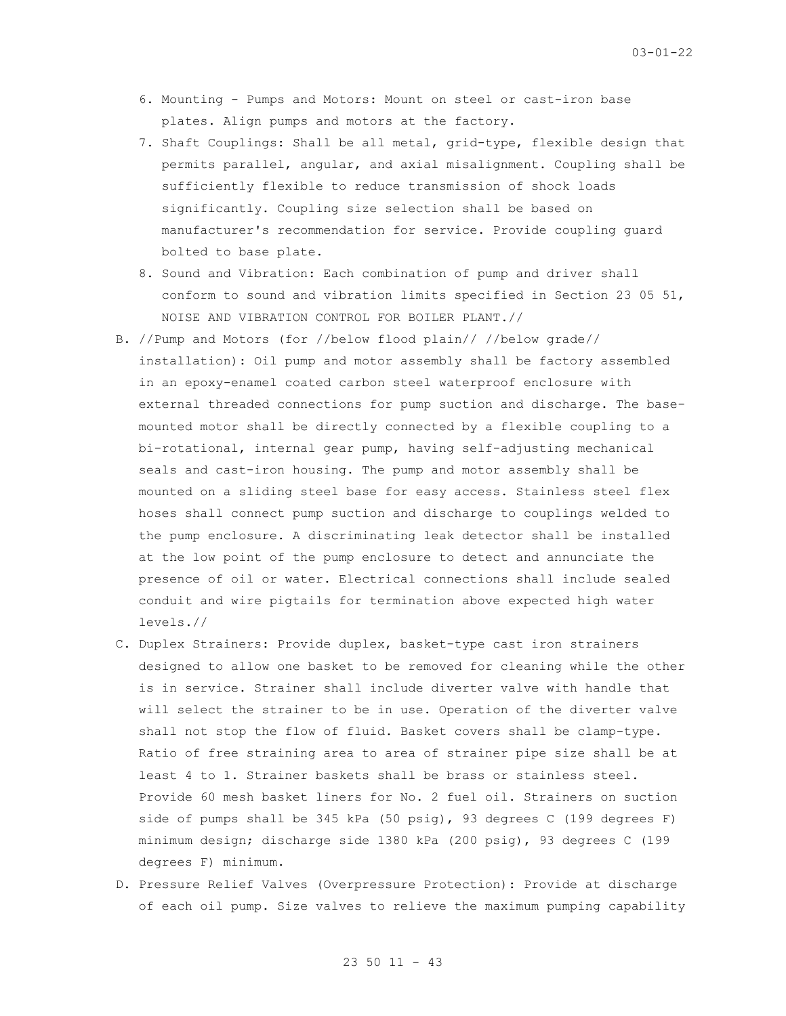- 6. Mounting Pumps and Motors: Mount on steel or cast-iron base plates. Align pumps and motors at the factory.
- 7. Shaft Couplings: Shall be all metal, grid-type, flexible design that permits parallel, angular, and axial misalignment. Coupling shall be sufficiently flexible to reduce transmission of shock loads significantly. Coupling size selection shall be based on manufacturer's recommendation for service. Provide coupling guard bolted to base plate.
- 8. Sound and Vibration: Each combination of pump and driver shall conform to sound and vibration limits specified in Section 23 05 51, NOISE AND VIBRATION CONTROL FOR BOILER PLANT.//
- B. //Pump and Motors (for //below flood plain// //below grade// installation): Oil pump and motor assembly shall be factory assembled in an epoxy-enamel coated carbon steel waterproof enclosure with external threaded connections for pump suction and discharge. The basemounted motor shall be directly connected by a flexible coupling to a bi-rotational, internal gear pump, having self-adjusting mechanical seals and cast-iron housing. The pump and motor assembly shall be mounted on a sliding steel base for easy access. Stainless steel flex hoses shall connect pump suction and discharge to couplings welded to the pump enclosure. A discriminating leak detector shall be installed at the low point of the pump enclosure to detect and annunciate the presence of oil or water. Electrical connections shall include sealed conduit and wire pigtails for termination above expected high water levels.//
- C. Duplex Strainers: Provide duplex, basket-type cast iron strainers designed to allow one basket to be removed for cleaning while the other is in service. Strainer shall include diverter valve with handle that will select the strainer to be in use. Operation of the diverter valve shall not stop the flow of fluid. Basket covers shall be clamp-type. Ratio of free straining area to area of strainer pipe size shall be at least 4 to 1. Strainer baskets shall be brass or stainless steel. Provide 60 mesh basket liners for No. 2 fuel oil. Strainers on suction side of pumps shall be 345 kPa (50 psig), 93 degrees C (199 degrees F) minimum design; discharge side 1380 kPa (200 psig), 93 degrees C (199 degrees F) minimum.
- D. Pressure Relief Valves (Overpressure Protection): Provide at discharge of each oil pump. Size valves to relieve the maximum pumping capability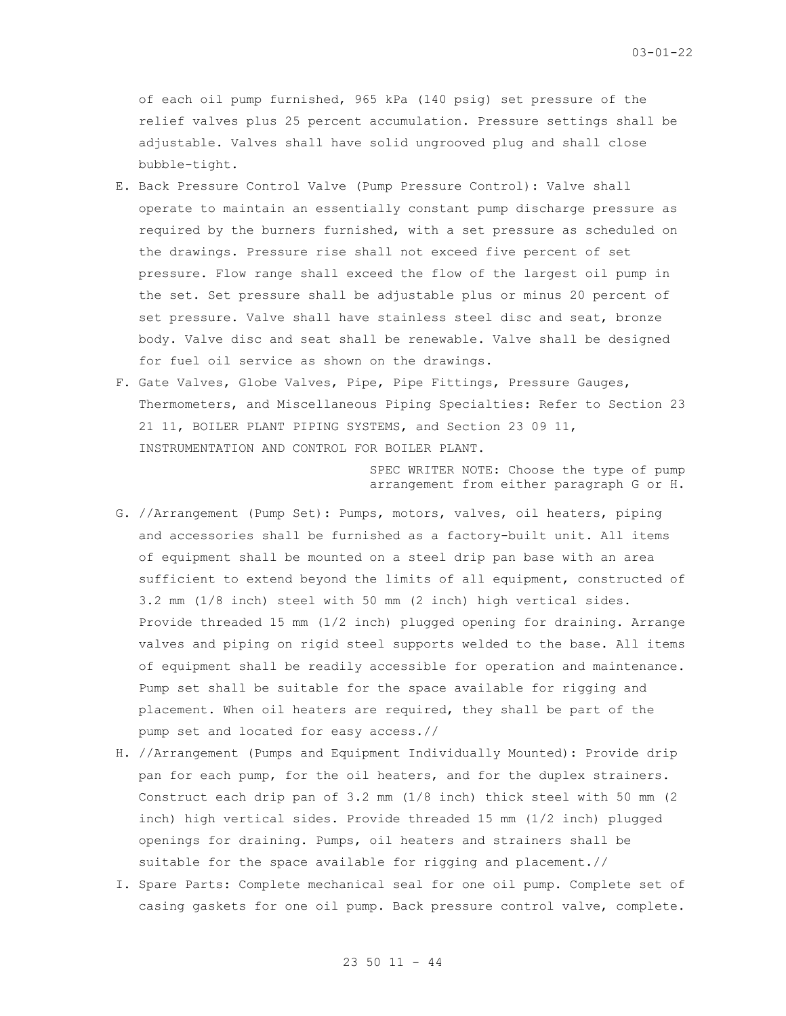of each oil pump furnished, 965 kPa (140 psig) set pressure of the relief valves plus 25 percent accumulation. Pressure settings shall be adjustable. Valves shall have solid ungrooved plug and shall close bubble-tight.

- E. Back Pressure Control Valve (Pump Pressure Control): Valve shall operate to maintain an essentially constant pump discharge pressure as required by the burners furnished, with a set pressure as scheduled on the drawings. Pressure rise shall not exceed five percent of set pressure. Flow range shall exceed the flow of the largest oil pump in the set. Set pressure shall be adjustable plus or minus 20 percent of set pressure. Valve shall have stainless steel disc and seat, bronze body. Valve disc and seat shall be renewable. Valve shall be designed for fuel oil service as shown on the drawings.
- F. Gate Valves, Globe Valves, Pipe, Pipe Fittings, Pressure Gauges, Thermometers, and Miscellaneous Piping Specialties: Refer to Section 23 21 11, BOILER PLANT PIPING SYSTEMS, and Section 23 09 11, INSTRUMENTATION AND CONTROL FOR BOILER PLANT.

SPEC WRITER NOTE: Choose the type of pump arrangement from either paragraph G or H.

- G. //Arrangement (Pump Set): Pumps, motors, valves, oil heaters, piping and accessories shall be furnished as a factory-built unit. All items of equipment shall be mounted on a steel drip pan base with an area sufficient to extend beyond the limits of all equipment, constructed of 3.2 mm (1/8 inch) steel with 50 mm (2 inch) high vertical sides. Provide threaded 15 mm (1/2 inch) plugged opening for draining. Arrange valves and piping on rigid steel supports welded to the base. All items of equipment shall be readily accessible for operation and maintenance. Pump set shall be suitable for the space available for rigging and placement. When oil heaters are required, they shall be part of the pump set and located for easy access.//
- H. //Arrangement (Pumps and Equipment Individually Mounted): Provide drip pan for each pump, for the oil heaters, and for the duplex strainers. Construct each drip pan of 3.2 mm (1/8 inch) thick steel with 50 mm (2 inch) high vertical sides. Provide threaded 15 mm (1/2 inch) plugged openings for draining. Pumps, oil heaters and strainers shall be suitable for the space available for rigging and placement.//
- I. Spare Parts: Complete mechanical seal for one oil pump. Complete set of casing gaskets for one oil pump. Back pressure control valve, complete.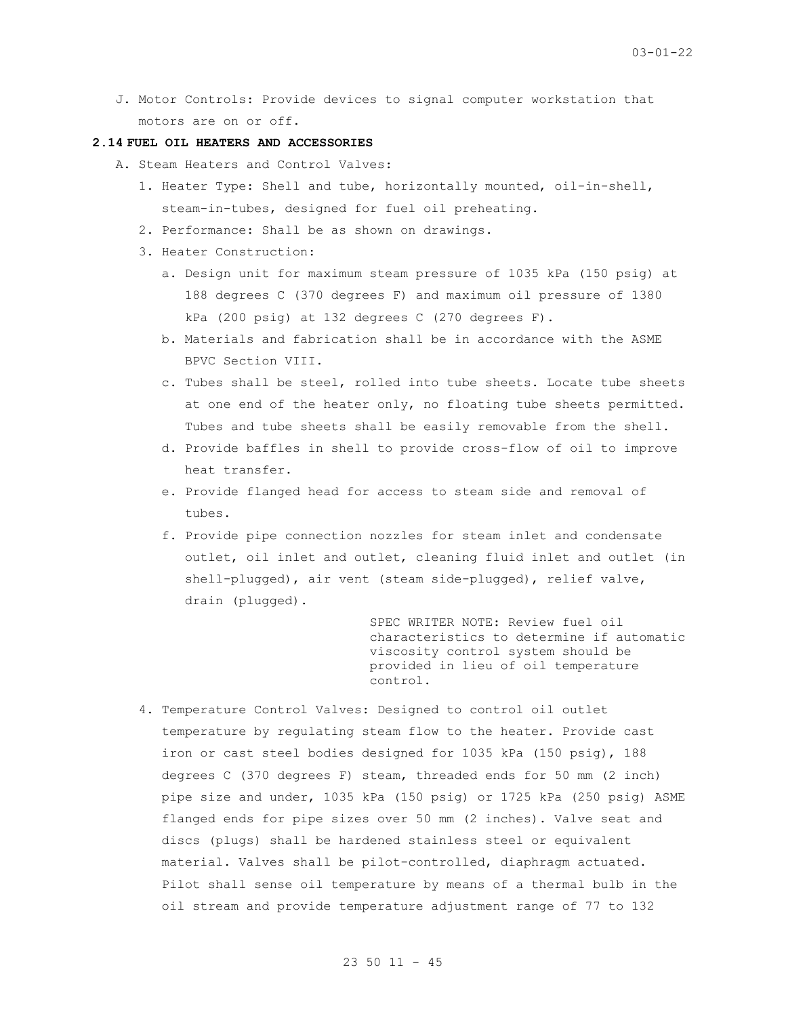J. Motor Controls: Provide devices to signal computer workstation that motors are on or off.

#### **2.14 FUEL OIL HEATERS AND ACCESSORIES**

- A. Steam Heaters and Control Valves:
	- 1. Heater Type: Shell and tube, horizontally mounted, oil-in-shell, steam-in-tubes, designed for fuel oil preheating.
	- 2. Performance: Shall be as shown on drawings.
	- 3. Heater Construction:
		- a. Design unit for maximum steam pressure of 1035 kPa (150 psig) at 188 degrees C (370 degrees F) and maximum oil pressure of 1380 kPa (200 psig) at 132 degrees C (270 degrees F).
		- b. Materials and fabrication shall be in accordance with the ASME BPVC Section VIII.
		- c. Tubes shall be steel, rolled into tube sheets. Locate tube sheets at one end of the heater only, no floating tube sheets permitted. Tubes and tube sheets shall be easily removable from the shell.
		- d. Provide baffles in shell to provide cross-flow of oil to improve heat transfer.
		- e. Provide flanged head for access to steam side and removal of tubes.
		- f. Provide pipe connection nozzles for steam inlet and condensate outlet, oil inlet and outlet, cleaning fluid inlet and outlet (in shell-plugged), air vent (steam side-plugged), relief valve, drain (plugged).

SPEC WRITER NOTE: Review fuel oil characteristics to determine if automatic viscosity control system should be provided in lieu of oil temperature control.

4. Temperature Control Valves: Designed to control oil outlet temperature by regulating steam flow to the heater. Provide cast iron or cast steel bodies designed for 1035 kPa (150 psig), 188 degrees C (370 degrees F) steam, threaded ends for 50 mm (2 inch) pipe size and under, 1035 kPa (150 psig) or 1725 kPa (250 psig) ASME flanged ends for pipe sizes over 50 mm (2 inches). Valve seat and discs (plugs) shall be hardened stainless steel or equivalent material. Valves shall be pilot-controlled, diaphragm actuated. Pilot shall sense oil temperature by means of a thermal bulb in the oil stream and provide temperature adjustment range of 77 to 132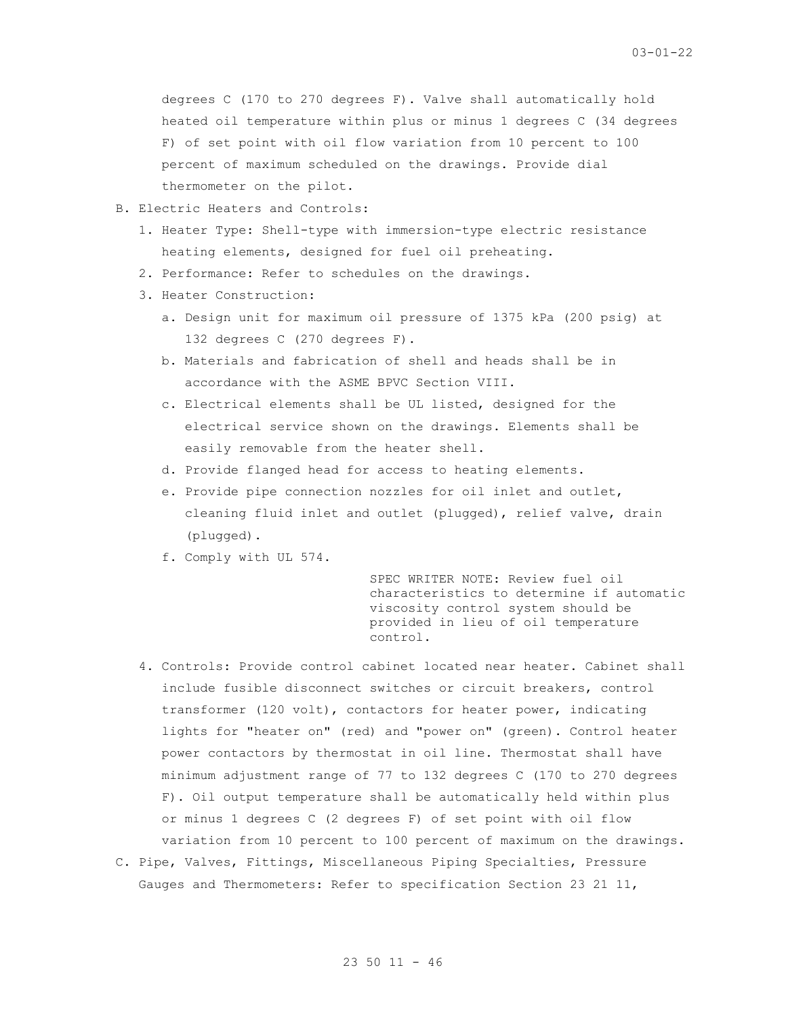degrees C (170 to 270 degrees F). Valve shall automatically hold heated oil temperature within plus or minus 1 degrees C (34 degrees F) of set point with oil flow variation from 10 percent to 100 percent of maximum scheduled on the drawings. Provide dial thermometer on the pilot.

- B. Electric Heaters and Controls:
	- 1. Heater Type: Shell-type with immersion-type electric resistance heating elements, designed for fuel oil preheating.
	- 2. Performance: Refer to schedules on the drawings.
	- 3. Heater Construction:
		- a. Design unit for maximum oil pressure of 1375 kPa (200 psig) at 132 degrees C (270 degrees F).
		- b. Materials and fabrication of shell and heads shall be in accordance with the ASME BPVC Section VIII.
		- c. Electrical elements shall be UL listed, designed for the electrical service shown on the drawings. Elements shall be easily removable from the heater shell.
		- d. Provide flanged head for access to heating elements.
		- e. Provide pipe connection nozzles for oil inlet and outlet, cleaning fluid inlet and outlet (plugged), relief valve, drain (plugged).
		- f. Comply with UL 574.

SPEC WRITER NOTE: Review fuel oil characteristics to determine if automatic viscosity control system should be provided in lieu of oil temperature control.

- 4. Controls: Provide control cabinet located near heater. Cabinet shall include fusible disconnect switches or circuit breakers, control transformer (120 volt), contactors for heater power, indicating lights for "heater on" (red) and "power on" (green). Control heater power contactors by thermostat in oil line. Thermostat shall have minimum adjustment range of 77 to 132 degrees C (170 to 270 degrees F). Oil output temperature shall be automatically held within plus or minus 1 degrees C (2 degrees F) of set point with oil flow variation from 10 percent to 100 percent of maximum on the drawings.
- C. Pipe, Valves, Fittings, Miscellaneous Piping Specialties, Pressure Gauges and Thermometers: Refer to specification Section 23 21 11,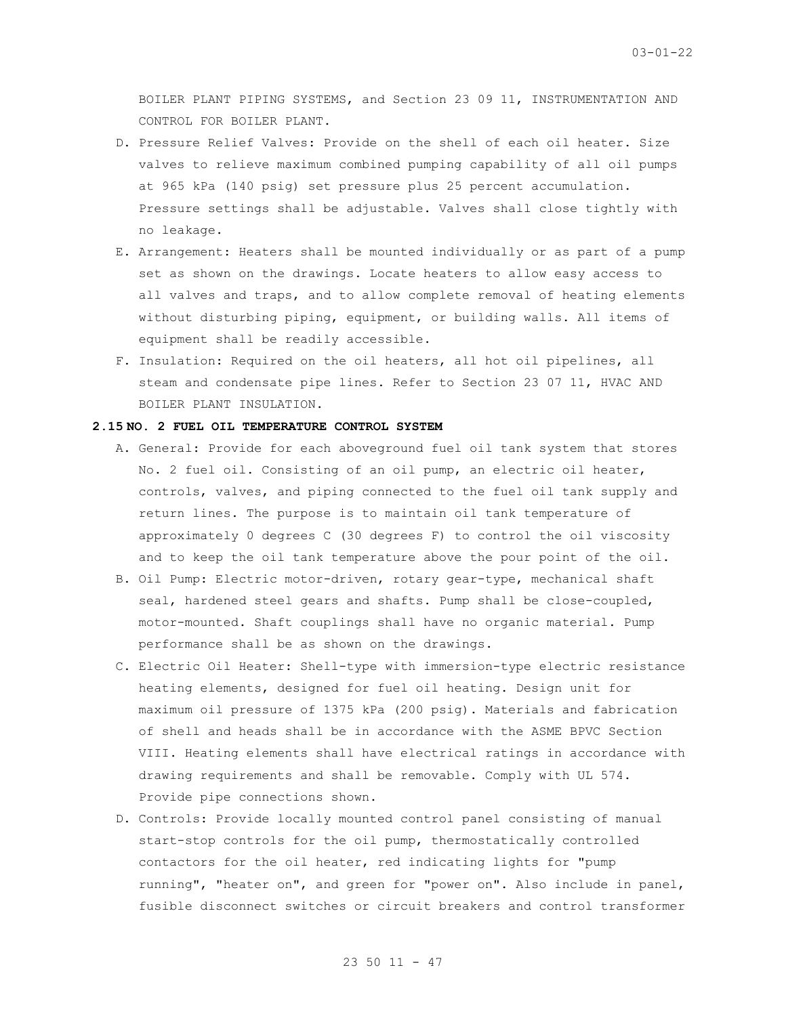BOILER PLANT PIPING SYSTEMS, and Section 23 09 11, INSTRUMENTATION AND CONTROL FOR BOILER PLANT.

- D. Pressure Relief Valves: Provide on the shell of each oil heater. Size valves to relieve maximum combined pumping capability of all oil pumps at 965 kPa (140 psig) set pressure plus 25 percent accumulation. Pressure settings shall be adjustable. Valves shall close tightly with no leakage.
- E. Arrangement: Heaters shall be mounted individually or as part of a pump set as shown on the drawings. Locate heaters to allow easy access to all valves and traps, and to allow complete removal of heating elements without disturbing piping, equipment, or building walls. All items of equipment shall be readily accessible.
- F. Insulation: Required on the oil heaters, all hot oil pipelines, all steam and condensate pipe lines. Refer to Section 23 07 11, HVAC AND BOILER PLANT INSULATION.

### **2.15 NO. 2 FUEL OIL TEMPERATURE CONTROL SYSTEM**

- A. General: Provide for each aboveground fuel oil tank system that stores No. 2 fuel oil. Consisting of an oil pump, an electric oil heater, controls, valves, and piping connected to the fuel oil tank supply and return lines. The purpose is to maintain oil tank temperature of approximately 0 degrees C (30 degrees F) to control the oil viscosity and to keep the oil tank temperature above the pour point of the oil.
- B. Oil Pump: Electric motor-driven, rotary gear-type, mechanical shaft seal, hardened steel gears and shafts. Pump shall be close-coupled, motor-mounted. Shaft couplings shall have no organic material. Pump performance shall be as shown on the drawings.
- C. Electric Oil Heater: Shell-type with immersion-type electric resistance heating elements, designed for fuel oil heating. Design unit for maximum oil pressure of 1375 kPa (200 psig). Materials and fabrication of shell and heads shall be in accordance with the ASME BPVC Section VIII. Heating elements shall have electrical ratings in accordance with drawing requirements and shall be removable. Comply with UL 574. Provide pipe connections shown.
- D. Controls: Provide locally mounted control panel consisting of manual start-stop controls for the oil pump, thermostatically controlled contactors for the oil heater, red indicating lights for "pump running", "heater on", and green for "power on". Also include in panel, fusible disconnect switches or circuit breakers and control transformer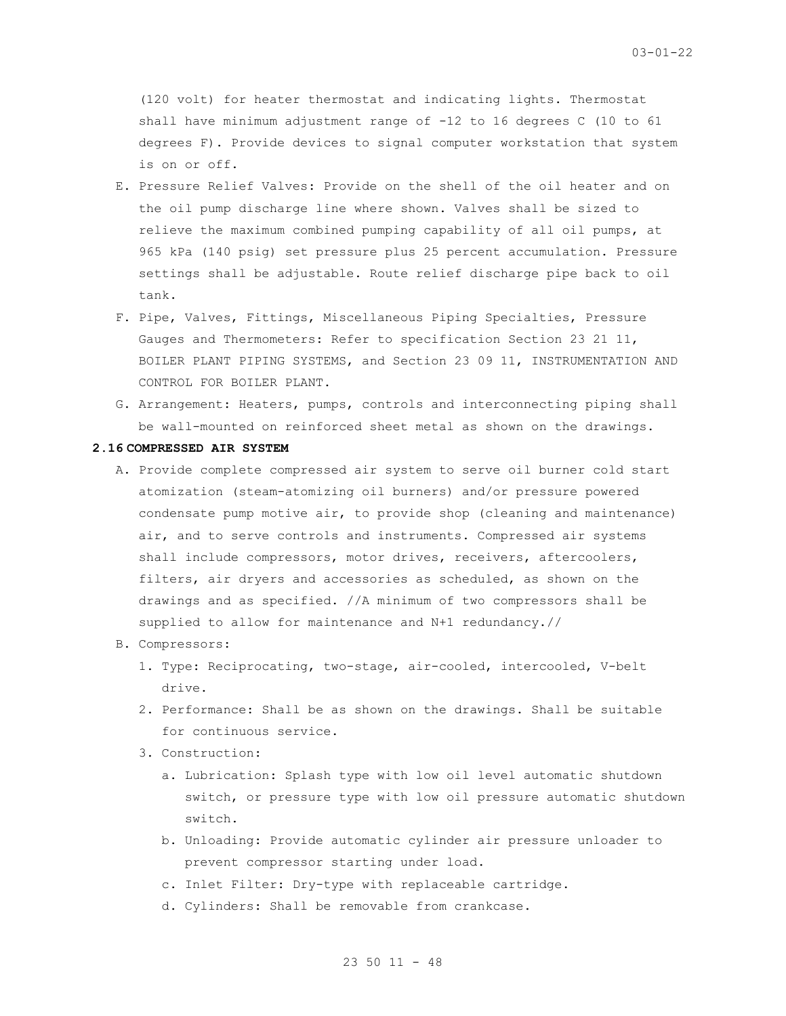(120 volt) for heater thermostat and indicating lights. Thermostat shall have minimum adjustment range of -12 to 16 degrees C (10 to 61 degrees F). Provide devices to signal computer workstation that system is on or off.

- E. Pressure Relief Valves: Provide on the shell of the oil heater and on the oil pump discharge line where shown. Valves shall be sized to relieve the maximum combined pumping capability of all oil pumps, at 965 kPa (140 psig) set pressure plus 25 percent accumulation. Pressure settings shall be adjustable. Route relief discharge pipe back to oil tank.
- F. Pipe, Valves, Fittings, Miscellaneous Piping Specialties, Pressure Gauges and Thermometers: Refer to specification Section 23 21 11, BOILER PLANT PIPING SYSTEMS, and Section 23 09 11, INSTRUMENTATION AND CONTROL FOR BOILER PLANT.
- G. Arrangement: Heaters, pumps, controls and interconnecting piping shall be wall-mounted on reinforced sheet metal as shown on the drawings.

### **2.16 COMPRESSED AIR SYSTEM**

- A. Provide complete compressed air system to serve oil burner cold start atomization (steam-atomizing oil burners) and/or pressure powered condensate pump motive air, to provide shop (cleaning and maintenance) air, and to serve controls and instruments. Compressed air systems shall include compressors, motor drives, receivers, aftercoolers, filters, air dryers and accessories as scheduled, as shown on the drawings and as specified. //A minimum of two compressors shall be supplied to allow for maintenance and N+1 redundancy.//
- B. Compressors:
	- 1. Type: Reciprocating, two-stage, air-cooled, intercooled, V-belt drive.
	- 2. Performance: Shall be as shown on the drawings. Shall be suitable for continuous service.
	- 3. Construction:
		- a. Lubrication: Splash type with low oil level automatic shutdown switch, or pressure type with low oil pressure automatic shutdown switch.
		- b. Unloading: Provide automatic cylinder air pressure unloader to prevent compressor starting under load.
		- c. Inlet Filter: Dry-type with replaceable cartridge.
		- d. Cylinders: Shall be removable from crankcase.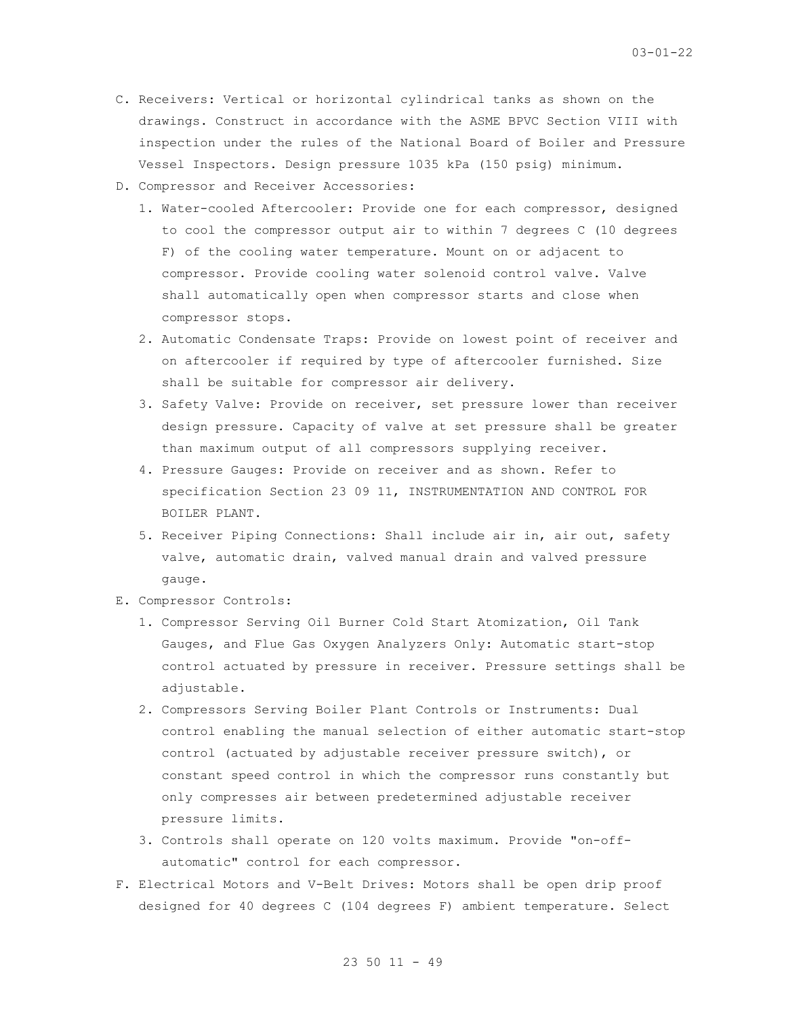- C. Receivers: Vertical or horizontal cylindrical tanks as shown on the drawings. Construct in accordance with the ASME BPVC Section VIII with inspection under the rules of the National Board of Boiler and Pressure Vessel Inspectors. Design pressure 1035 kPa (150 psig) minimum.
- D. Compressor and Receiver Accessories:
	- 1. Water-cooled Aftercooler: Provide one for each compressor, designed to cool the compressor output air to within 7 degrees C (10 degrees F) of the cooling water temperature. Mount on or adjacent to compressor. Provide cooling water solenoid control valve. Valve shall automatically open when compressor starts and close when compressor stops.
	- 2. Automatic Condensate Traps: Provide on lowest point of receiver and on aftercooler if required by type of aftercooler furnished. Size shall be suitable for compressor air delivery.
	- 3. Safety Valve: Provide on receiver, set pressure lower than receiver design pressure. Capacity of valve at set pressure shall be greater than maximum output of all compressors supplying receiver.
	- 4. Pressure Gauges: Provide on receiver and as shown. Refer to specification Section 23 09 11, INSTRUMENTATION AND CONTROL FOR BOILER PLANT.
	- 5. Receiver Piping Connections: Shall include air in, air out, safety valve, automatic drain, valved manual drain and valved pressure gauge.
- E. Compressor Controls:
	- 1. Compressor Serving Oil Burner Cold Start Atomization, Oil Tank Gauges, and Flue Gas Oxygen Analyzers Only: Automatic start-stop control actuated by pressure in receiver. Pressure settings shall be adjustable.
	- 2. Compressors Serving Boiler Plant Controls or Instruments: Dual control enabling the manual selection of either automatic start-stop control (actuated by adjustable receiver pressure switch), or constant speed control in which the compressor runs constantly but only compresses air between predetermined adjustable receiver pressure limits.
	- 3. Controls shall operate on 120 volts maximum. Provide "on-offautomatic" control for each compressor.
- F. Electrical Motors and V-Belt Drives: Motors shall be open drip proof designed for 40 degrees C (104 degrees F) ambient temperature. Select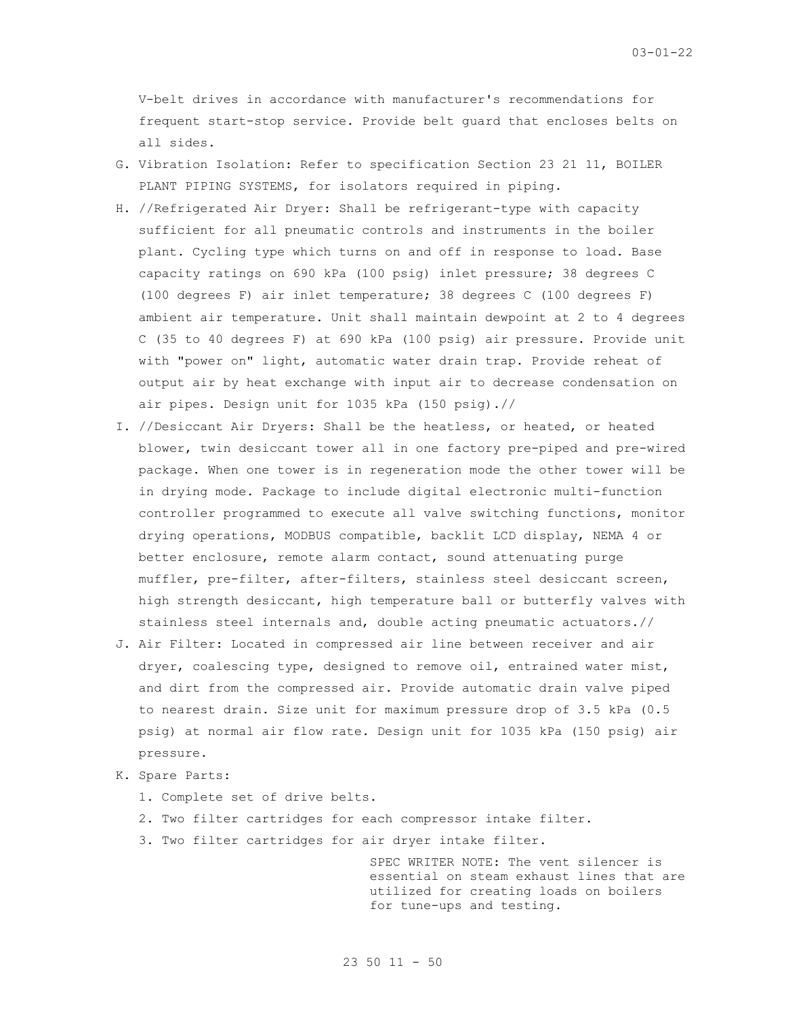V-belt drives in accordance with manufacturer's recommendations for frequent start-stop service. Provide belt guard that encloses belts on all sides.

- G. Vibration Isolation: Refer to specification Section 23 21 11, BOILER PLANT PIPING SYSTEMS, for isolators required in piping.
- H. //Refrigerated Air Dryer: Shall be refrigerant-type with capacity sufficient for all pneumatic controls and instruments in the boiler plant. Cycling type which turns on and off in response to load. Base capacity ratings on 690 kPa (100 psig) inlet pressure; 38 degrees C (100 degrees F) air inlet temperature; 38 degrees C (100 degrees F) ambient air temperature. Unit shall maintain dewpoint at 2 to 4 degrees C (35 to 40 degrees F) at 690 kPa (100 psig) air pressure. Provide unit with "power on" light, automatic water drain trap. Provide reheat of output air by heat exchange with input air to decrease condensation on air pipes. Design unit for 1035 kPa (150 psig).//
- I. //Desiccant Air Dryers: Shall be the heatless, or heated, or heated blower, twin desiccant tower all in one factory pre-piped and pre-wired package. When one tower is in regeneration mode the other tower will be in drying mode. Package to include digital electronic multi-function controller programmed to execute all valve switching functions, monitor drying operations, MODBUS compatible, backlit LCD display, NEMA 4 or better enclosure, remote alarm contact, sound attenuating purge muffler, pre-filter, after-filters, stainless steel desiccant screen, high strength desiccant, high temperature ball or butterfly valves with stainless steel internals and, double acting pneumatic actuators.//
- J. Air Filter: Located in compressed air line between receiver and air dryer, coalescing type, designed to remove oil, entrained water mist, and dirt from the compressed air. Provide automatic drain valve piped to nearest drain. Size unit for maximum pressure drop of 3.5 kPa (0.5 psig) at normal air flow rate. Design unit for 1035 kPa (150 psig) air pressure.
- K. Spare Parts:
	- 1. Complete set of drive belts.
	- 2. Two filter cartridges for each compressor intake filter.
	- 3. Two filter cartridges for air dryer intake filter.

SPEC WRITER NOTE: The vent silencer is essential on steam exhaust lines that are utilized for creating loads on boilers for tune-ups and testing.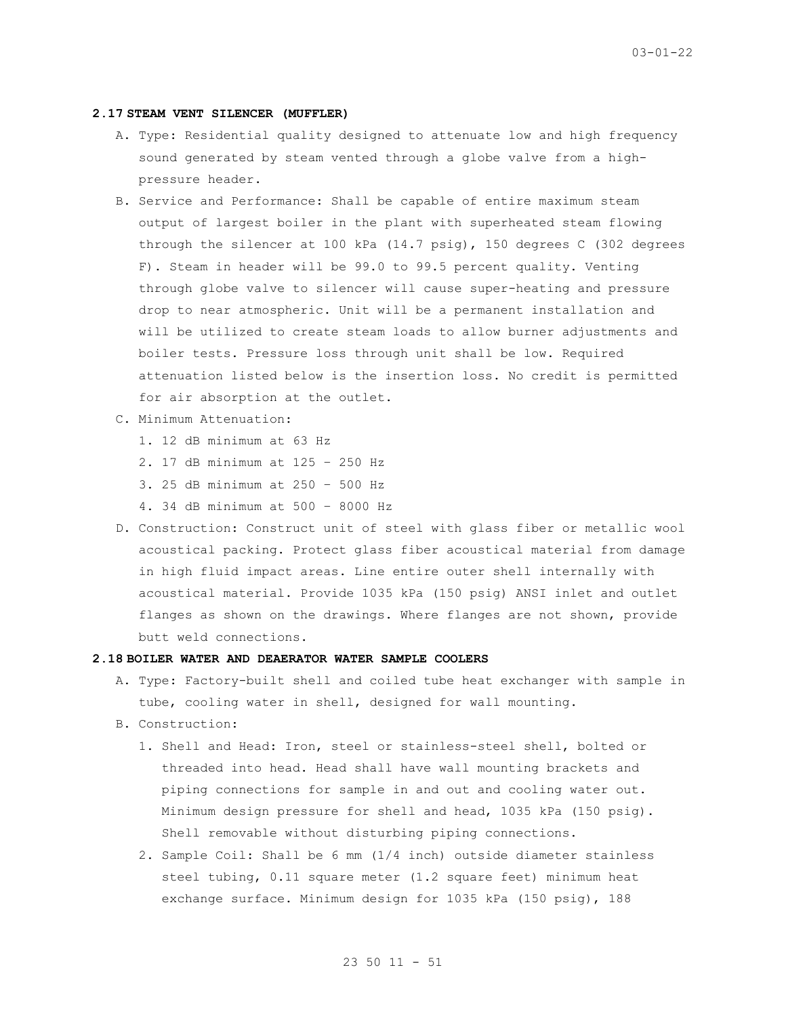$03 - 01 - 22$ 

### **2.17 STEAM VENT SILENCER (MUFFLER)**

- A. Type: Residential quality designed to attenuate low and high frequency sound generated by steam vented through a globe valve from a highpressure header.
- B. Service and Performance: Shall be capable of entire maximum steam output of largest boiler in the plant with superheated steam flowing through the silencer at 100 kPa  $(14.7 \text{ psig})$ , 150 degrees C  $(302 \text{ degrees})$ F). Steam in header will be 99.0 to 99.5 percent quality. Venting through globe valve to silencer will cause super-heating and pressure drop to near atmospheric. Unit will be a permanent installation and will be utilized to create steam loads to allow burner adjustments and boiler tests. Pressure loss through unit shall be low. Required attenuation listed below is the insertion loss. No credit is permitted for air absorption at the outlet.
- C. Minimum Attenuation:
	- 1. 12 dB minimum at 63 Hz
	- 2. 17 dB minimum at 125 250 Hz
	- 3. 25 dB minimum at 250 500 Hz
	- 4. 34 dB minimum at 500 8000 Hz
- D. Construction: Construct unit of steel with glass fiber or metallic wool acoustical packing. Protect glass fiber acoustical material from damage in high fluid impact areas. Line entire outer shell internally with acoustical material. Provide 1035 kPa (150 psig) ANSI inlet and outlet flanges as shown on the drawings. Where flanges are not shown, provide butt weld connections.

# **2.18 BOILER WATER AND DEAERATOR WATER SAMPLE COOLERS**

- A. Type: Factory-built shell and coiled tube heat exchanger with sample in tube, cooling water in shell, designed for wall mounting.
- B. Construction:
	- 1. Shell and Head: Iron, steel or stainless-steel shell, bolted or threaded into head. Head shall have wall mounting brackets and piping connections for sample in and out and cooling water out. Minimum design pressure for shell and head, 1035 kPa (150 psig). Shell removable without disturbing piping connections.
	- 2. Sample Coil: Shall be 6 mm (1/4 inch) outside diameter stainless steel tubing, 0.11 square meter (1.2 square feet) minimum heat exchange surface. Minimum design for 1035 kPa (150 psig), 188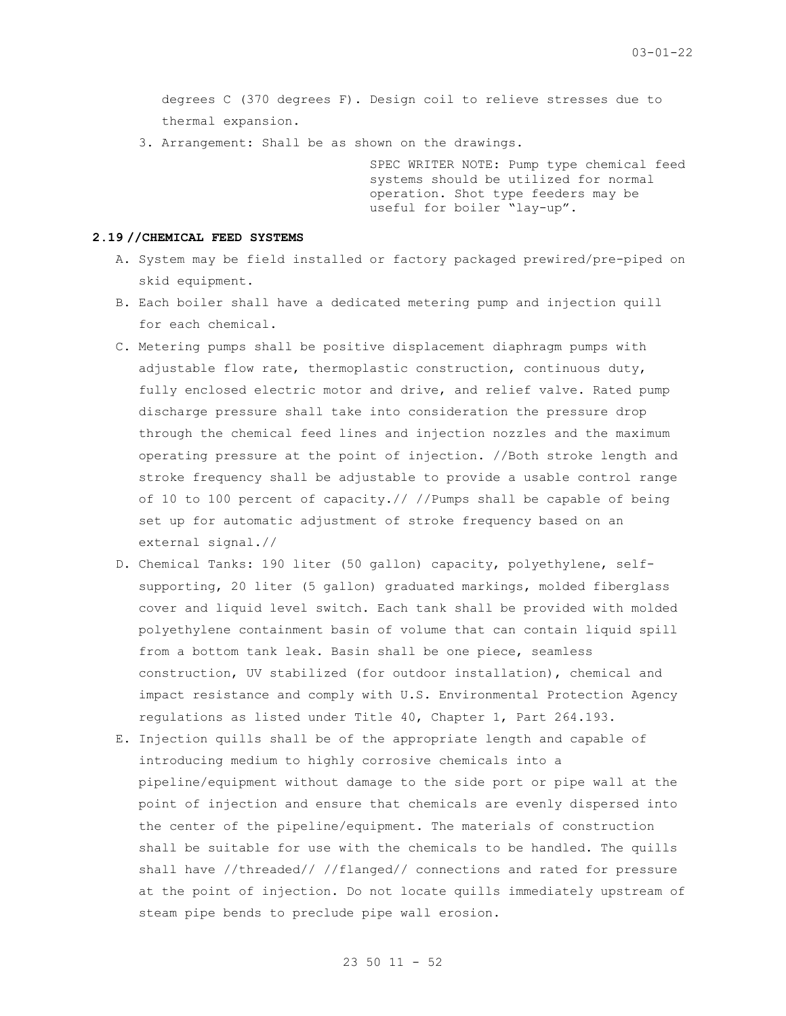degrees C (370 degrees F). Design coil to relieve stresses due to thermal expansion.

3. Arrangement: Shall be as shown on the drawings.

SPEC WRITER NOTE: Pump type chemical feed systems should be utilized for normal operation. Shot type feeders may be useful for boiler "lay-up".

#### **2.19 //CHEMICAL FEED SYSTEMS**

- A. System may be field installed or factory packaged prewired/pre-piped on skid equipment.
- B. Each boiler shall have a dedicated metering pump and injection quill for each chemical.
- C. Metering pumps shall be positive displacement diaphragm pumps with adjustable flow rate, thermoplastic construction, continuous duty, fully enclosed electric motor and drive, and relief valve. Rated pump discharge pressure shall take into consideration the pressure drop through the chemical feed lines and injection nozzles and the maximum operating pressure at the point of injection. //Both stroke length and stroke frequency shall be adjustable to provide a usable control range of 10 to 100 percent of capacity.// //Pumps shall be capable of being set up for automatic adjustment of stroke frequency based on an external signal.//
- D. Chemical Tanks: 190 liter (50 gallon) capacity, polyethylene, selfsupporting, 20 liter (5 gallon) graduated markings, molded fiberglass cover and liquid level switch. Each tank shall be provided with molded polyethylene containment basin of volume that can contain liquid spill from a bottom tank leak. Basin shall be one piece, seamless construction, UV stabilized (for outdoor installation), chemical and impact resistance and comply with U.S. Environmental Protection Agency regulations as listed under Title 40, Chapter 1, Part 264.193.
- E. Injection quills shall be of the appropriate length and capable of introducing medium to highly corrosive chemicals into a pipeline/equipment without damage to the side port or pipe wall at the point of injection and ensure that chemicals are evenly dispersed into the center of the pipeline/equipment. The materials of construction shall be suitable for use with the chemicals to be handled. The quills shall have //threaded// //flanged// connections and rated for pressure at the point of injection. Do not locate quills immediately upstream of steam pipe bends to preclude pipe wall erosion.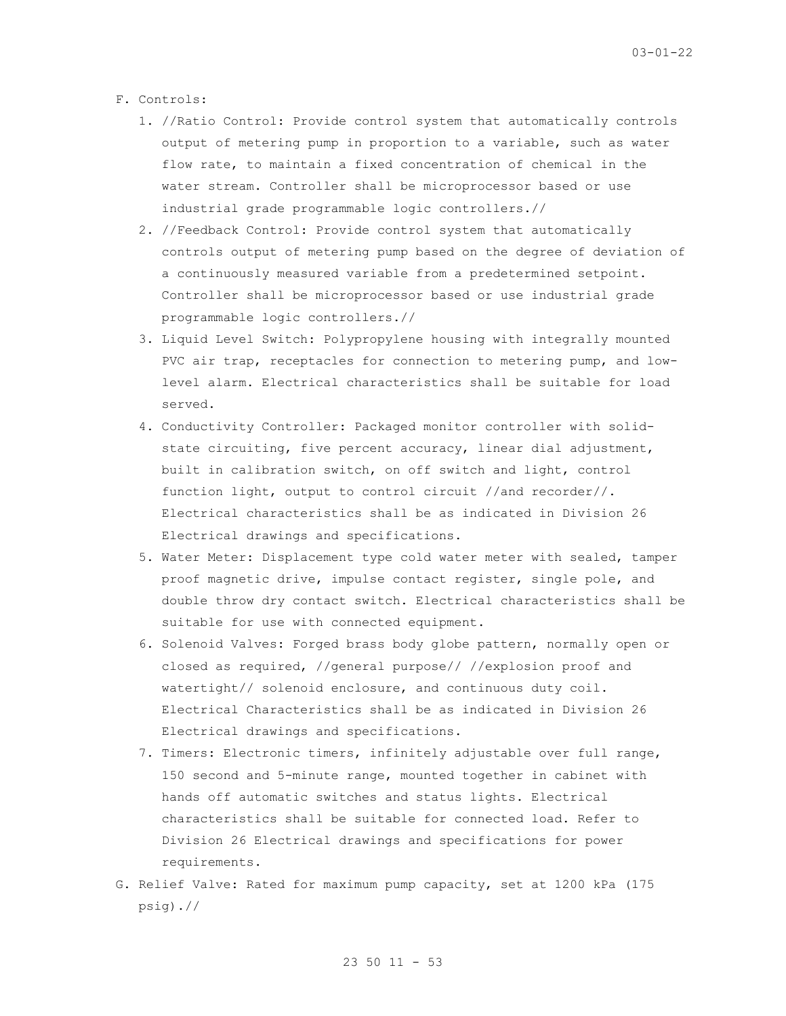- F. Controls:
	- 1. //Ratio Control: Provide control system that automatically controls output of metering pump in proportion to a variable, such as water flow rate, to maintain a fixed concentration of chemical in the water stream. Controller shall be microprocessor based or use industrial grade programmable logic controllers.//
	- 2. //Feedback Control: Provide control system that automatically controls output of metering pump based on the degree of deviation of a continuously measured variable from a predetermined setpoint. Controller shall be microprocessor based or use industrial grade programmable logic controllers.//
	- 3. Liquid Level Switch: Polypropylene housing with integrally mounted PVC air trap, receptacles for connection to metering pump, and lowlevel alarm. Electrical characteristics shall be suitable for load served.
	- 4. Conductivity Controller: Packaged monitor controller with solidstate circuiting, five percent accuracy, linear dial adjustment, built in calibration switch, on off switch and light, control function light, output to control circuit //and recorder//. Electrical characteristics shall be as indicated in Division 26 Electrical drawings and specifications.
	- 5. Water Meter: Displacement type cold water meter with sealed, tamper proof magnetic drive, impulse contact register, single pole, and double throw dry contact switch. Electrical characteristics shall be suitable for use with connected equipment.
	- 6. Solenoid Valves: Forged brass body globe pattern, normally open or closed as required, //general purpose// //explosion proof and watertight// solenoid enclosure, and continuous duty coil. Electrical Characteristics shall be as indicated in Division 26 Electrical drawings and specifications.
	- 7. Timers: Electronic timers, infinitely adjustable over full range, 150 second and 5-minute range, mounted together in cabinet with hands off automatic switches and status lights. Electrical characteristics shall be suitable for connected load. Refer to Division 26 Electrical drawings and specifications for power requirements.
- G. Relief Valve: Rated for maximum pump capacity, set at 1200 kPa (175 psig).//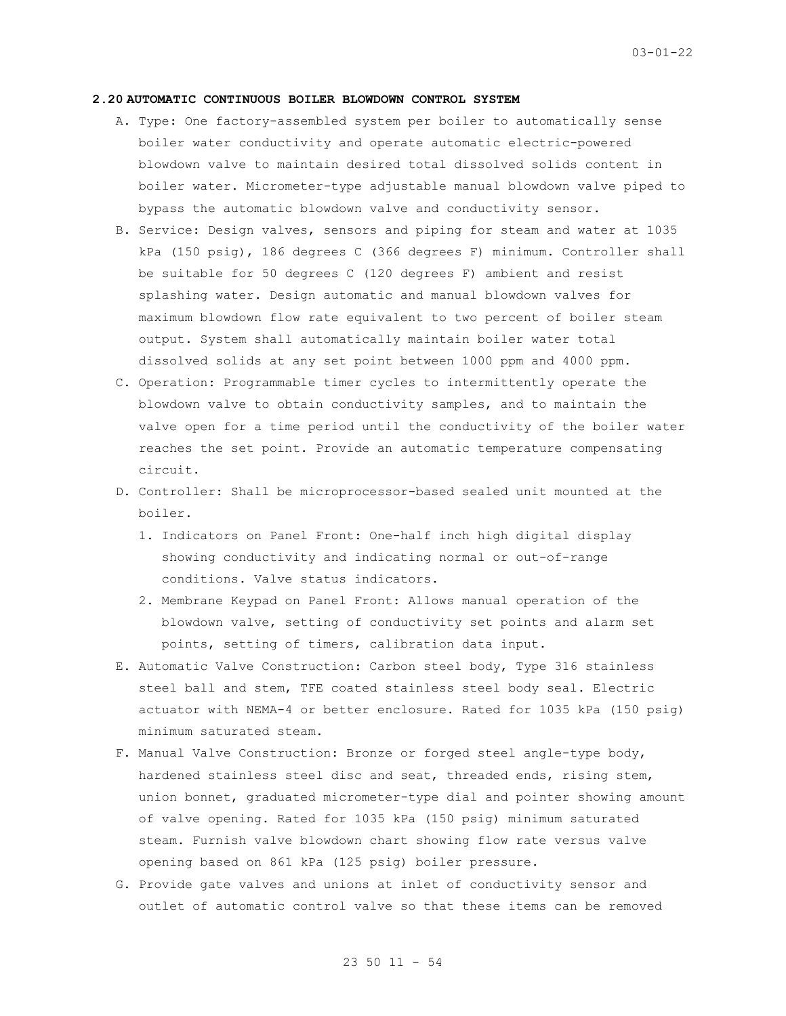#### **2.20 AUTOMATIC CONTINUOUS BOILER BLOWDOWN CONTROL SYSTEM**

- A. Type: One factory-assembled system per boiler to automatically sense boiler water conductivity and operate automatic electric-powered blowdown valve to maintain desired total dissolved solids content in boiler water. Micrometer-type adjustable manual blowdown valve piped to bypass the automatic blowdown valve and conductivity sensor.
- B. Service: Design valves, sensors and piping for steam and water at 1035 kPa (150 psig), 186 degrees C (366 degrees F) minimum. Controller shall be suitable for 50 degrees C (120 degrees F) ambient and resist splashing water. Design automatic and manual blowdown valves for maximum blowdown flow rate equivalent to two percent of boiler steam output. System shall automatically maintain boiler water total dissolved solids at any set point between 1000 ppm and 4000 ppm.
- C. Operation: Programmable timer cycles to intermittently operate the blowdown valve to obtain conductivity samples, and to maintain the valve open for a time period until the conductivity of the boiler water reaches the set point. Provide an automatic temperature compensating circuit.
- D. Controller: Shall be microprocessor-based sealed unit mounted at the boiler.
	- 1. Indicators on Panel Front: One-half inch high digital display showing conductivity and indicating normal or out-of-range conditions. Valve status indicators.
	- 2. Membrane Keypad on Panel Front: Allows manual operation of the blowdown valve, setting of conductivity set points and alarm set points, setting of timers, calibration data input.
- E. Automatic Valve Construction: Carbon steel body, Type 316 stainless steel ball and stem, TFE coated stainless steel body seal. Electric actuator with NEMA-4 or better enclosure. Rated for 1035 kPa (150 psig) minimum saturated steam.
- F. Manual Valve Construction: Bronze or forged steel angle-type body, hardened stainless steel disc and seat, threaded ends, rising stem, union bonnet, graduated micrometer-type dial and pointer showing amount of valve opening. Rated for 1035 kPa (150 psig) minimum saturated steam. Furnish valve blowdown chart showing flow rate versus valve opening based on 861 kPa (125 psig) boiler pressure.
- G. Provide gate valves and unions at inlet of conductivity sensor and outlet of automatic control valve so that these items can be removed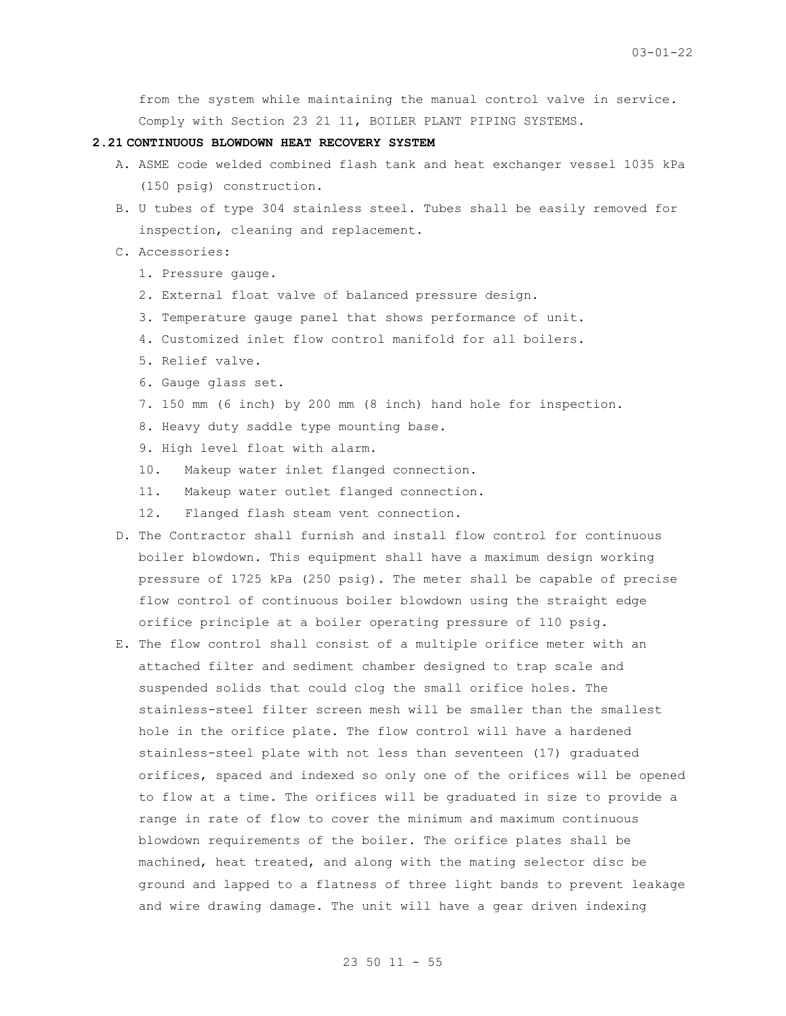from the system while maintaining the manual control valve in service. Comply with Section 23 21 11, BOILER PLANT PIPING SYSTEMS.

#### **2.21 CONTINUOUS BLOWDOWN HEAT RECOVERY SYSTEM**

- A. ASME code welded combined flash tank and heat exchanger vessel 1035 kPa (150 psig) construction.
- B. U tubes of type 304 stainless steel. Tubes shall be easily removed for inspection, cleaning and replacement.

### C. Accessories:

- 1. Pressure gauge.
- 2. External float valve of balanced pressure design.
- 3. Temperature gauge panel that shows performance of unit.
- 4. Customized inlet flow control manifold for all boilers.
- 5. Relief valve.
- 6. Gauge glass set.
- 7. 150 mm (6 inch) by 200 mm (8 inch) hand hole for inspection.
- 8. Heavy duty saddle type mounting base.
- 9. High level float with alarm.
- 10. Makeup water inlet flanged connection.
- 11. Makeup water outlet flanged connection.
- 12. Flanged flash steam vent connection.
- D. The Contractor shall furnish and install flow control for continuous boiler blowdown. This equipment shall have a maximum design working pressure of 1725 kPa (250 psig). The meter shall be capable of precise flow control of continuous boiler blowdown using the straight edge orifice principle at a boiler operating pressure of 110 psig.
- E. The flow control shall consist of a multiple orifice meter with an attached filter and sediment chamber designed to trap scale and suspended solids that could clog the small orifice holes. The stainless-steel filter screen mesh will be smaller than the smallest hole in the orifice plate. The flow control will have a hardened stainless-steel plate with not less than seventeen (17) graduated orifices, spaced and indexed so only one of the orifices will be opened to flow at a time. The orifices will be graduated in size to provide a range in rate of flow to cover the minimum and maximum continuous blowdown requirements of the boiler. The orifice plates shall be machined, heat treated, and along with the mating selector disc be ground and lapped to a flatness of three light bands to prevent leakage and wire drawing damage. The unit will have a gear driven indexing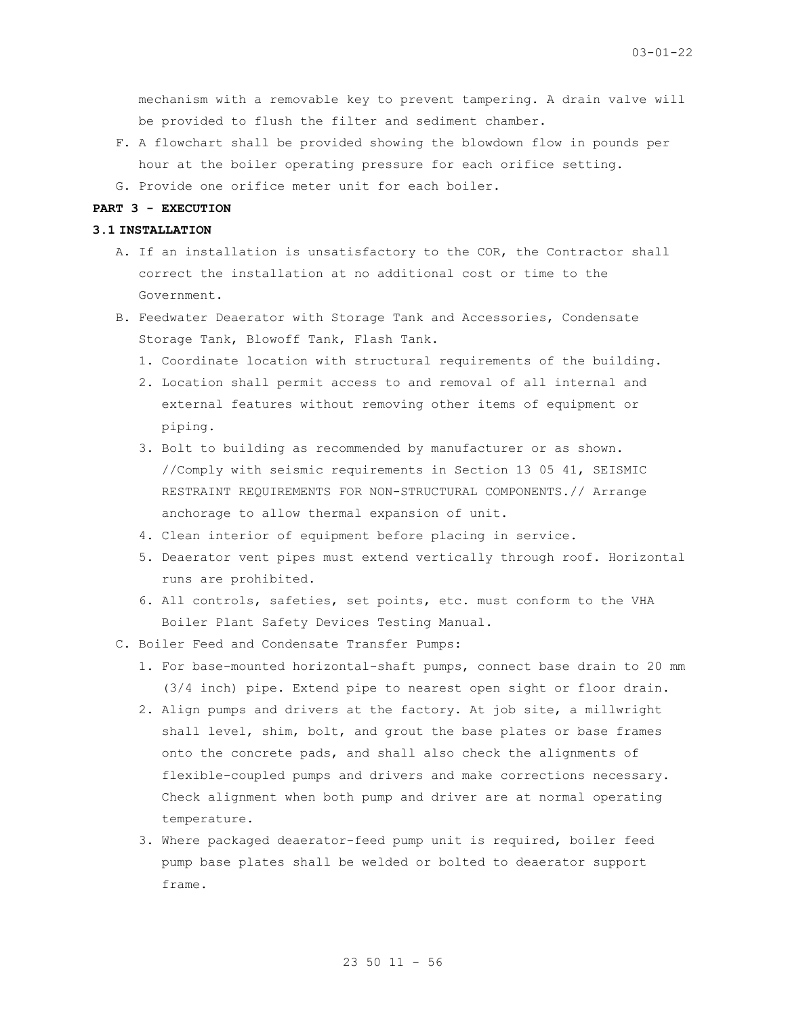mechanism with a removable key to prevent tampering. A drain valve will be provided to flush the filter and sediment chamber.

- F. A flowchart shall be provided showing the blowdown flow in pounds per hour at the boiler operating pressure for each orifice setting.
- G. Provide one orifice meter unit for each boiler.

# **PART 3 - EXECUTION**

### **3.1 INSTALLATION**

- A. If an installation is unsatisfactory to the COR, the Contractor shall correct the installation at no additional cost or time to the Government.
- B. Feedwater Deaerator with Storage Tank and Accessories, Condensate Storage Tank, Blowoff Tank, Flash Tank.
	- 1. Coordinate location with structural requirements of the building.
	- 2. Location shall permit access to and removal of all internal and external features without removing other items of equipment or piping.
	- 3. Bolt to building as recommended by manufacturer or as shown. //Comply with seismic requirements in Section 13 05 41, SEISMIC RESTRAINT REQUIREMENTS FOR NON-STRUCTURAL COMPONENTS.// Arrange anchorage to allow thermal expansion of unit.
	- 4. Clean interior of equipment before placing in service.
	- 5. Deaerator vent pipes must extend vertically through roof. Horizontal runs are prohibited.
	- 6. All controls, safeties, set points, etc. must conform to the VHA Boiler Plant Safety Devices Testing Manual.
- C. Boiler Feed and Condensate Transfer Pumps:
	- 1. For base-mounted horizontal-shaft pumps, connect base drain to 20 mm (3/4 inch) pipe. Extend pipe to nearest open sight or floor drain.
	- 2. Align pumps and drivers at the factory. At job site, a millwright shall level, shim, bolt, and grout the base plates or base frames onto the concrete pads, and shall also check the alignments of flexible-coupled pumps and drivers and make corrections necessary. Check alignment when both pump and driver are at normal operating temperature.
	- 3. Where packaged deaerator-feed pump unit is required, boiler feed pump base plates shall be welded or bolted to deaerator support frame.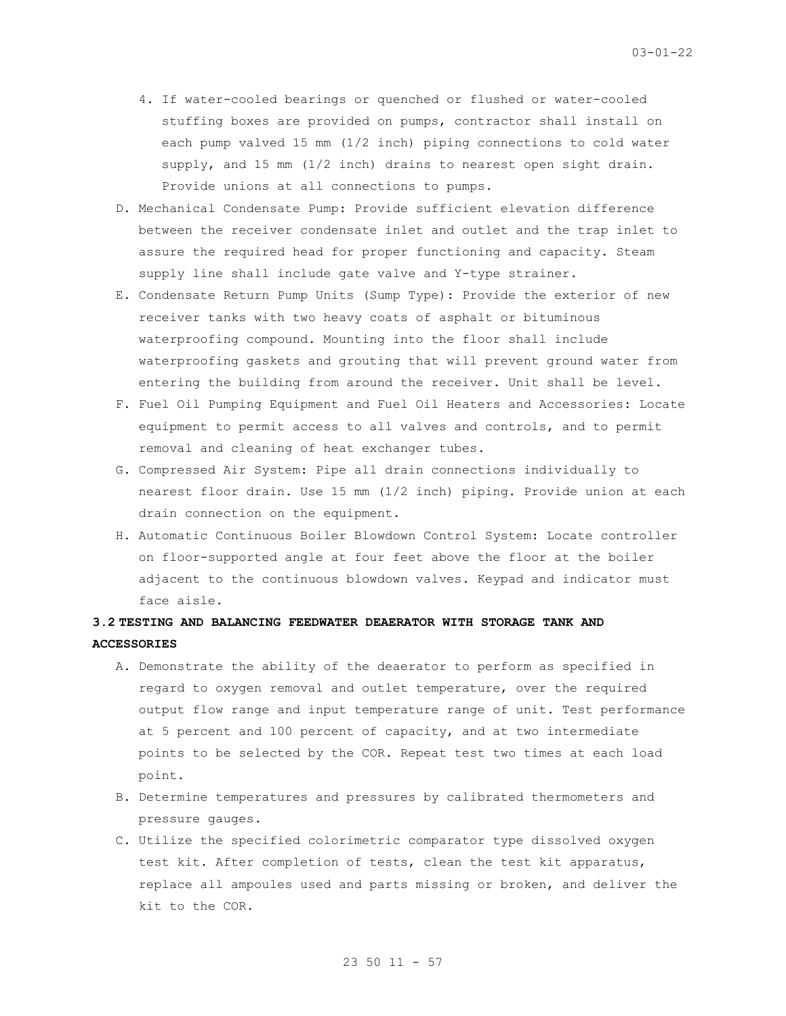- 4. If water-cooled bearings or quenched or flushed or water-cooled stuffing boxes are provided on pumps, contractor shall install on each pump valved 15 mm (1/2 inch) piping connections to cold water supply, and 15 mm (1/2 inch) drains to nearest open sight drain. Provide unions at all connections to pumps.
- D. Mechanical Condensate Pump: Provide sufficient elevation difference between the receiver condensate inlet and outlet and the trap inlet to assure the required head for proper functioning and capacity. Steam supply line shall include gate valve and Y-type strainer.
- E. Condensate Return Pump Units (Sump Type): Provide the exterior of new receiver tanks with two heavy coats of asphalt or bituminous waterproofing compound. Mounting into the floor shall include waterproofing gaskets and grouting that will prevent ground water from entering the building from around the receiver. Unit shall be level.
- F. Fuel Oil Pumping Equipment and Fuel Oil Heaters and Accessories: Locate equipment to permit access to all valves and controls, and to permit removal and cleaning of heat exchanger tubes.
- G. Compressed Air System: Pipe all drain connections individually to nearest floor drain. Use 15 mm (1/2 inch) piping. Provide union at each drain connection on the equipment.
- H. Automatic Continuous Boiler Blowdown Control System: Locate controller on floor-supported angle at four feet above the floor at the boiler adjacent to the continuous blowdown valves. Keypad and indicator must face aisle.

# **3.2 TESTING AND BALANCING FEEDWATER DEAERATOR WITH STORAGE TANK AND ACCESSORIES**

- A. Demonstrate the ability of the deaerator to perform as specified in regard to oxygen removal and outlet temperature, over the required output flow range and input temperature range of unit. Test performance at 5 percent and 100 percent of capacity, and at two intermediate points to be selected by the COR. Repeat test two times at each load point.
- B. Determine temperatures and pressures by calibrated thermometers and pressure gauges.
- C. Utilize the specified colorimetric comparator type dissolved oxygen test kit. After completion of tests, clean the test kit apparatus, replace all ampoules used and parts missing or broken, and deliver the kit to the COR.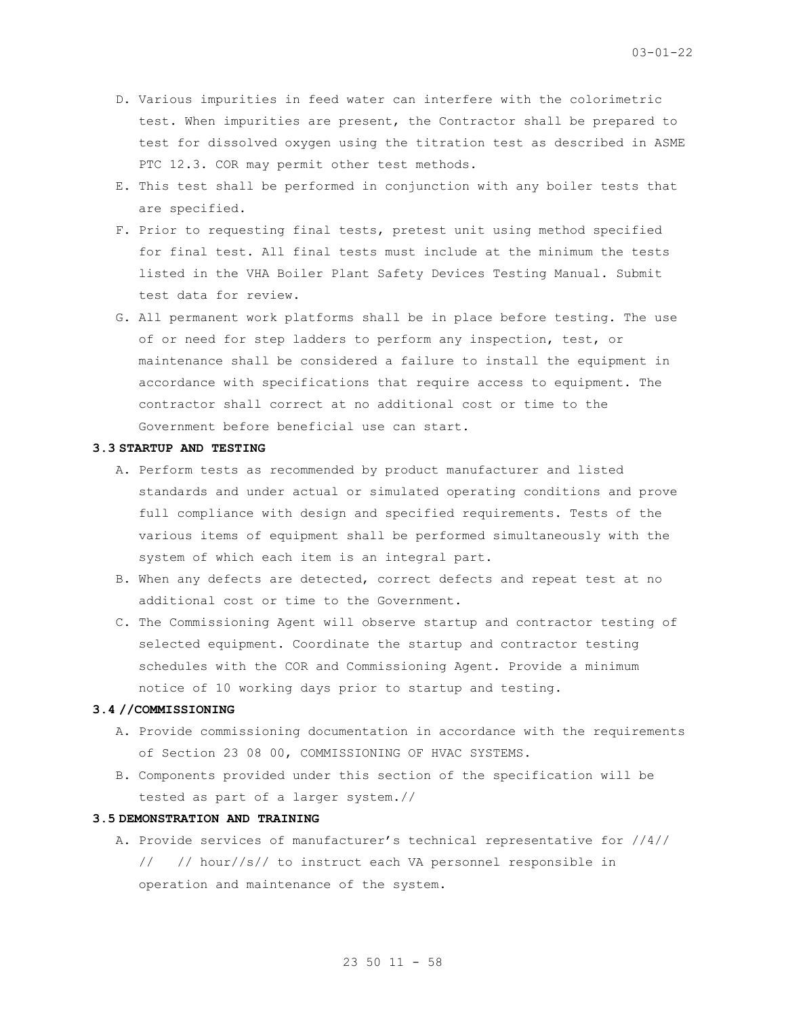- D. Various impurities in feed water can interfere with the colorimetric test. When impurities are present, the Contractor shall be prepared to test for dissolved oxygen using the titration test as described in ASME PTC 12.3. COR may permit other test methods.
- E. This test shall be performed in conjunction with any boiler tests that are specified.
- F. Prior to requesting final tests, pretest unit using method specified for final test. All final tests must include at the minimum the tests listed in the VHA Boiler Plant Safety Devices Testing Manual. Submit test data for review.
- G. All permanent work platforms shall be in place before testing. The use of or need for step ladders to perform any inspection, test, or maintenance shall be considered a failure to install the equipment in accordance with specifications that require access to equipment. The contractor shall correct at no additional cost or time to the Government before beneficial use can start.

#### **3.3 STARTUP AND TESTING**

- A. Perform tests as recommended by product manufacturer and listed standards and under actual or simulated operating conditions and prove full compliance with design and specified requirements. Tests of the various items of equipment shall be performed simultaneously with the system of which each item is an integral part.
- B. When any defects are detected, correct defects and repeat test at no additional cost or time to the Government.
- C. The Commissioning Agent will observe startup and contractor testing of selected equipment. Coordinate the startup and contractor testing schedules with the COR and Commissioning Agent. Provide a minimum notice of 10 working days prior to startup and testing.

# **3.4 //COMMISSIONING**

- A. Provide commissioning documentation in accordance with the requirements of Section 23 08 00, COMMISSIONING OF HVAC SYSTEMS.
- B. Components provided under this section of the specification will be tested as part of a larger system.//

### **3.5 DEMONSTRATION AND TRAINING**

A. Provide services of manufacturer's technical representative for //4// // // hour//s// to instruct each VA personnel responsible in operation and maintenance of the system.